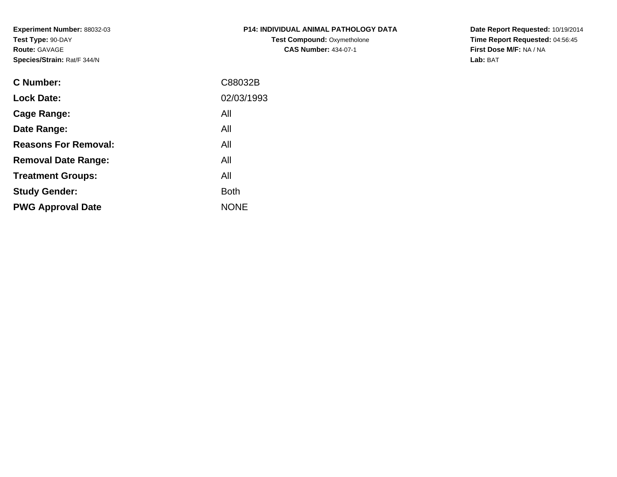**Experiment Number:** 88032-03**Test Type:** 90-DAY**Route:** GAVAGE**Species/Strain:** Rat/F 344/N

| <b>P14: INDIVIDUAL ANIMAL PATHOLOGY DATA</b> |
|----------------------------------------------|
| <b>Test Compound: Oxymetholone</b>           |
| <b>CAS Number: 434-07-1</b>                  |

**Date Report Requested:** 10/19/2014 **Time Report Requested:** 04:56:45**First Dose M/F:** NA / NA**Lab:** BAT

| C88032B     |
|-------------|
| 02/03/1993  |
| All         |
| All         |
| All         |
| All         |
| All         |
| <b>Both</b> |
| <b>NONE</b> |
|             |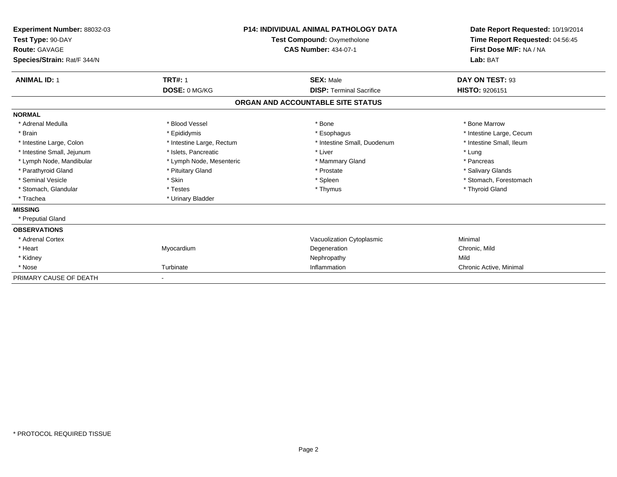| Experiment Number: 88032-03<br>Test Type: 90-DAY<br>Route: GAVAGE<br>Species/Strain: Rat/F 344/N | <b>P14: INDIVIDUAL ANIMAL PATHOLOGY DATA</b><br><b>Test Compound: Oxymetholone</b><br><b>CAS Number: 434-07-1</b> |                                   |                          |  | Date Report Requested: 10/19/2014<br>Time Report Requested: 04:56:45<br>First Dose M/F: NA / NA<br>Lab: BAT |
|--------------------------------------------------------------------------------------------------|-------------------------------------------------------------------------------------------------------------------|-----------------------------------|--------------------------|--|-------------------------------------------------------------------------------------------------------------|
| <b>ANIMAL ID: 1</b>                                                                              | <b>TRT#: 1</b>                                                                                                    | <b>SEX: Male</b>                  | DAY ON TEST: 93          |  |                                                                                                             |
|                                                                                                  | DOSE: 0 MG/KG                                                                                                     | <b>DISP: Terminal Sacrifice</b>   | HISTO: 9206151           |  |                                                                                                             |
|                                                                                                  |                                                                                                                   | ORGAN AND ACCOUNTABLE SITE STATUS |                          |  |                                                                                                             |
| <b>NORMAL</b>                                                                                    |                                                                                                                   |                                   |                          |  |                                                                                                             |
| * Adrenal Medulla                                                                                | * Blood Vessel                                                                                                    | * Bone                            | * Bone Marrow            |  |                                                                                                             |
| * Brain                                                                                          | * Epididymis                                                                                                      | * Esophagus                       | * Intestine Large, Cecum |  |                                                                                                             |
| * Intestine Large, Colon                                                                         | * Intestine Large, Rectum                                                                                         | * Intestine Small, Duodenum       | * Intestine Small. Ileum |  |                                                                                                             |
| * Intestine Small, Jejunum                                                                       | * Islets, Pancreatic                                                                                              | * Liver                           | * Lung                   |  |                                                                                                             |
| * Lymph Node, Mandibular                                                                         | * Lymph Node, Mesenteric                                                                                          | * Mammary Gland                   | * Pancreas               |  |                                                                                                             |
| * Parathyroid Gland                                                                              | * Pituitary Gland                                                                                                 | * Prostate                        | * Salivary Glands        |  |                                                                                                             |
| * Seminal Vesicle                                                                                | * Skin                                                                                                            | * Spleen                          | * Stomach, Forestomach   |  |                                                                                                             |
| * Stomach, Glandular                                                                             | * Testes                                                                                                          | * Thymus                          | * Thyroid Gland          |  |                                                                                                             |
| * Trachea                                                                                        | * Urinary Bladder                                                                                                 |                                   |                          |  |                                                                                                             |
| <b>MISSING</b>                                                                                   |                                                                                                                   |                                   |                          |  |                                                                                                             |
| * Preputial Gland                                                                                |                                                                                                                   |                                   |                          |  |                                                                                                             |
| <b>OBSERVATIONS</b>                                                                              |                                                                                                                   |                                   |                          |  |                                                                                                             |
| * Adrenal Cortex                                                                                 |                                                                                                                   | Vacuolization Cytoplasmic         | Minimal                  |  |                                                                                                             |
| * Heart                                                                                          | Myocardium                                                                                                        | Degeneration                      | Chronic, Mild            |  |                                                                                                             |
| * Kidney                                                                                         |                                                                                                                   | Nephropathy                       | Mild                     |  |                                                                                                             |
| * Nose                                                                                           | Turbinate                                                                                                         | Inflammation                      | Chronic Active, Minimal  |  |                                                                                                             |
| PRIMARY CAUSE OF DEATH                                                                           |                                                                                                                   |                                   |                          |  |                                                                                                             |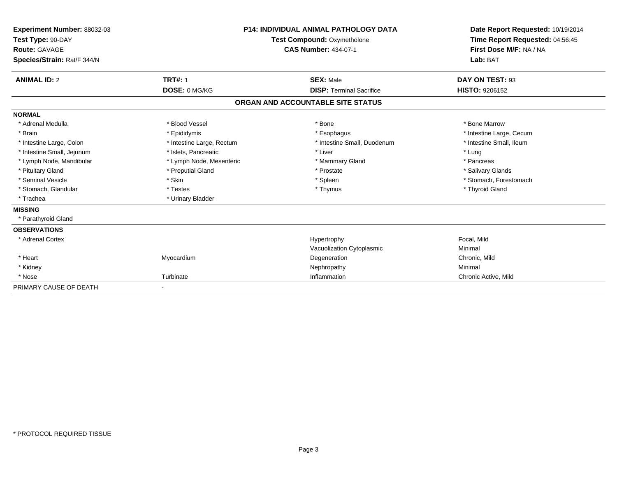| Experiment Number: 88032-03<br>Test Type: 90-DAY<br>Route: GAVAGE<br>Species/Strain: Rat/F 344/N |                           | <b>P14: INDIVIDUAL ANIMAL PATHOLOGY DATA</b><br>Test Compound: Oxymetholone<br><b>CAS Number: 434-07-1</b> | Date Report Requested: 10/19/2014<br>Time Report Requested: 04:56:45<br>First Dose M/F: NA / NA<br>Lab: BAT |
|--------------------------------------------------------------------------------------------------|---------------------------|------------------------------------------------------------------------------------------------------------|-------------------------------------------------------------------------------------------------------------|
| <b>ANIMAL ID: 2</b>                                                                              | <b>TRT#: 1</b>            | <b>SEX: Male</b>                                                                                           | DAY ON TEST: 93                                                                                             |
|                                                                                                  | DOSE: 0 MG/KG             | <b>DISP: Terminal Sacrifice</b>                                                                            | <b>HISTO: 9206152</b>                                                                                       |
|                                                                                                  |                           | ORGAN AND ACCOUNTABLE SITE STATUS                                                                          |                                                                                                             |
| <b>NORMAL</b>                                                                                    |                           |                                                                                                            |                                                                                                             |
| * Adrenal Medulla                                                                                | * Blood Vessel            | * Bone                                                                                                     | * Bone Marrow                                                                                               |
| * Brain                                                                                          | * Epididymis              | * Esophagus                                                                                                | * Intestine Large, Cecum                                                                                    |
| * Intestine Large, Colon                                                                         | * Intestine Large, Rectum | * Intestine Small, Duodenum                                                                                | * Intestine Small, Ileum                                                                                    |
| * Intestine Small, Jejunum                                                                       | * Islets, Pancreatic      | * Liver                                                                                                    | * Lung                                                                                                      |
| * Lymph Node, Mandibular                                                                         | * Lymph Node, Mesenteric  | * Mammary Gland                                                                                            | * Pancreas                                                                                                  |
| * Pituitary Gland                                                                                | * Preputial Gland         | * Prostate                                                                                                 | * Salivary Glands                                                                                           |
| * Seminal Vesicle                                                                                | * Skin                    | * Spleen                                                                                                   | * Stomach, Forestomach                                                                                      |
| * Stomach, Glandular                                                                             | * Testes                  | * Thymus                                                                                                   | * Thyroid Gland                                                                                             |
| * Trachea                                                                                        | * Urinary Bladder         |                                                                                                            |                                                                                                             |
| <b>MISSING</b>                                                                                   |                           |                                                                                                            |                                                                                                             |
| * Parathyroid Gland                                                                              |                           |                                                                                                            |                                                                                                             |
| <b>OBSERVATIONS</b>                                                                              |                           |                                                                                                            |                                                                                                             |
| * Adrenal Cortex                                                                                 |                           | Hypertrophy                                                                                                | Focal, Mild                                                                                                 |
|                                                                                                  |                           | Vacuolization Cytoplasmic                                                                                  | Minimal                                                                                                     |
| * Heart                                                                                          | Myocardium                | Degeneration                                                                                               | Chronic, Mild                                                                                               |
| * Kidney                                                                                         |                           | Nephropathy                                                                                                | Minimal                                                                                                     |
| * Nose                                                                                           | Turbinate                 | Inflammation                                                                                               | Chronic Active, Mild                                                                                        |
| PRIMARY CAUSE OF DEATH                                                                           |                           |                                                                                                            |                                                                                                             |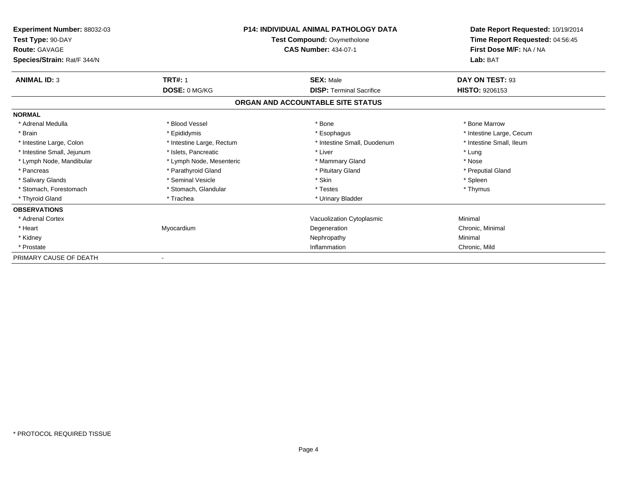| <b>Experiment Number: 88032-03</b><br>Test Type: 90-DAY<br><b>Route: GAVAGE</b> | <b>P14: INDIVIDUAL ANIMAL PATHOLOGY DATA</b><br><b>Test Compound: Oxymetholone</b><br><b>CAS Number: 434-07-1</b> |                                   | Date Report Requested: 10/19/2014<br>Time Report Requested: 04:56:45<br>First Dose M/F: NA / NA |  |
|---------------------------------------------------------------------------------|-------------------------------------------------------------------------------------------------------------------|-----------------------------------|-------------------------------------------------------------------------------------------------|--|
| Species/Strain: Rat/F 344/N                                                     |                                                                                                                   |                                   | Lab: BAT                                                                                        |  |
| <b>ANIMAL ID: 3</b>                                                             | <b>TRT#: 1</b>                                                                                                    | <b>SEX: Male</b>                  | DAY ON TEST: 93                                                                                 |  |
|                                                                                 | DOSE: 0 MG/KG                                                                                                     | <b>DISP: Terminal Sacrifice</b>   | <b>HISTO: 9206153</b>                                                                           |  |
|                                                                                 |                                                                                                                   | ORGAN AND ACCOUNTABLE SITE STATUS |                                                                                                 |  |
| <b>NORMAL</b>                                                                   |                                                                                                                   |                                   |                                                                                                 |  |
| * Adrenal Medulla                                                               | * Blood Vessel                                                                                                    | * Bone                            | * Bone Marrow                                                                                   |  |
| * Brain                                                                         | * Epididymis                                                                                                      | * Esophagus                       | * Intestine Large, Cecum                                                                        |  |
| * Intestine Large, Colon                                                        | * Intestine Large, Rectum                                                                                         | * Intestine Small, Duodenum       | * Intestine Small, Ileum                                                                        |  |
| * Intestine Small, Jejunum                                                      | * Islets. Pancreatic                                                                                              | * Liver                           | * Lung                                                                                          |  |
| * Lymph Node, Mandibular                                                        | * Lymph Node, Mesenteric                                                                                          | * Mammary Gland                   | * Nose                                                                                          |  |
| * Pancreas                                                                      | * Parathyroid Gland                                                                                               | * Pituitary Gland                 | * Preputial Gland                                                                               |  |
| * Salivary Glands                                                               | * Seminal Vesicle                                                                                                 | * Skin                            | * Spleen                                                                                        |  |
| * Stomach, Forestomach                                                          | * Stomach, Glandular                                                                                              | * Testes                          | * Thymus                                                                                        |  |
| * Thyroid Gland                                                                 | * Trachea                                                                                                         | * Urinary Bladder                 |                                                                                                 |  |
| <b>OBSERVATIONS</b>                                                             |                                                                                                                   |                                   |                                                                                                 |  |
| * Adrenal Cortex                                                                |                                                                                                                   | Vacuolization Cytoplasmic         | Minimal                                                                                         |  |
| * Heart                                                                         | Myocardium                                                                                                        | Degeneration                      | Chronic, Minimal                                                                                |  |
| * Kidney                                                                        |                                                                                                                   | Nephropathy                       | Minimal                                                                                         |  |
| * Prostate                                                                      |                                                                                                                   | Inflammation                      | Chronic, Mild                                                                                   |  |
| PRIMARY CAUSE OF DEATH                                                          |                                                                                                                   |                                   |                                                                                                 |  |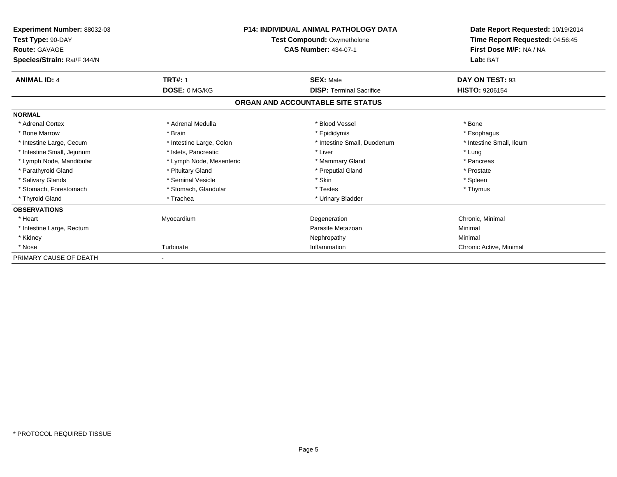| <b>Experiment Number: 88032-03</b><br>Test Type: 90-DAY<br><b>Route: GAVAGE</b> | <b>P14: INDIVIDUAL ANIMAL PATHOLOGY DATA</b><br><b>Test Compound: Oxymetholone</b><br><b>CAS Number: 434-07-1</b> |                                   | Date Report Requested: 10/19/2014<br>Time Report Requested: 04:56:45<br>First Dose M/F: NA / NA |  |
|---------------------------------------------------------------------------------|-------------------------------------------------------------------------------------------------------------------|-----------------------------------|-------------------------------------------------------------------------------------------------|--|
| Species/Strain: Rat/F 344/N                                                     |                                                                                                                   |                                   | Lab: BAT                                                                                        |  |
| <b>ANIMAL ID: 4</b>                                                             | <b>TRT#: 1</b>                                                                                                    | <b>SEX: Male</b>                  | DAY ON TEST: 93                                                                                 |  |
|                                                                                 | DOSE: 0 MG/KG                                                                                                     | <b>DISP: Terminal Sacrifice</b>   | <b>HISTO: 9206154</b>                                                                           |  |
|                                                                                 |                                                                                                                   | ORGAN AND ACCOUNTABLE SITE STATUS |                                                                                                 |  |
| <b>NORMAL</b>                                                                   |                                                                                                                   |                                   |                                                                                                 |  |
| * Adrenal Cortex                                                                | * Adrenal Medulla                                                                                                 | * Blood Vessel                    | * Bone                                                                                          |  |
| * Bone Marrow                                                                   | * Brain                                                                                                           | * Epididymis                      | * Esophagus                                                                                     |  |
| * Intestine Large, Cecum                                                        | * Intestine Large, Colon                                                                                          | * Intestine Small, Duodenum       | * Intestine Small, Ileum                                                                        |  |
| * Intestine Small, Jejunum                                                      | * Islets. Pancreatic                                                                                              | * Liver                           | * Lung                                                                                          |  |
| * Lymph Node, Mandibular                                                        | * Lymph Node, Mesenteric                                                                                          | * Mammary Gland                   | * Pancreas                                                                                      |  |
| * Parathyroid Gland                                                             | * Pituitary Gland                                                                                                 | * Preputial Gland                 | * Prostate                                                                                      |  |
| * Salivary Glands                                                               | * Seminal Vesicle                                                                                                 | * Skin                            | * Spleen                                                                                        |  |
| * Stomach, Forestomach                                                          | * Stomach, Glandular                                                                                              | * Testes                          | * Thymus                                                                                        |  |
| * Thyroid Gland                                                                 | * Trachea                                                                                                         | * Urinary Bladder                 |                                                                                                 |  |
| <b>OBSERVATIONS</b>                                                             |                                                                                                                   |                                   |                                                                                                 |  |
| * Heart                                                                         | Myocardium                                                                                                        | Degeneration                      | Chronic, Minimal                                                                                |  |
| * Intestine Large, Rectum                                                       |                                                                                                                   | Parasite Metazoan                 | Minimal                                                                                         |  |
| * Kidney                                                                        |                                                                                                                   | Nephropathy                       | Minimal                                                                                         |  |
| * Nose                                                                          | Turbinate                                                                                                         | Inflammation                      | Chronic Active, Minimal                                                                         |  |
| PRIMARY CAUSE OF DEATH                                                          |                                                                                                                   |                                   |                                                                                                 |  |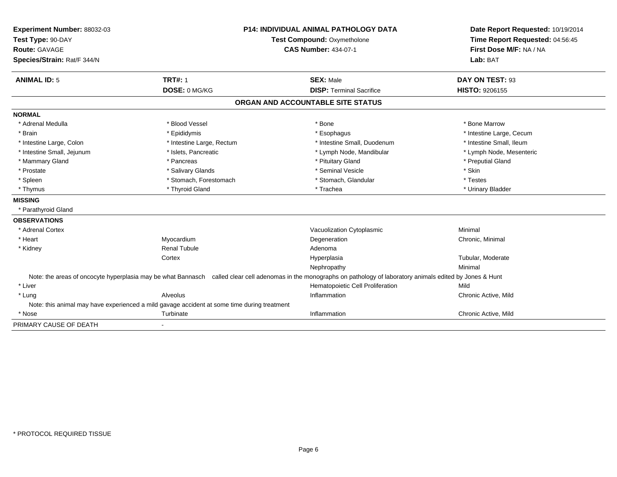| Experiment Number: 88032-03 | <b>P14: INDIVIDUAL ANIMAL PATHOLOGY DATA</b><br><b>Test Compound: Oxymetholone</b>          |                                                                                                                                                                     | Date Report Requested: 10/19/2014 |
|-----------------------------|---------------------------------------------------------------------------------------------|---------------------------------------------------------------------------------------------------------------------------------------------------------------------|-----------------------------------|
| Test Type: 90-DAY           |                                                                                             |                                                                                                                                                                     | Time Report Requested: 04:56:45   |
| Route: GAVAGE               |                                                                                             | <b>CAS Number: 434-07-1</b>                                                                                                                                         | First Dose M/F: NA / NA           |
| Species/Strain: Rat/F 344/N |                                                                                             |                                                                                                                                                                     | Lab: BAT                          |
| <b>ANIMAL ID: 5</b>         | <b>TRT#: 1</b>                                                                              | <b>SEX: Male</b>                                                                                                                                                    | DAY ON TEST: 93                   |
|                             | DOSE: 0 MG/KG                                                                               | <b>DISP: Terminal Sacrifice</b>                                                                                                                                     | <b>HISTO: 9206155</b>             |
|                             |                                                                                             | ORGAN AND ACCOUNTABLE SITE STATUS                                                                                                                                   |                                   |
| <b>NORMAL</b>               |                                                                                             |                                                                                                                                                                     |                                   |
| * Adrenal Medulla           | * Blood Vessel                                                                              | * Bone                                                                                                                                                              | * Bone Marrow                     |
| * Brain                     | * Epididymis                                                                                | * Esophagus                                                                                                                                                         | * Intestine Large, Cecum          |
| * Intestine Large, Colon    | * Intestine Large, Rectum                                                                   | * Intestine Small, Duodenum                                                                                                                                         | * Intestine Small, Ileum          |
| * Intestine Small, Jejunum  | * Islets, Pancreatic                                                                        | * Lymph Node, Mandibular                                                                                                                                            | * Lymph Node, Mesenteric          |
| * Mammary Gland             | * Pancreas                                                                                  | * Pituitary Gland                                                                                                                                                   | * Preputial Gland                 |
| * Prostate                  | * Salivary Glands                                                                           | * Seminal Vesicle                                                                                                                                                   | * Skin                            |
| * Spleen                    | * Stomach, Forestomach                                                                      | * Stomach, Glandular                                                                                                                                                | * Testes                          |
| * Thymus                    | * Thyroid Gland                                                                             | * Trachea                                                                                                                                                           | * Urinary Bladder                 |
| <b>MISSING</b>              |                                                                                             |                                                                                                                                                                     |                                   |
| * Parathyroid Gland         |                                                                                             |                                                                                                                                                                     |                                   |
| <b>OBSERVATIONS</b>         |                                                                                             |                                                                                                                                                                     |                                   |
| * Adrenal Cortex            |                                                                                             | Vacuolization Cytoplasmic                                                                                                                                           | Minimal                           |
| * Heart                     | Myocardium                                                                                  | Degeneration                                                                                                                                                        | Chronic, Minimal                  |
| * Kidney                    | <b>Renal Tubule</b>                                                                         | Adenoma                                                                                                                                                             |                                   |
|                             | Cortex                                                                                      | Hyperplasia                                                                                                                                                         | Tubular, Moderate                 |
|                             |                                                                                             | Nephropathy                                                                                                                                                         | Minimal                           |
|                             |                                                                                             | Note: the areas of oncocyte hyperplasia may be what Bannasch called clear cell adenomas in the monographs on pathology of laboratory animals edited by Jones & Hunt |                                   |
| * Liver                     |                                                                                             | Hematopoietic Cell Proliferation                                                                                                                                    | Mild                              |
| * Lung                      | Alveolus                                                                                    | Inflammation                                                                                                                                                        | Chronic Active, Mild              |
|                             | Note: this animal may have experienced a mild gavage accident at some time during treatment |                                                                                                                                                                     |                                   |
| * Nose                      | Turbinate                                                                                   | Inflammation                                                                                                                                                        | Chronic Active, Mild              |
| PRIMARY CAUSE OF DEATH      |                                                                                             |                                                                                                                                                                     |                                   |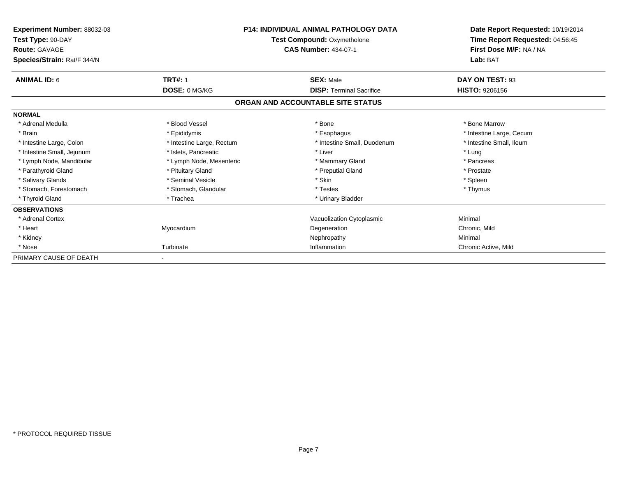| Experiment Number: 88032-03<br>Test Type: 90-DAY<br><b>Route: GAVAGE</b><br>Species/Strain: Rat/F 344/N | <b>P14: INDIVIDUAL ANIMAL PATHOLOGY DATA</b><br><b>Test Compound: Oxymetholone</b><br><b>CAS Number: 434-07-1</b> |                                   | Date Report Requested: 10/19/2014<br>Time Report Requested: 04:56:45<br>First Dose M/F: NA / NA<br>Lab: BAT |
|---------------------------------------------------------------------------------------------------------|-------------------------------------------------------------------------------------------------------------------|-----------------------------------|-------------------------------------------------------------------------------------------------------------|
| <b>ANIMAL ID: 6</b>                                                                                     | <b>TRT#: 1</b>                                                                                                    | <b>SEX: Male</b>                  | DAY ON TEST: 93                                                                                             |
|                                                                                                         | <b>DOSE: 0 MG/KG</b>                                                                                              | <b>DISP: Terminal Sacrifice</b>   | <b>HISTO: 9206156</b>                                                                                       |
|                                                                                                         |                                                                                                                   | ORGAN AND ACCOUNTABLE SITE STATUS |                                                                                                             |
| <b>NORMAL</b>                                                                                           |                                                                                                                   |                                   |                                                                                                             |
| * Adrenal Medulla                                                                                       | * Blood Vessel                                                                                                    | * Bone                            | * Bone Marrow                                                                                               |
| * Brain                                                                                                 | * Epididymis                                                                                                      | * Esophagus                       | * Intestine Large, Cecum                                                                                    |
| * Intestine Large, Colon                                                                                | * Intestine Large, Rectum                                                                                         | * Intestine Small, Duodenum       | * Intestine Small, Ileum                                                                                    |
| * Intestine Small, Jejunum                                                                              | * Islets, Pancreatic                                                                                              | * Liver                           | * Lung                                                                                                      |
| * Lymph Node, Mandibular                                                                                | * Lymph Node, Mesenteric                                                                                          | * Mammary Gland                   | * Pancreas                                                                                                  |
| * Parathyroid Gland                                                                                     | * Pituitary Gland                                                                                                 | * Preputial Gland                 | * Prostate                                                                                                  |
| * Salivary Glands                                                                                       | * Seminal Vesicle                                                                                                 | * Skin                            | * Spleen                                                                                                    |
| * Stomach, Forestomach                                                                                  | * Stomach, Glandular                                                                                              | * Testes                          | * Thymus                                                                                                    |
| * Thyroid Gland                                                                                         | * Trachea                                                                                                         | * Urinary Bladder                 |                                                                                                             |
| <b>OBSERVATIONS</b>                                                                                     |                                                                                                                   |                                   |                                                                                                             |
| * Adrenal Cortex                                                                                        |                                                                                                                   | Vacuolization Cytoplasmic         | Minimal                                                                                                     |
| * Heart                                                                                                 | Myocardium                                                                                                        | Degeneration                      | Chronic, Mild                                                                                               |
| * Kidney                                                                                                |                                                                                                                   | Nephropathy                       | Minimal                                                                                                     |
| * Nose                                                                                                  | Turbinate                                                                                                         | Inflammation                      | Chronic Active, Mild                                                                                        |
| PRIMARY CAUSE OF DEATH                                                                                  |                                                                                                                   |                                   |                                                                                                             |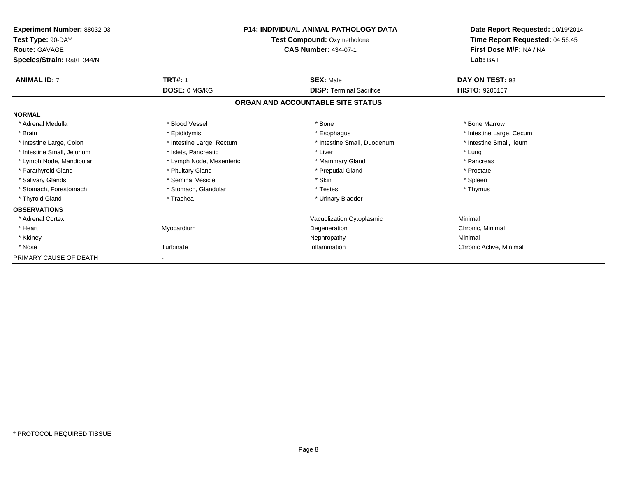| Experiment Number: 88032-03<br>Test Type: 90-DAY<br><b>Route: GAVAGE</b><br>Species/Strain: Rat/F 344/N | <b>P14: INDIVIDUAL ANIMAL PATHOLOGY DATA</b><br><b>Test Compound: Oxymetholone</b><br><b>CAS Number: 434-07-1</b> |                                   | Date Report Requested: 10/19/2014<br>Time Report Requested: 04:56:45<br>First Dose M/F: NA / NA<br>Lab: BAT |
|---------------------------------------------------------------------------------------------------------|-------------------------------------------------------------------------------------------------------------------|-----------------------------------|-------------------------------------------------------------------------------------------------------------|
| <b>ANIMAL ID: 7</b>                                                                                     | <b>TRT#: 1</b>                                                                                                    | <b>SEX: Male</b>                  | DAY ON TEST: 93                                                                                             |
|                                                                                                         | DOSE: 0 MG/KG                                                                                                     | <b>DISP: Terminal Sacrifice</b>   | <b>HISTO: 9206157</b>                                                                                       |
|                                                                                                         |                                                                                                                   | ORGAN AND ACCOUNTABLE SITE STATUS |                                                                                                             |
| <b>NORMAL</b>                                                                                           |                                                                                                                   |                                   |                                                                                                             |
| * Adrenal Medulla                                                                                       | * Blood Vessel                                                                                                    | * Bone                            | * Bone Marrow                                                                                               |
| * Brain                                                                                                 | * Epididymis                                                                                                      | * Esophagus                       | * Intestine Large, Cecum                                                                                    |
| * Intestine Large, Colon                                                                                | * Intestine Large, Rectum                                                                                         | * Intestine Small, Duodenum       | * Intestine Small, Ileum                                                                                    |
| * Intestine Small, Jejunum                                                                              | * Islets, Pancreatic                                                                                              | * Liver                           | * Lung                                                                                                      |
| * Lymph Node, Mandibular                                                                                | * Lymph Node, Mesenteric                                                                                          | * Mammary Gland                   | * Pancreas                                                                                                  |
| * Parathyroid Gland                                                                                     | * Pituitary Gland                                                                                                 | * Preputial Gland                 | * Prostate                                                                                                  |
| * Salivary Glands                                                                                       | * Seminal Vesicle                                                                                                 | * Skin                            | * Spleen                                                                                                    |
| * Stomach, Forestomach                                                                                  | * Stomach, Glandular                                                                                              | * Testes                          | * Thymus                                                                                                    |
| * Thyroid Gland                                                                                         | * Trachea                                                                                                         | * Urinary Bladder                 |                                                                                                             |
| <b>OBSERVATIONS</b>                                                                                     |                                                                                                                   |                                   |                                                                                                             |
| * Adrenal Cortex                                                                                        |                                                                                                                   | Vacuolization Cytoplasmic         | Minimal                                                                                                     |
| * Heart                                                                                                 | Myocardium                                                                                                        | Degeneration                      | Chronic, Minimal                                                                                            |
| * Kidney                                                                                                |                                                                                                                   | Nephropathy                       | Minimal                                                                                                     |
| * Nose                                                                                                  | Turbinate                                                                                                         | Inflammation                      | Chronic Active, Minimal                                                                                     |
| PRIMARY CAUSE OF DEATH                                                                                  |                                                                                                                   |                                   |                                                                                                             |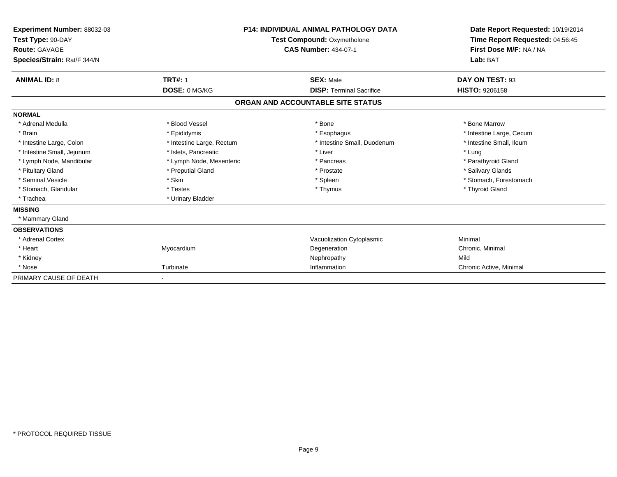| Experiment Number: 88032-03<br>Test Type: 90-DAY<br>Route: GAVAGE<br>Species/Strain: Rat/F 344/N |                           | <b>P14: INDIVIDUAL ANIMAL PATHOLOGY DATA</b><br><b>Test Compound: Oxymetholone</b><br><b>CAS Number: 434-07-1</b> | Date Report Requested: 10/19/2014<br>Time Report Requested: 04:56:45<br>First Dose M/F: NA / NA<br>Lab: BAT |  |
|--------------------------------------------------------------------------------------------------|---------------------------|-------------------------------------------------------------------------------------------------------------------|-------------------------------------------------------------------------------------------------------------|--|
| <b>ANIMAL ID: 8</b>                                                                              | <b>TRT#: 1</b>            | <b>SEX: Male</b>                                                                                                  | DAY ON TEST: 93                                                                                             |  |
|                                                                                                  | DOSE: 0 MG/KG             | <b>DISP: Terminal Sacrifice</b>                                                                                   | HISTO: 9206158                                                                                              |  |
|                                                                                                  |                           | ORGAN AND ACCOUNTABLE SITE STATUS                                                                                 |                                                                                                             |  |
| <b>NORMAL</b>                                                                                    |                           |                                                                                                                   |                                                                                                             |  |
| * Adrenal Medulla                                                                                | * Blood Vessel            | * Bone                                                                                                            | * Bone Marrow                                                                                               |  |
| * Brain                                                                                          | * Epididymis              | * Esophagus                                                                                                       | * Intestine Large, Cecum                                                                                    |  |
| * Intestine Large, Colon                                                                         | * Intestine Large, Rectum | * Intestine Small, Duodenum                                                                                       | * Intestine Small. Ileum                                                                                    |  |
| * Intestine Small, Jejunum                                                                       | * Islets, Pancreatic      | * Liver                                                                                                           | * Lung                                                                                                      |  |
| * Lymph Node, Mandibular                                                                         | * Lymph Node, Mesenteric  | * Pancreas                                                                                                        | * Parathyroid Gland                                                                                         |  |
| * Pituitary Gland                                                                                | * Preputial Gland         | * Prostate                                                                                                        | * Salivary Glands                                                                                           |  |
| * Seminal Vesicle                                                                                | * Skin                    | * Spleen                                                                                                          | * Stomach, Forestomach                                                                                      |  |
| * Stomach, Glandular                                                                             | * Testes                  | * Thymus                                                                                                          | * Thyroid Gland                                                                                             |  |
| * Trachea                                                                                        | * Urinary Bladder         |                                                                                                                   |                                                                                                             |  |
| <b>MISSING</b>                                                                                   |                           |                                                                                                                   |                                                                                                             |  |
| * Mammary Gland                                                                                  |                           |                                                                                                                   |                                                                                                             |  |
| <b>OBSERVATIONS</b>                                                                              |                           |                                                                                                                   |                                                                                                             |  |
| * Adrenal Cortex                                                                                 |                           | Vacuolization Cytoplasmic                                                                                         | Minimal                                                                                                     |  |
| * Heart                                                                                          | Myocardium                | Degeneration                                                                                                      | Chronic, Minimal                                                                                            |  |
| * Kidney                                                                                         |                           | Nephropathy                                                                                                       | Mild                                                                                                        |  |
| * Nose                                                                                           | Turbinate                 | Inflammation                                                                                                      | Chronic Active, Minimal                                                                                     |  |
| PRIMARY CAUSE OF DEATH                                                                           |                           |                                                                                                                   |                                                                                                             |  |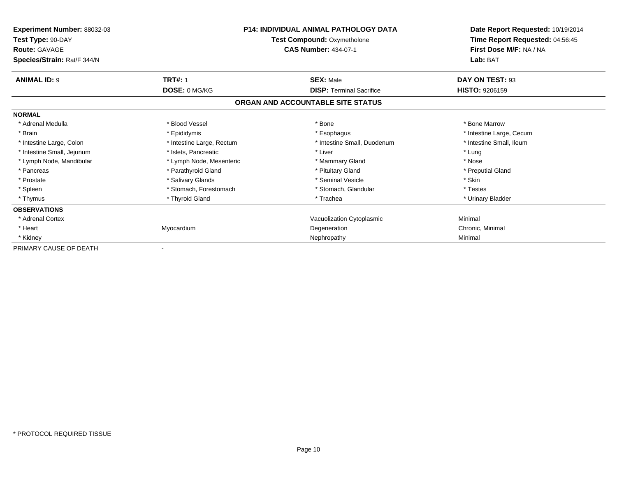| <b>Experiment Number: 88032-03</b><br>Test Type: 90-DAY<br><b>Route: GAVAGE</b><br>Species/Strain: Rat/F 344/N | <b>P14: INDIVIDUAL ANIMAL PATHOLOGY DATA</b><br><b>Test Compound: Oxymetholone</b><br><b>CAS Number: 434-07-1</b> |                                   | Date Report Requested: 10/19/2014<br>Time Report Requested: 04:56:45<br>First Dose M/F: NA / NA<br>Lab: BAT |
|----------------------------------------------------------------------------------------------------------------|-------------------------------------------------------------------------------------------------------------------|-----------------------------------|-------------------------------------------------------------------------------------------------------------|
| <b>ANIMAL ID: 9</b>                                                                                            | <b>TRT#: 1</b>                                                                                                    | <b>SEX: Male</b>                  | DAY ON TEST: 93                                                                                             |
|                                                                                                                | DOSE: 0 MG/KG                                                                                                     | <b>DISP: Terminal Sacrifice</b>   | <b>HISTO: 9206159</b>                                                                                       |
|                                                                                                                |                                                                                                                   | ORGAN AND ACCOUNTABLE SITE STATUS |                                                                                                             |
| <b>NORMAL</b>                                                                                                  |                                                                                                                   |                                   |                                                                                                             |
| * Adrenal Medulla                                                                                              | * Blood Vessel                                                                                                    | * Bone                            | * Bone Marrow                                                                                               |
| * Brain                                                                                                        | * Epididymis                                                                                                      | * Esophagus                       | * Intestine Large, Cecum                                                                                    |
| * Intestine Large, Colon                                                                                       | * Intestine Large, Rectum                                                                                         | * Intestine Small, Duodenum       | * Intestine Small, Ileum                                                                                    |
| * Intestine Small, Jejunum                                                                                     | * Islets, Pancreatic                                                                                              | * Liver                           | * Lung                                                                                                      |
| * Lymph Node, Mandibular                                                                                       | * Lymph Node, Mesenteric                                                                                          | * Mammary Gland                   | * Nose                                                                                                      |
| * Pancreas                                                                                                     | * Parathyroid Gland                                                                                               | * Pituitary Gland                 | * Preputial Gland                                                                                           |
| * Prostate                                                                                                     | * Salivary Glands                                                                                                 | * Seminal Vesicle                 | * Skin                                                                                                      |
| * Spleen                                                                                                       | * Stomach, Forestomach                                                                                            | * Stomach, Glandular              | * Testes                                                                                                    |
| * Thymus                                                                                                       | * Thyroid Gland                                                                                                   | * Trachea                         | * Urinary Bladder                                                                                           |
| <b>OBSERVATIONS</b>                                                                                            |                                                                                                                   |                                   |                                                                                                             |
| * Adrenal Cortex                                                                                               |                                                                                                                   | Vacuolization Cytoplasmic         | Minimal                                                                                                     |
| * Heart                                                                                                        | Myocardium                                                                                                        | Degeneration                      | Chronic, Minimal                                                                                            |
| * Kidney                                                                                                       |                                                                                                                   | Nephropathy                       | Minimal                                                                                                     |
| PRIMARY CAUSE OF DEATH                                                                                         |                                                                                                                   |                                   |                                                                                                             |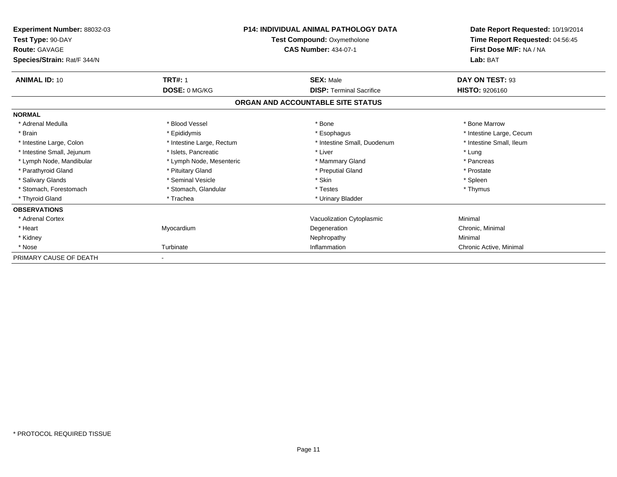| Experiment Number: 88032-03<br>Test Type: 90-DAY<br><b>Route: GAVAGE</b><br>Species/Strain: Rat/F 344/N | <b>P14: INDIVIDUAL ANIMAL PATHOLOGY DATA</b><br><b>Test Compound: Oxymetholone</b><br><b>CAS Number: 434-07-1</b> |                                   | Date Report Requested: 10/19/2014<br>Time Report Requested: 04:56:45<br>First Dose M/F: NA / NA<br>Lab: BAT |
|---------------------------------------------------------------------------------------------------------|-------------------------------------------------------------------------------------------------------------------|-----------------------------------|-------------------------------------------------------------------------------------------------------------|
| <b>ANIMAL ID: 10</b>                                                                                    | <b>TRT#: 1</b>                                                                                                    | <b>SEX: Male</b>                  | DAY ON TEST: 93                                                                                             |
|                                                                                                         | DOSE: 0 MG/KG                                                                                                     | <b>DISP: Terminal Sacrifice</b>   | <b>HISTO: 9206160</b>                                                                                       |
|                                                                                                         |                                                                                                                   | ORGAN AND ACCOUNTABLE SITE STATUS |                                                                                                             |
| <b>NORMAL</b>                                                                                           |                                                                                                                   |                                   |                                                                                                             |
| * Adrenal Medulla                                                                                       | * Blood Vessel                                                                                                    | * Bone                            | * Bone Marrow                                                                                               |
| * Brain                                                                                                 | * Epididymis                                                                                                      | * Esophagus                       | * Intestine Large, Cecum                                                                                    |
| * Intestine Large, Colon                                                                                | * Intestine Large, Rectum                                                                                         | * Intestine Small, Duodenum       | * Intestine Small, Ileum                                                                                    |
| * Intestine Small, Jejunum                                                                              | * Islets, Pancreatic                                                                                              | * Liver                           | * Lung                                                                                                      |
| * Lymph Node, Mandibular                                                                                | * Lymph Node, Mesenteric                                                                                          | * Mammary Gland                   | * Pancreas                                                                                                  |
| * Parathyroid Gland                                                                                     | * Pituitary Gland                                                                                                 | * Preputial Gland                 | * Prostate                                                                                                  |
| * Salivary Glands                                                                                       | * Seminal Vesicle                                                                                                 | * Skin                            | * Spleen                                                                                                    |
| * Stomach, Forestomach                                                                                  | * Stomach, Glandular                                                                                              | * Testes                          | * Thymus                                                                                                    |
| * Thyroid Gland                                                                                         | * Trachea                                                                                                         | * Urinary Bladder                 |                                                                                                             |
| <b>OBSERVATIONS</b>                                                                                     |                                                                                                                   |                                   |                                                                                                             |
| * Adrenal Cortex                                                                                        |                                                                                                                   | Vacuolization Cytoplasmic         | Minimal                                                                                                     |
| * Heart                                                                                                 | Myocardium                                                                                                        | Degeneration                      | Chronic, Minimal                                                                                            |
| * Kidney                                                                                                |                                                                                                                   | Nephropathy                       | Minimal                                                                                                     |
| * Nose                                                                                                  | Turbinate                                                                                                         | Inflammation                      | Chronic Active, Minimal                                                                                     |
| PRIMARY CAUSE OF DEATH                                                                                  |                                                                                                                   |                                   |                                                                                                             |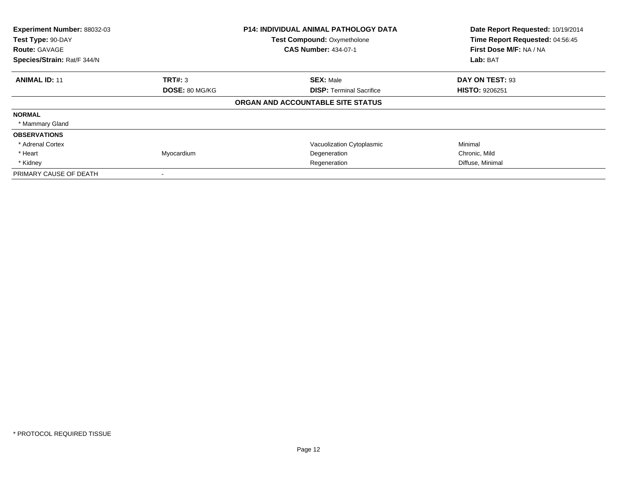| Experiment Number: 88032-03<br>Test Type: 90-DAY<br><b>Route: GAVAGE</b><br>Species/Strain: Rat/F 344/N |                | <b>P14: INDIVIDUAL ANIMAL PATHOLOGY DATA</b><br><b>Test Compound: Oxymetholone</b><br><b>CAS Number: 434-07-1</b> | Date Report Requested: 10/19/2014<br>Time Report Requested: 04:56:45<br>First Dose M/F: NA / NA<br>Lab: BAT |
|---------------------------------------------------------------------------------------------------------|----------------|-------------------------------------------------------------------------------------------------------------------|-------------------------------------------------------------------------------------------------------------|
| <b>ANIMAL ID: 11</b>                                                                                    | TRT#: 3        | <b>SEX: Male</b>                                                                                                  | DAY ON TEST: 93                                                                                             |
|                                                                                                         | DOSE: 80 MG/KG | <b>DISP:</b> Terminal Sacrifice                                                                                   | <b>HISTO: 9206251</b>                                                                                       |
|                                                                                                         |                | ORGAN AND ACCOUNTABLE SITE STATUS                                                                                 |                                                                                                             |
| <b>NORMAL</b>                                                                                           |                |                                                                                                                   |                                                                                                             |
| * Mammary Gland                                                                                         |                |                                                                                                                   |                                                                                                             |
| <b>OBSERVATIONS</b>                                                                                     |                |                                                                                                                   |                                                                                                             |
| * Adrenal Cortex                                                                                        |                | Vacuolization Cytoplasmic                                                                                         | Minimal                                                                                                     |
| * Heart                                                                                                 | Myocardium     | Degeneration                                                                                                      | Chronic, Mild                                                                                               |
| * Kidney                                                                                                |                | Regeneration                                                                                                      | Diffuse, Minimal                                                                                            |
| PRIMARY CAUSE OF DEATH                                                                                  | $\,$           |                                                                                                                   |                                                                                                             |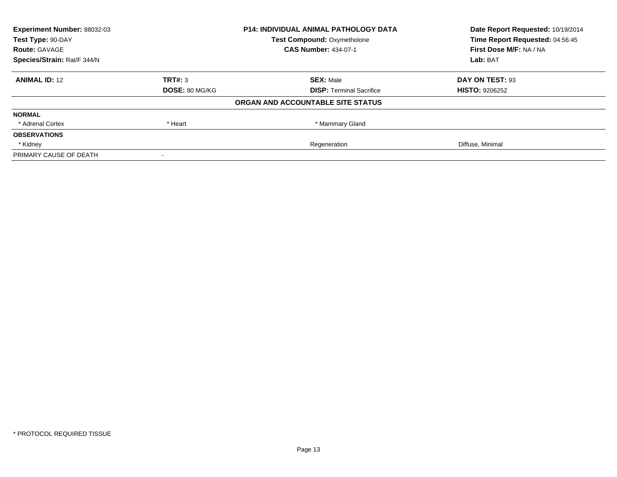| <b>Experiment Number: 88032-03</b> | <b>P14: INDIVIDUAL ANIMAL PATHOLOGY DATA</b> |                                    | Date Report Requested: 10/19/2014                          |
|------------------------------------|----------------------------------------------|------------------------------------|------------------------------------------------------------|
| Test Type: 90-DAY                  |                                              | <b>Test Compound: Oxymetholone</b> | Time Report Requested: 04:56:45<br>First Dose M/F: NA / NA |
| <b>Route: GAVAGE</b>               |                                              | <b>CAS Number: 434-07-1</b>        |                                                            |
| Species/Strain: Rat/F 344/N        |                                              |                                    | Lab: BAT                                                   |
| <b>ANIMAL ID: 12</b>               | TRT#: 3                                      | <b>SEX: Male</b>                   | DAY ON TEST: 93                                            |
|                                    | DOSE: 80 MG/KG                               | <b>DISP:</b> Terminal Sacrifice    | <b>HISTO: 9206252</b>                                      |
|                                    |                                              | ORGAN AND ACCOUNTABLE SITE STATUS  |                                                            |
| <b>NORMAL</b>                      |                                              |                                    |                                                            |
| * Adrenal Cortex                   | * Heart                                      | * Mammary Gland                    |                                                            |
| <b>OBSERVATIONS</b>                |                                              |                                    |                                                            |
| * Kidney                           |                                              | Regeneration                       | Diffuse, Minimal                                           |
| PRIMARY CAUSE OF DEATH             |                                              |                                    |                                                            |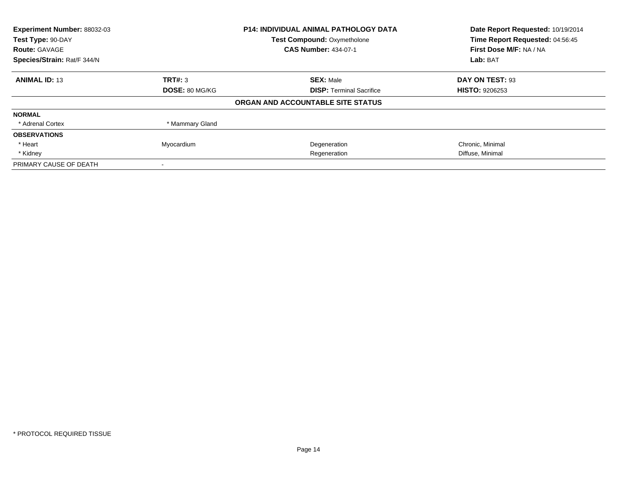| Experiment Number: 88032-03 |                 | <b>P14: INDIVIDUAL ANIMAL PATHOLOGY DATA</b> | Date Report Requested: 10/19/2014 |
|-----------------------------|-----------------|----------------------------------------------|-----------------------------------|
| Test Type: 90-DAY           |                 | <b>Test Compound: Oxymetholone</b>           | Time Report Requested: 04:56:45   |
| <b>Route: GAVAGE</b>        |                 | <b>CAS Number: 434-07-1</b>                  | First Dose M/F: NA / NA           |
| Species/Strain: Rat/F 344/N |                 |                                              | Lab: BAT                          |
| <b>ANIMAL ID: 13</b>        | TRT#: 3         | <b>SEX: Male</b>                             | DAY ON TEST: 93                   |
|                             | DOSE: 80 MG/KG  | <b>DISP:</b> Terminal Sacrifice              | <b>HISTO: 9206253</b>             |
|                             |                 | ORGAN AND ACCOUNTABLE SITE STATUS            |                                   |
| <b>NORMAL</b>               |                 |                                              |                                   |
| * Adrenal Cortex            | * Mammary Gland |                                              |                                   |
| <b>OBSERVATIONS</b>         |                 |                                              |                                   |
| * Heart                     | Myocardium      | Degeneration                                 | Chronic, Minimal                  |
| * Kidney                    |                 | Regeneration                                 | Diffuse, Minimal                  |
| PRIMARY CAUSE OF DEATH      |                 |                                              |                                   |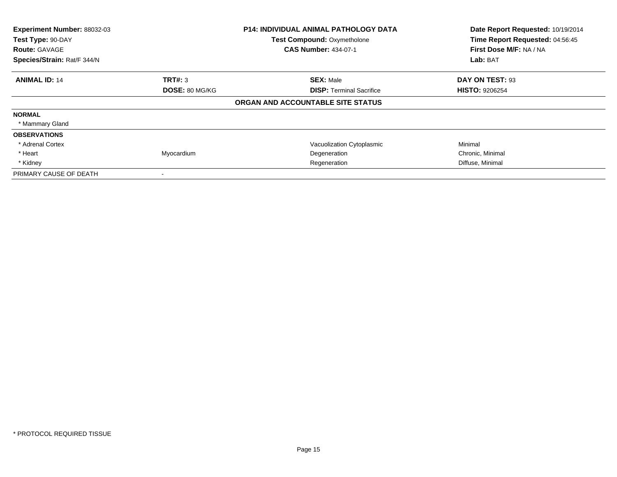| Experiment Number: 88032-03<br>Test Type: 90-DAY<br><b>Route: GAVAGE</b><br>Species/Strain: Rat/F 344/N |                | <b>P14: INDIVIDUAL ANIMAL PATHOLOGY DATA</b><br><b>Test Compound: Oxymetholone</b><br><b>CAS Number: 434-07-1</b> | Date Report Requested: 10/19/2014<br>Time Report Requested: 04:56:45<br>First Dose M/F: NA / NA<br>Lab: BAT |
|---------------------------------------------------------------------------------------------------------|----------------|-------------------------------------------------------------------------------------------------------------------|-------------------------------------------------------------------------------------------------------------|
| <b>ANIMAL ID: 14</b>                                                                                    | <b>TRT#:</b> 3 | <b>SEX: Male</b>                                                                                                  | DAY ON TEST: 93                                                                                             |
|                                                                                                         | DOSE: 80 MG/KG | <b>DISP: Terminal Sacrifice</b>                                                                                   | <b>HISTO: 9206254</b>                                                                                       |
|                                                                                                         |                | ORGAN AND ACCOUNTABLE SITE STATUS                                                                                 |                                                                                                             |
| <b>NORMAL</b>                                                                                           |                |                                                                                                                   |                                                                                                             |
| * Mammary Gland                                                                                         |                |                                                                                                                   |                                                                                                             |
| <b>OBSERVATIONS</b>                                                                                     |                |                                                                                                                   |                                                                                                             |
| * Adrenal Cortex                                                                                        |                | Vacuolization Cytoplasmic                                                                                         | Minimal                                                                                                     |
| * Heart                                                                                                 | Myocardium     | Degeneration                                                                                                      | Chronic, Minimal                                                                                            |
| * Kidney                                                                                                |                | Regeneration                                                                                                      | Diffuse, Minimal                                                                                            |
| PRIMARY CAUSE OF DEATH                                                                                  |                |                                                                                                                   |                                                                                                             |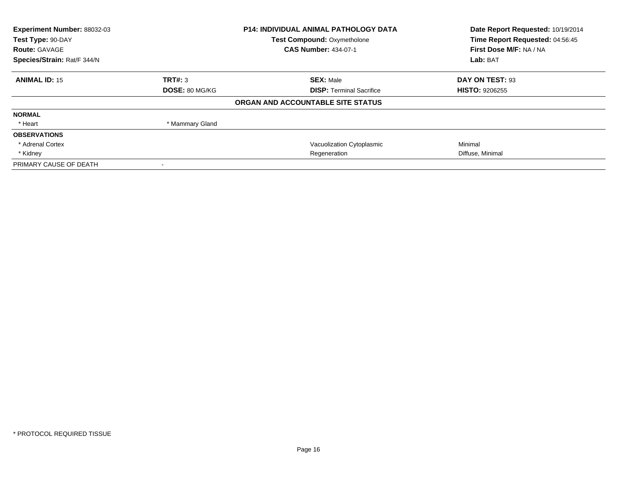| Experiment Number: 88032-03 |                 | <b>P14: INDIVIDUAL ANIMAL PATHOLOGY DATA</b> | Date Report Requested: 10/19/2014 |
|-----------------------------|-----------------|----------------------------------------------|-----------------------------------|
| Test Type: 90-DAY           |                 | <b>Test Compound: Oxymetholone</b>           | Time Report Requested: 04:56:45   |
| <b>Route: GAVAGE</b>        |                 | <b>CAS Number: 434-07-1</b>                  | First Dose M/F: NA / NA           |
| Species/Strain: Rat/F 344/N |                 |                                              | Lab: BAT                          |
| <b>ANIMAL ID: 15</b>        | TRT#: 3         | <b>SEX: Male</b>                             | DAY ON TEST: 93                   |
|                             | DOSE: 80 MG/KG  | <b>DISP: Terminal Sacrifice</b>              | <b>HISTO: 9206255</b>             |
|                             |                 | ORGAN AND ACCOUNTABLE SITE STATUS            |                                   |
| <b>NORMAL</b>               |                 |                                              |                                   |
| * Heart                     | * Mammary Gland |                                              |                                   |
| <b>OBSERVATIONS</b>         |                 |                                              |                                   |
| * Adrenal Cortex            |                 | Vacuolization Cytoplasmic                    | Minimal                           |
| * Kidney                    |                 | Regeneration                                 | Diffuse, Minimal                  |
| PRIMARY CAUSE OF DEATH      |                 |                                              |                                   |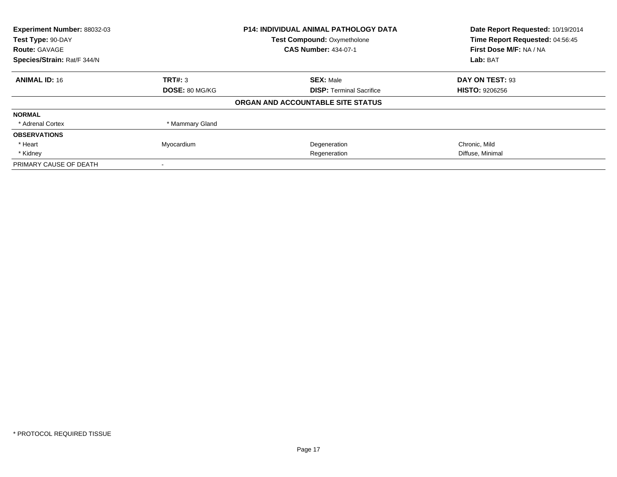| Experiment Number: 88032-03 |                 | <b>P14: INDIVIDUAL ANIMAL PATHOLOGY DATA</b> | Date Report Requested: 10/19/2014 |
|-----------------------------|-----------------|----------------------------------------------|-----------------------------------|
| Test Type: 90-DAY           |                 | <b>Test Compound: Oxymetholone</b>           | Time Report Requested: 04:56:45   |
| <b>Route: GAVAGE</b>        |                 | <b>CAS Number: 434-07-1</b>                  | First Dose M/F: NA / NA           |
| Species/Strain: Rat/F 344/N |                 |                                              | Lab: BAT                          |
| <b>ANIMAL ID: 16</b>        | TRT#: 3         | <b>SEX: Male</b>                             | DAY ON TEST: 93                   |
|                             | DOSE: 80 MG/KG  | <b>DISP:</b> Terminal Sacrifice              | <b>HISTO: 9206256</b>             |
|                             |                 | ORGAN AND ACCOUNTABLE SITE STATUS            |                                   |
| <b>NORMAL</b>               |                 |                                              |                                   |
| * Adrenal Cortex            | * Mammary Gland |                                              |                                   |
| <b>OBSERVATIONS</b>         |                 |                                              |                                   |
| * Heart                     | Myocardium      | Degeneration                                 | Chronic, Mild                     |
| * Kidney                    |                 | Regeneration                                 | Diffuse, Minimal                  |
| PRIMARY CAUSE OF DEATH      |                 |                                              |                                   |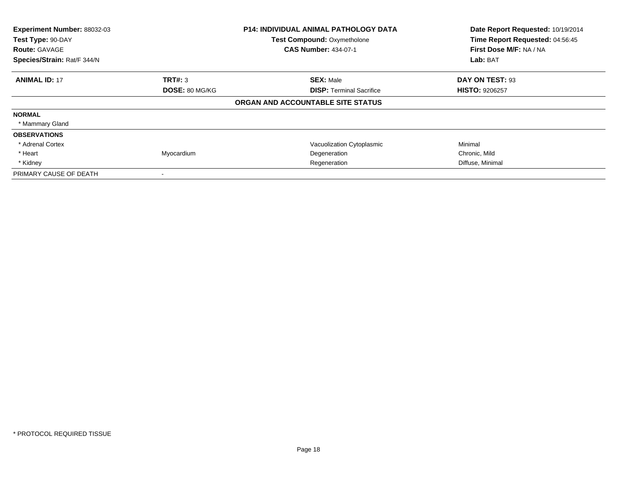| Experiment Number: 88032-03<br>Test Type: 90-DAY<br><b>Route: GAVAGE</b><br>Species/Strain: Rat/F 344/N |                | <b>P14: INDIVIDUAL ANIMAL PATHOLOGY DATA</b><br><b>Test Compound: Oxymetholone</b><br><b>CAS Number: 434-07-1</b> | Date Report Requested: 10/19/2014<br>Time Report Requested: 04:56:45<br>First Dose M/F: NA / NA<br>Lab: BAT |
|---------------------------------------------------------------------------------------------------------|----------------|-------------------------------------------------------------------------------------------------------------------|-------------------------------------------------------------------------------------------------------------|
| <b>ANIMAL ID: 17</b>                                                                                    | <b>TRT#: 3</b> | <b>SEX: Male</b>                                                                                                  | DAY ON TEST: 93                                                                                             |
|                                                                                                         | DOSE: 80 MG/KG | <b>DISP: Terminal Sacrifice</b>                                                                                   | <b>HISTO: 9206257</b>                                                                                       |
|                                                                                                         |                | ORGAN AND ACCOUNTABLE SITE STATUS                                                                                 |                                                                                                             |
| <b>NORMAL</b>                                                                                           |                |                                                                                                                   |                                                                                                             |
| * Mammary Gland                                                                                         |                |                                                                                                                   |                                                                                                             |
| <b>OBSERVATIONS</b>                                                                                     |                |                                                                                                                   |                                                                                                             |
| * Adrenal Cortex                                                                                        |                | Vacuolization Cytoplasmic                                                                                         | Minimal                                                                                                     |
| * Heart                                                                                                 | Myocardium     | Degeneration                                                                                                      | Chronic, Mild                                                                                               |
| * Kidney                                                                                                |                | Regeneration                                                                                                      | Diffuse, Minimal                                                                                            |
| PRIMARY CAUSE OF DEATH                                                                                  |                |                                                                                                                   |                                                                                                             |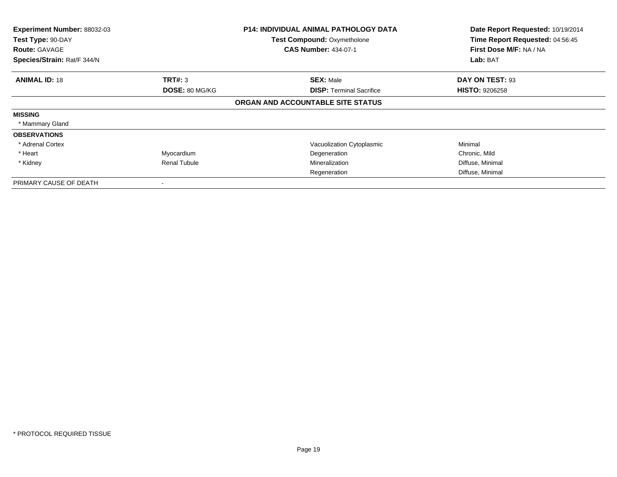| Experiment Number: 88032-03<br>Test Type: 90-DAY<br><b>Route: GAVAGE</b><br>Species/Strain: Rat/F 344/N |                       | <b>P14: INDIVIDUAL ANIMAL PATHOLOGY DATA</b><br><b>Test Compound: Oxymetholone</b><br><b>CAS Number: 434-07-1</b> | Date Report Requested: 10/19/2014<br>Time Report Requested: 04:56:45<br>First Dose M/F: NA / NA<br>Lab: BAT |
|---------------------------------------------------------------------------------------------------------|-----------------------|-------------------------------------------------------------------------------------------------------------------|-------------------------------------------------------------------------------------------------------------|
| <b>ANIMAL ID: 18</b>                                                                                    | TRT#: 3               | <b>SEX: Male</b>                                                                                                  | DAY ON TEST: 93                                                                                             |
|                                                                                                         | <b>DOSE: 80 MG/KG</b> | <b>DISP: Terminal Sacrifice</b>                                                                                   | <b>HISTO: 9206258</b>                                                                                       |
|                                                                                                         |                       | ORGAN AND ACCOUNTABLE SITE STATUS                                                                                 |                                                                                                             |
| <b>MISSING</b>                                                                                          |                       |                                                                                                                   |                                                                                                             |
| * Mammary Gland                                                                                         |                       |                                                                                                                   |                                                                                                             |
| <b>OBSERVATIONS</b>                                                                                     |                       |                                                                                                                   |                                                                                                             |
| * Adrenal Cortex                                                                                        |                       | Vacuolization Cytoplasmic                                                                                         | Minimal                                                                                                     |
| * Heart                                                                                                 | Myocardium            | Degeneration                                                                                                      | Chronic, Mild                                                                                               |
| * Kidney                                                                                                | <b>Renal Tubule</b>   | Mineralization                                                                                                    | Diffuse, Minimal                                                                                            |
|                                                                                                         |                       | Regeneration                                                                                                      | Diffuse, Minimal                                                                                            |
| PRIMARY CAUSE OF DEATH                                                                                  |                       |                                                                                                                   |                                                                                                             |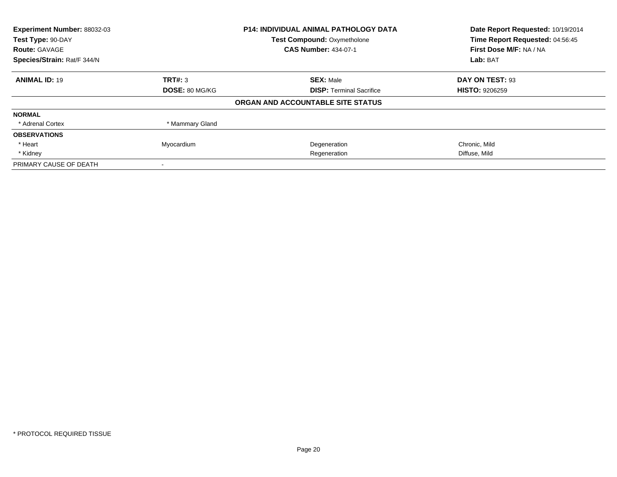| Experiment Number: 88032-03 |                 | <b>P14: INDIVIDUAL ANIMAL PATHOLOGY DATA</b> | Date Report Requested: 10/19/2014 |
|-----------------------------|-----------------|----------------------------------------------|-----------------------------------|
| Test Type: 90-DAY           |                 | <b>Test Compound: Oxymetholone</b>           | Time Report Requested: 04:56:45   |
| <b>Route: GAVAGE</b>        |                 | <b>CAS Number: 434-07-1</b>                  | First Dose M/F: NA / NA           |
| Species/Strain: Rat/F 344/N |                 |                                              | Lab: BAT                          |
| <b>ANIMAL ID: 19</b>        | TRT#: 3         | <b>SEX: Male</b>                             | DAY ON TEST: 93                   |
|                             | DOSE: 80 MG/KG  | <b>DISP:</b> Terminal Sacrifice              | <b>HISTO: 9206259</b>             |
|                             |                 | ORGAN AND ACCOUNTABLE SITE STATUS            |                                   |
| <b>NORMAL</b>               |                 |                                              |                                   |
| * Adrenal Cortex            | * Mammary Gland |                                              |                                   |
| <b>OBSERVATIONS</b>         |                 |                                              |                                   |
| * Heart                     | Myocardium      | Degeneration                                 | Chronic, Mild                     |
| * Kidney                    |                 | Regeneration                                 | Diffuse, Mild                     |
| PRIMARY CAUSE OF DEATH      |                 |                                              |                                   |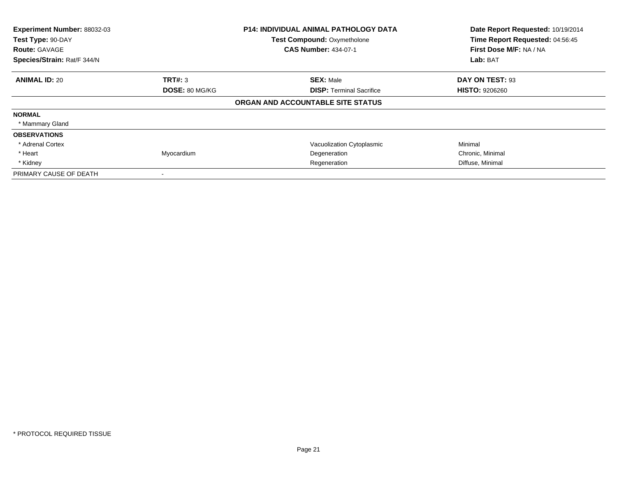| Experiment Number: 88032-03<br>Test Type: 90-DAY<br><b>Route: GAVAGE</b><br>Species/Strain: Rat/F 344/N |                | <b>P14: INDIVIDUAL ANIMAL PATHOLOGY DATA</b><br><b>Test Compound: Oxymetholone</b><br><b>CAS Number: 434-07-1</b> | Date Report Requested: 10/19/2014<br>Time Report Requested: 04:56:45<br>First Dose M/F: NA / NA<br>Lab: BAT |
|---------------------------------------------------------------------------------------------------------|----------------|-------------------------------------------------------------------------------------------------------------------|-------------------------------------------------------------------------------------------------------------|
| <b>ANIMAL ID: 20</b>                                                                                    | <b>TRT#:</b> 3 | <b>SEX: Male</b>                                                                                                  | DAY ON TEST: 93                                                                                             |
|                                                                                                         | DOSE: 80 MG/KG | <b>DISP: Terminal Sacrifice</b>                                                                                   | <b>HISTO: 9206260</b>                                                                                       |
|                                                                                                         |                | ORGAN AND ACCOUNTABLE SITE STATUS                                                                                 |                                                                                                             |
| <b>NORMAL</b>                                                                                           |                |                                                                                                                   |                                                                                                             |
| * Mammary Gland                                                                                         |                |                                                                                                                   |                                                                                                             |
| <b>OBSERVATIONS</b>                                                                                     |                |                                                                                                                   |                                                                                                             |
| * Adrenal Cortex                                                                                        |                | Vacuolization Cytoplasmic                                                                                         | Minimal                                                                                                     |
| * Heart                                                                                                 | Myocardium     | Degeneration                                                                                                      | Chronic, Minimal                                                                                            |
| * Kidney                                                                                                |                | Regeneration                                                                                                      | Diffuse, Minimal                                                                                            |
| PRIMARY CAUSE OF DEATH                                                                                  |                |                                                                                                                   |                                                                                                             |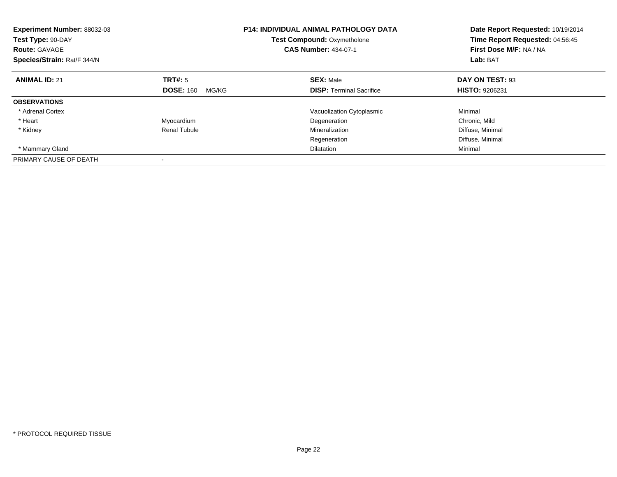| Experiment Number: 88032-03<br>Test Type: 90-DAY<br><b>Route: GAVAGE</b><br>Species/Strain: Rat/F 344/N |                           | <b>P14: INDIVIDUAL ANIMAL PATHOLOGY DATA</b><br><b>Test Compound: Oxymetholone</b><br><b>CAS Number: 434-07-1</b> | Date Report Requested: 10/19/2014<br>Time Report Requested: 04:56:45<br>First Dose M/F: NA / NA<br>Lab: BAT |
|---------------------------------------------------------------------------------------------------------|---------------------------|-------------------------------------------------------------------------------------------------------------------|-------------------------------------------------------------------------------------------------------------|
| <b>ANIMAL ID: 21</b>                                                                                    | TRT#: 5                   | <b>SEX: Male</b>                                                                                                  | DAY ON TEST: 93                                                                                             |
|                                                                                                         | <b>DOSE: 160</b><br>MG/KG | <b>DISP:</b> Terminal Sacrifice                                                                                   | <b>HISTO: 9206231</b>                                                                                       |
| <b>OBSERVATIONS</b>                                                                                     |                           |                                                                                                                   |                                                                                                             |
| * Adrenal Cortex                                                                                        |                           | Vacuolization Cytoplasmic                                                                                         | Minimal                                                                                                     |
| * Heart                                                                                                 | Myocardium                | Degeneration                                                                                                      | Chronic, Mild                                                                                               |
| * Kidney                                                                                                | Renal Tubule              | Mineralization                                                                                                    | Diffuse, Minimal                                                                                            |
|                                                                                                         |                           | Regeneration                                                                                                      | Diffuse, Minimal                                                                                            |
| * Mammary Gland                                                                                         |                           | <b>Dilatation</b>                                                                                                 | Minimal                                                                                                     |
| PRIMARY CAUSE OF DEATH                                                                                  |                           |                                                                                                                   |                                                                                                             |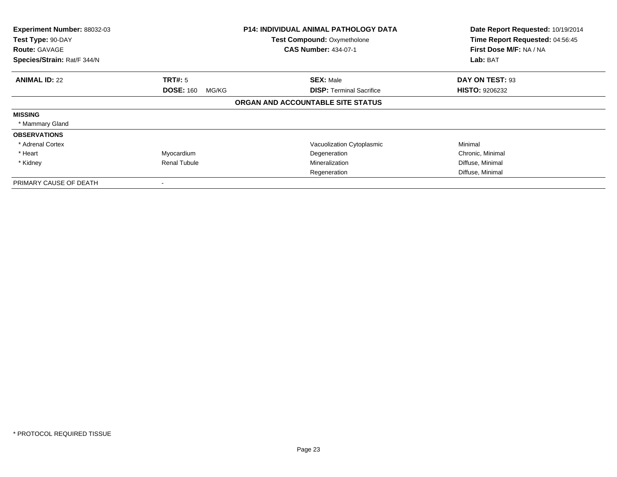| Experiment Number: 88032-03<br>Test Type: 90-DAY<br><b>Route: GAVAGE</b><br>Species/Strain: Rat/F 344/N |                           | P14: INDIVIDUAL ANIMAL PATHOLOGY DATA<br><b>Test Compound: Oxymetholone</b><br><b>CAS Number: 434-07-1</b> | Date Report Requested: 10/19/2014<br>Time Report Requested: 04:56:45<br>First Dose M/F: NA / NA<br>Lab: BAT |
|---------------------------------------------------------------------------------------------------------|---------------------------|------------------------------------------------------------------------------------------------------------|-------------------------------------------------------------------------------------------------------------|
| <b>ANIMAL ID: 22</b>                                                                                    | TRT#: 5                   | <b>SEX: Male</b>                                                                                           | DAY ON TEST: 93                                                                                             |
|                                                                                                         | <b>DOSE: 160</b><br>MG/KG | <b>DISP:</b> Terminal Sacrifice                                                                            | <b>HISTO: 9206232</b>                                                                                       |
|                                                                                                         |                           | ORGAN AND ACCOUNTABLE SITE STATUS                                                                          |                                                                                                             |
| <b>MISSING</b>                                                                                          |                           |                                                                                                            |                                                                                                             |
| * Mammary Gland                                                                                         |                           |                                                                                                            |                                                                                                             |
| <b>OBSERVATIONS</b>                                                                                     |                           |                                                                                                            |                                                                                                             |
| * Adrenal Cortex                                                                                        |                           | Vacuolization Cytoplasmic                                                                                  | Minimal                                                                                                     |
| * Heart                                                                                                 | Myocardium                | Degeneration                                                                                               | Chronic, Minimal                                                                                            |
| * Kidney                                                                                                | <b>Renal Tubule</b>       | Mineralization                                                                                             | Diffuse, Minimal                                                                                            |
|                                                                                                         |                           | Regeneration                                                                                               | Diffuse, Minimal                                                                                            |
| PRIMARY CAUSE OF DEATH                                                                                  |                           |                                                                                                            |                                                                                                             |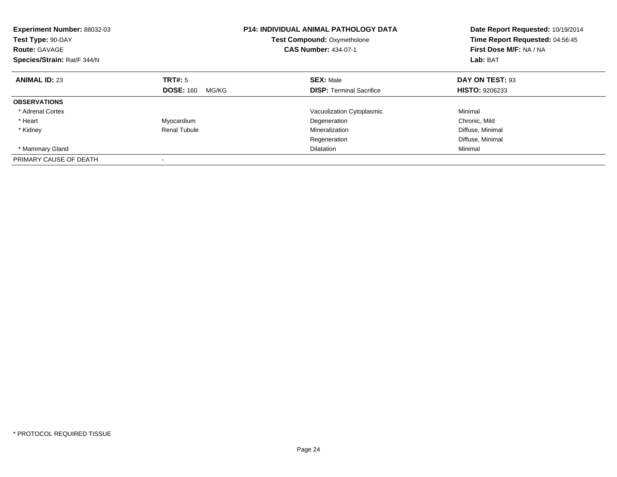| Experiment Number: 88032-03<br>Test Type: 90-DAY<br><b>Route: GAVAGE</b><br>Species/Strain: Rat/F 344/N |                           | <b>P14: INDIVIDUAL ANIMAL PATHOLOGY DATA</b><br><b>Test Compound: Oxymetholone</b><br><b>CAS Number: 434-07-1</b> | Date Report Requested: 10/19/2014<br>Time Report Requested: 04:56:45<br>First Dose M/F: NA / NA<br>Lab: BAT |
|---------------------------------------------------------------------------------------------------------|---------------------------|-------------------------------------------------------------------------------------------------------------------|-------------------------------------------------------------------------------------------------------------|
| <b>ANIMAL ID: 23</b>                                                                                    | TRT#: 5                   | <b>SEX: Male</b>                                                                                                  | DAY ON TEST: 93                                                                                             |
|                                                                                                         | <b>DOSE: 160</b><br>MG/KG | <b>DISP:</b> Terminal Sacrifice                                                                                   | <b>HISTO: 9206233</b>                                                                                       |
| <b>OBSERVATIONS</b>                                                                                     |                           |                                                                                                                   |                                                                                                             |
| * Adrenal Cortex                                                                                        |                           | Vacuolization Cytoplasmic                                                                                         | Minimal                                                                                                     |
| * Heart                                                                                                 | Myocardium                | Degeneration                                                                                                      | Chronic, Mild                                                                                               |
| * Kidney                                                                                                | Renal Tubule              | Mineralization                                                                                                    | Diffuse, Minimal                                                                                            |
|                                                                                                         |                           | Regeneration                                                                                                      | Diffuse, Minimal                                                                                            |
| * Mammary Gland                                                                                         |                           | <b>Dilatation</b>                                                                                                 | Minimal                                                                                                     |
| PRIMARY CAUSE OF DEATH                                                                                  |                           |                                                                                                                   |                                                                                                             |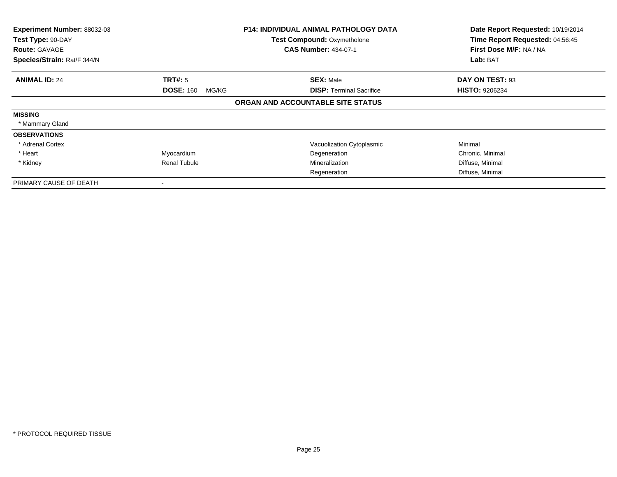| Experiment Number: 88032-03<br>Test Type: 90-DAY<br><b>Route: GAVAGE</b><br>Species/Strain: Rat/F 344/N |                           | <b>P14: INDIVIDUAL ANIMAL PATHOLOGY DATA</b><br><b>Test Compound: Oxymetholone</b><br><b>CAS Number: 434-07-1</b> | Date Report Requested: 10/19/2014<br>Time Report Requested: 04:56:45<br>First Dose M/F: NA / NA<br>Lab: BAT |
|---------------------------------------------------------------------------------------------------------|---------------------------|-------------------------------------------------------------------------------------------------------------------|-------------------------------------------------------------------------------------------------------------|
| <b>ANIMAL ID: 24</b>                                                                                    | TRT#: 5                   | <b>SEX: Male</b>                                                                                                  | DAY ON TEST: 93                                                                                             |
|                                                                                                         | <b>DOSE: 160</b><br>MG/KG | <b>DISP:</b> Terminal Sacrifice                                                                                   | <b>HISTO: 9206234</b>                                                                                       |
|                                                                                                         |                           | ORGAN AND ACCOUNTABLE SITE STATUS                                                                                 |                                                                                                             |
| <b>MISSING</b>                                                                                          |                           |                                                                                                                   |                                                                                                             |
| * Mammary Gland                                                                                         |                           |                                                                                                                   |                                                                                                             |
| <b>OBSERVATIONS</b>                                                                                     |                           |                                                                                                                   |                                                                                                             |
| * Adrenal Cortex                                                                                        |                           | Vacuolization Cytoplasmic                                                                                         | Minimal                                                                                                     |
| * Heart                                                                                                 | Myocardium                | Degeneration                                                                                                      | Chronic, Minimal                                                                                            |
| * Kidney                                                                                                | <b>Renal Tubule</b>       | Mineralization                                                                                                    | Diffuse, Minimal                                                                                            |
|                                                                                                         |                           | Regeneration                                                                                                      | Diffuse, Minimal                                                                                            |
| PRIMARY CAUSE OF DEATH                                                                                  |                           |                                                                                                                   |                                                                                                             |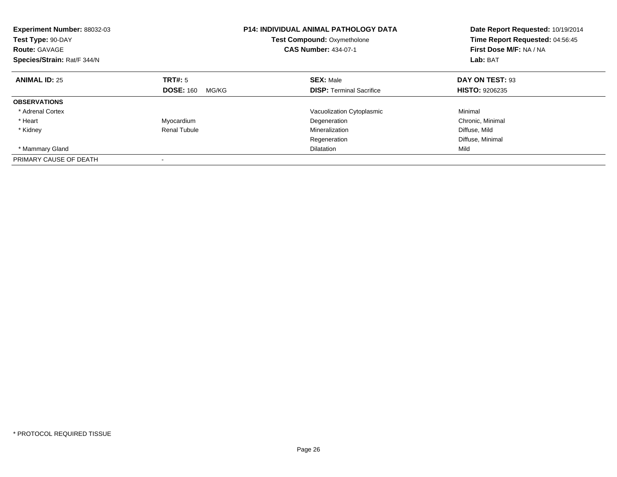| Experiment Number: 88032-03<br>Test Type: 90-DAY<br><b>Route: GAVAGE</b><br>Species/Strain: Rat/F 344/N |                           | <b>P14: INDIVIDUAL ANIMAL PATHOLOGY DATA</b><br><b>Test Compound: Oxymetholone</b><br><b>CAS Number: 434-07-1</b> | Date Report Requested: 10/19/2014<br>Time Report Requested: 04:56:45<br>First Dose M/F: NA / NA<br>Lab: BAT |
|---------------------------------------------------------------------------------------------------------|---------------------------|-------------------------------------------------------------------------------------------------------------------|-------------------------------------------------------------------------------------------------------------|
| <b>ANIMAL ID: 25</b>                                                                                    | TRT#: 5                   | <b>SEX: Male</b>                                                                                                  | DAY ON TEST: 93                                                                                             |
|                                                                                                         | <b>DOSE: 160</b><br>MG/KG | <b>DISP:</b> Terminal Sacrifice                                                                                   | <b>HISTO: 9206235</b>                                                                                       |
| <b>OBSERVATIONS</b>                                                                                     |                           |                                                                                                                   |                                                                                                             |
| * Adrenal Cortex                                                                                        |                           | Vacuolization Cytoplasmic                                                                                         | Minimal                                                                                                     |
| * Heart                                                                                                 | Myocardium                | Degeneration                                                                                                      | Chronic, Minimal                                                                                            |
| * Kidney                                                                                                | Renal Tubule              | Mineralization                                                                                                    | Diffuse, Mild                                                                                               |
|                                                                                                         |                           | Regeneration                                                                                                      | Diffuse, Minimal                                                                                            |
| * Mammary Gland                                                                                         |                           | <b>Dilatation</b>                                                                                                 | Mild                                                                                                        |
| PRIMARY CAUSE OF DEATH                                                                                  |                           |                                                                                                                   |                                                                                                             |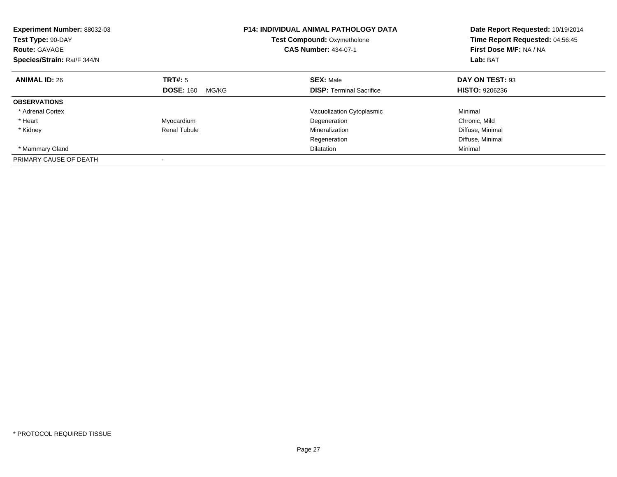| Experiment Number: 88032-03<br>Test Type: 90-DAY<br><b>Route: GAVAGE</b><br>Species/Strain: Rat/F 344/N |                           | <b>P14: INDIVIDUAL ANIMAL PATHOLOGY DATA</b><br><b>Test Compound: Oxymetholone</b><br><b>CAS Number: 434-07-1</b> | Date Report Requested: 10/19/2014<br>Time Report Requested: 04:56:45<br>First Dose M/F: NA / NA<br>Lab: BAT |
|---------------------------------------------------------------------------------------------------------|---------------------------|-------------------------------------------------------------------------------------------------------------------|-------------------------------------------------------------------------------------------------------------|
| <b>ANIMAL ID: 26</b>                                                                                    | TRT#: 5                   | <b>SEX: Male</b>                                                                                                  | DAY ON TEST: 93                                                                                             |
|                                                                                                         | <b>DOSE: 160</b><br>MG/KG | <b>DISP:</b> Terminal Sacrifice                                                                                   | <b>HISTO: 9206236</b>                                                                                       |
| <b>OBSERVATIONS</b>                                                                                     |                           |                                                                                                                   |                                                                                                             |
| * Adrenal Cortex                                                                                        |                           | Vacuolization Cytoplasmic                                                                                         | Minimal                                                                                                     |
| * Heart                                                                                                 | Myocardium                | Degeneration                                                                                                      | Chronic, Mild                                                                                               |
| * Kidney                                                                                                | Renal Tubule              | Mineralization                                                                                                    | Diffuse, Minimal                                                                                            |
|                                                                                                         |                           | Regeneration                                                                                                      | Diffuse, Minimal                                                                                            |
| * Mammary Gland                                                                                         |                           | <b>Dilatation</b>                                                                                                 | Minimal                                                                                                     |
| PRIMARY CAUSE OF DEATH                                                                                  |                           |                                                                                                                   |                                                                                                             |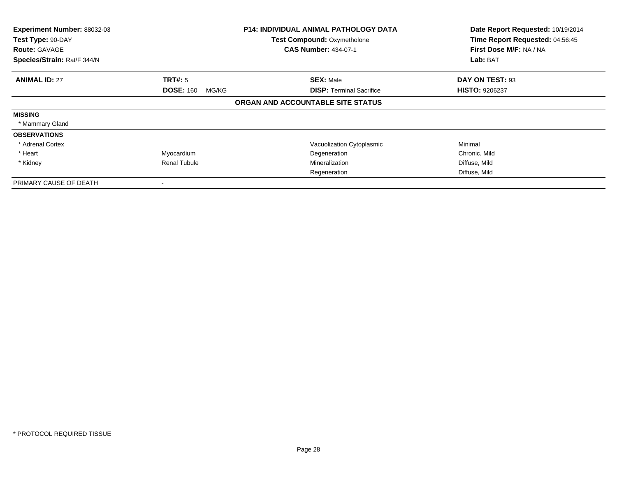| Experiment Number: 88032-03<br>Test Type: 90-DAY<br><b>Route: GAVAGE</b><br>Species/Strain: Rat/F 344/N |                           | <b>P14: INDIVIDUAL ANIMAL PATHOLOGY DATA</b><br><b>Test Compound: Oxymetholone</b><br><b>CAS Number: 434-07-1</b> | Date Report Requested: 10/19/2014<br>Time Report Requested: 04:56:45<br>First Dose M/F: NA / NA<br>Lab: BAT |
|---------------------------------------------------------------------------------------------------------|---------------------------|-------------------------------------------------------------------------------------------------------------------|-------------------------------------------------------------------------------------------------------------|
|                                                                                                         |                           |                                                                                                                   |                                                                                                             |
| <b>ANIMAL ID: 27</b>                                                                                    | <b>TRT#: 5</b>            | <b>SEX: Male</b>                                                                                                  | DAY ON TEST: 93                                                                                             |
|                                                                                                         | <b>DOSE: 160</b><br>MG/KG | <b>DISP: Terminal Sacrifice</b>                                                                                   | <b>HISTO: 9206237</b>                                                                                       |
|                                                                                                         |                           | ORGAN AND ACCOUNTABLE SITE STATUS                                                                                 |                                                                                                             |
| <b>MISSING</b>                                                                                          |                           |                                                                                                                   |                                                                                                             |
| * Mammary Gland                                                                                         |                           |                                                                                                                   |                                                                                                             |
| <b>OBSERVATIONS</b>                                                                                     |                           |                                                                                                                   |                                                                                                             |
| * Adrenal Cortex                                                                                        |                           | Vacuolization Cytoplasmic                                                                                         | Minimal                                                                                                     |
| * Heart                                                                                                 | Myocardium                | Degeneration                                                                                                      | Chronic, Mild                                                                                               |
| * Kidney                                                                                                | <b>Renal Tubule</b>       | Mineralization                                                                                                    | Diffuse, Mild                                                                                               |
|                                                                                                         |                           | Regeneration                                                                                                      | Diffuse, Mild                                                                                               |
| PRIMARY CAUSE OF DEATH                                                                                  |                           |                                                                                                                   |                                                                                                             |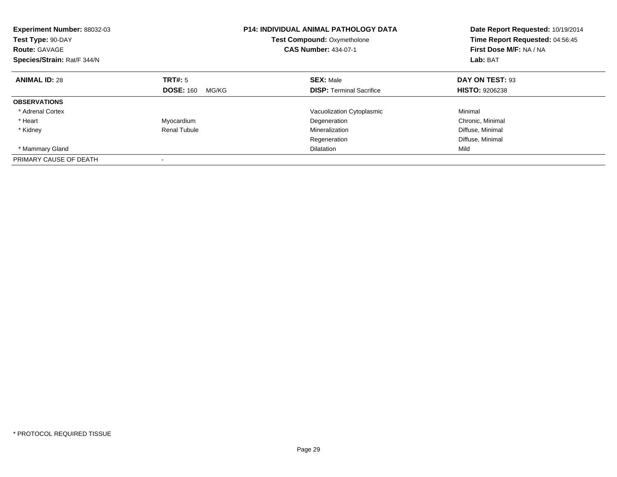| Experiment Number: 88032-03<br>Test Type: 90-DAY<br><b>Route: GAVAGE</b><br>Species/Strain: Rat/F 344/N |                           | <b>P14: INDIVIDUAL ANIMAL PATHOLOGY DATA</b><br><b>Test Compound: Oxymetholone</b><br><b>CAS Number: 434-07-1</b> | Date Report Requested: 10/19/2014<br>Time Report Requested: 04:56:45<br>First Dose M/F: NA / NA<br>Lab: BAT |
|---------------------------------------------------------------------------------------------------------|---------------------------|-------------------------------------------------------------------------------------------------------------------|-------------------------------------------------------------------------------------------------------------|
| <b>ANIMAL ID: 28</b>                                                                                    | TRT#: 5                   | <b>SEX: Male</b>                                                                                                  | DAY ON TEST: 93                                                                                             |
|                                                                                                         | <b>DOSE: 160</b><br>MG/KG | <b>DISP:</b> Terminal Sacrifice                                                                                   | <b>HISTO: 9206238</b>                                                                                       |
| <b>OBSERVATIONS</b>                                                                                     |                           |                                                                                                                   |                                                                                                             |
| * Adrenal Cortex                                                                                        |                           | Vacuolization Cytoplasmic                                                                                         | Minimal                                                                                                     |
| * Heart                                                                                                 | Myocardium                | Degeneration                                                                                                      | Chronic, Minimal                                                                                            |
| * Kidney                                                                                                | Renal Tubule              | Mineralization                                                                                                    | Diffuse, Minimal                                                                                            |
|                                                                                                         |                           | Regeneration                                                                                                      | Diffuse, Minimal                                                                                            |
| * Mammary Gland                                                                                         |                           | <b>Dilatation</b>                                                                                                 | Mild                                                                                                        |
| PRIMARY CAUSE OF DEATH                                                                                  |                           |                                                                                                                   |                                                                                                             |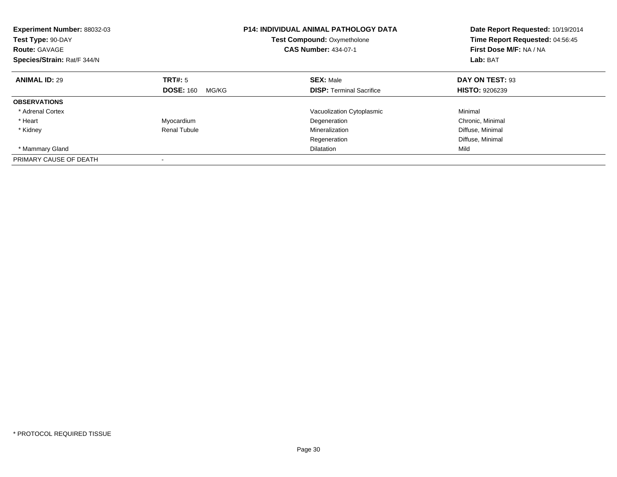| Experiment Number: 88032-03<br>Test Type: 90-DAY<br><b>Route: GAVAGE</b><br>Species/Strain: Rat/F 344/N |                           | <b>P14: INDIVIDUAL ANIMAL PATHOLOGY DATA</b><br><b>Test Compound: Oxymetholone</b><br><b>CAS Number: 434-07-1</b> | Date Report Requested: 10/19/2014<br>Time Report Requested: 04:56:45<br>First Dose M/F: NA / NA<br>Lab: BAT |
|---------------------------------------------------------------------------------------------------------|---------------------------|-------------------------------------------------------------------------------------------------------------------|-------------------------------------------------------------------------------------------------------------|
| <b>ANIMAL ID: 29</b>                                                                                    | TRT#: 5                   | <b>SEX: Male</b>                                                                                                  | DAY ON TEST: 93                                                                                             |
|                                                                                                         | <b>DOSE: 160</b><br>MG/KG | <b>DISP:</b> Terminal Sacrifice                                                                                   | <b>HISTO: 9206239</b>                                                                                       |
| <b>OBSERVATIONS</b>                                                                                     |                           |                                                                                                                   |                                                                                                             |
| * Adrenal Cortex                                                                                        |                           | Vacuolization Cytoplasmic                                                                                         | Minimal                                                                                                     |
| * Heart                                                                                                 | Myocardium                | Degeneration                                                                                                      | Chronic, Minimal                                                                                            |
| * Kidney                                                                                                | Renal Tubule              | Mineralization                                                                                                    | Diffuse, Minimal                                                                                            |
|                                                                                                         |                           | Regeneration                                                                                                      | Diffuse, Minimal                                                                                            |
| * Mammary Gland                                                                                         |                           | <b>Dilatation</b>                                                                                                 | Mild                                                                                                        |
| PRIMARY CAUSE OF DEATH                                                                                  |                           |                                                                                                                   |                                                                                                             |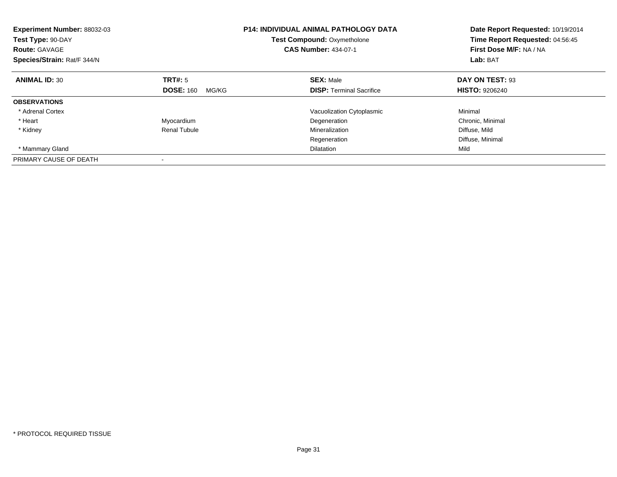| Experiment Number: 88032-03<br>Test Type: 90-DAY<br><b>Route: GAVAGE</b><br>Species/Strain: Rat/F 344/N |                           | <b>P14: INDIVIDUAL ANIMAL PATHOLOGY DATA</b><br><b>Test Compound: Oxymetholone</b><br><b>CAS Number: 434-07-1</b> | Date Report Requested: 10/19/2014<br>Time Report Requested: 04:56:45<br>First Dose M/F: NA / NA<br>Lab: BAT |
|---------------------------------------------------------------------------------------------------------|---------------------------|-------------------------------------------------------------------------------------------------------------------|-------------------------------------------------------------------------------------------------------------|
| <b>ANIMAL ID: 30</b>                                                                                    | TRT#: 5                   | <b>SEX: Male</b>                                                                                                  | DAY ON TEST: 93                                                                                             |
|                                                                                                         | <b>DOSE: 160</b><br>MG/KG | <b>DISP:</b> Terminal Sacrifice                                                                                   | <b>HISTO: 9206240</b>                                                                                       |
| <b>OBSERVATIONS</b>                                                                                     |                           |                                                                                                                   |                                                                                                             |
| * Adrenal Cortex                                                                                        |                           | Vacuolization Cytoplasmic                                                                                         | Minimal                                                                                                     |
| * Heart                                                                                                 | Myocardium                | Degeneration                                                                                                      | Chronic, Minimal                                                                                            |
| * Kidney                                                                                                | Renal Tubule              | Mineralization                                                                                                    | Diffuse, Mild                                                                                               |
|                                                                                                         |                           | Regeneration                                                                                                      | Diffuse, Minimal                                                                                            |
| * Mammary Gland                                                                                         |                           | <b>Dilatation</b>                                                                                                 | Mild                                                                                                        |
| PRIMARY CAUSE OF DEATH                                                                                  |                           |                                                                                                                   |                                                                                                             |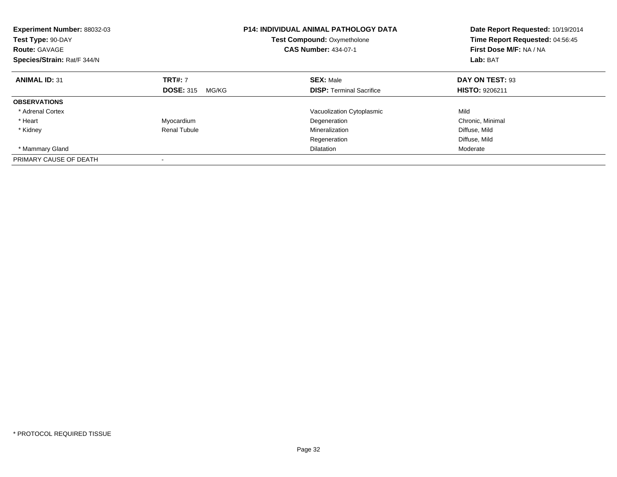| Experiment Number: 88032-03<br>Test Type: 90-DAY<br><b>Route: GAVAGE</b><br>Species/Strain: Rat/F 344/N |                           | <b>P14: INDIVIDUAL ANIMAL PATHOLOGY DATA</b><br><b>Test Compound: Oxymetholone</b><br><b>CAS Number: 434-07-1</b> | Date Report Requested: 10/19/2014<br>Time Report Requested: 04:56:45<br>First Dose M/F: NA / NA<br>Lab: BAT |
|---------------------------------------------------------------------------------------------------------|---------------------------|-------------------------------------------------------------------------------------------------------------------|-------------------------------------------------------------------------------------------------------------|
| <b>ANIMAL ID: 31</b>                                                                                    | <b>TRT#: 7</b>            | <b>SEX: Male</b>                                                                                                  | DAY ON TEST: 93                                                                                             |
|                                                                                                         | <b>DOSE: 315</b><br>MG/KG | <b>DISP:</b> Terminal Sacrifice                                                                                   | <b>HISTO: 9206211</b>                                                                                       |
| <b>OBSERVATIONS</b>                                                                                     |                           |                                                                                                                   |                                                                                                             |
| * Adrenal Cortex                                                                                        |                           | Vacuolization Cytoplasmic                                                                                         | Mild                                                                                                        |
| * Heart                                                                                                 | Myocardium                | Degeneration                                                                                                      | Chronic, Minimal                                                                                            |
| * Kidney                                                                                                | Renal Tubule              | Mineralization                                                                                                    | Diffuse, Mild                                                                                               |
|                                                                                                         |                           | Regeneration                                                                                                      | Diffuse, Mild                                                                                               |
| * Mammary Gland                                                                                         |                           | <b>Dilatation</b>                                                                                                 | Moderate                                                                                                    |
| PRIMARY CAUSE OF DEATH                                                                                  |                           |                                                                                                                   |                                                                                                             |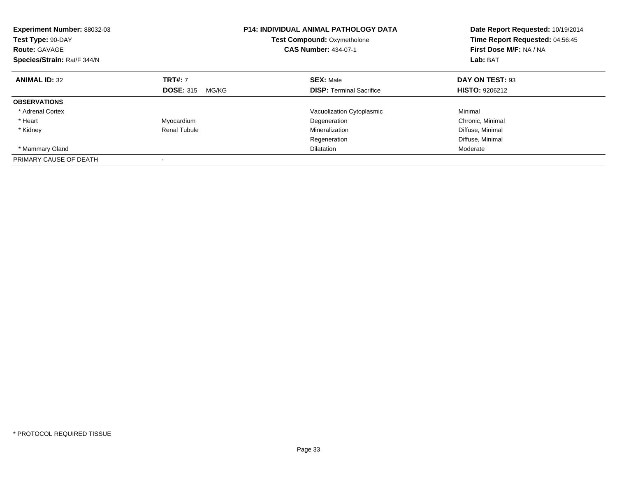| Experiment Number: 88032-03<br>Test Type: 90-DAY<br><b>Route: GAVAGE</b><br>Species/Strain: Rat/F 344/N |                           | <b>P14: INDIVIDUAL ANIMAL PATHOLOGY DATA</b><br><b>Test Compound: Oxymetholone</b><br><b>CAS Number: 434-07-1</b> | Date Report Requested: 10/19/2014<br>Time Report Requested: 04:56:45<br>First Dose M/F: NA / NA<br>Lab: BAT |
|---------------------------------------------------------------------------------------------------------|---------------------------|-------------------------------------------------------------------------------------------------------------------|-------------------------------------------------------------------------------------------------------------|
| <b>ANIMAL ID: 32</b>                                                                                    | <b>TRT#: 7</b>            | <b>SEX: Male</b>                                                                                                  | DAY ON TEST: 93                                                                                             |
|                                                                                                         | <b>DOSE: 315</b><br>MG/KG | <b>DISP:</b> Terminal Sacrifice                                                                                   | <b>HISTO: 9206212</b>                                                                                       |
| <b>OBSERVATIONS</b>                                                                                     |                           |                                                                                                                   |                                                                                                             |
| * Adrenal Cortex                                                                                        |                           | Vacuolization Cytoplasmic                                                                                         | Minimal                                                                                                     |
| * Heart                                                                                                 | Myocardium                | Degeneration                                                                                                      | Chronic, Minimal                                                                                            |
| * Kidney                                                                                                | Renal Tubule              | Mineralization                                                                                                    | Diffuse, Minimal                                                                                            |
|                                                                                                         |                           | Regeneration                                                                                                      | Diffuse, Minimal                                                                                            |
| * Mammary Gland                                                                                         |                           | <b>Dilatation</b>                                                                                                 | Moderate                                                                                                    |
| PRIMARY CAUSE OF DEATH                                                                                  |                           |                                                                                                                   |                                                                                                             |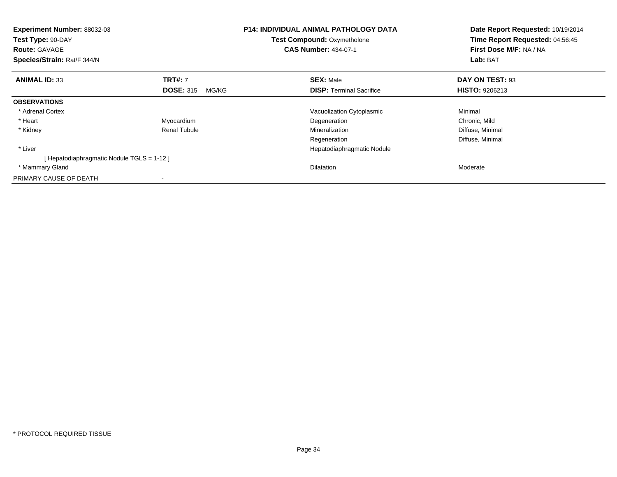| Experiment Number: 88032-03<br>Test Type: 90-DAY<br><b>Route: GAVAGE</b><br>Species/Strain: Rat/F 344/N |                           | <b>P14: INDIVIDUAL ANIMAL PATHOLOGY DATA</b><br><b>Test Compound: Oxymetholone</b><br><b>CAS Number: 434-07-1</b> | Date Report Requested: 10/19/2014<br>Time Report Requested: 04:56:45<br>First Dose M/F: NA / NA<br>Lab: BAT |
|---------------------------------------------------------------------------------------------------------|---------------------------|-------------------------------------------------------------------------------------------------------------------|-------------------------------------------------------------------------------------------------------------|
| <b>ANIMAL ID: 33</b>                                                                                    | <b>TRT#: 7</b>            | <b>SEX: Male</b>                                                                                                  | DAY ON TEST: 93                                                                                             |
|                                                                                                         | <b>DOSE: 315</b><br>MG/KG | <b>DISP:</b> Terminal Sacrifice                                                                                   | <b>HISTO: 9206213</b>                                                                                       |
| <b>OBSERVATIONS</b>                                                                                     |                           |                                                                                                                   |                                                                                                             |
| * Adrenal Cortex                                                                                        |                           | Vacuolization Cytoplasmic                                                                                         | Minimal                                                                                                     |
| * Heart                                                                                                 | Myocardium                | Degeneration                                                                                                      | Chronic, Mild                                                                                               |
| * Kidney                                                                                                | <b>Renal Tubule</b>       | Mineralization                                                                                                    | Diffuse, Minimal                                                                                            |
|                                                                                                         |                           | Regeneration                                                                                                      | Diffuse, Minimal                                                                                            |
| * Liver                                                                                                 |                           | Hepatodiaphragmatic Nodule                                                                                        |                                                                                                             |
| [Hepatodiaphragmatic Nodule TGLS = 1-12]                                                                |                           |                                                                                                                   |                                                                                                             |
| * Mammary Gland                                                                                         |                           | Dilatation                                                                                                        | Moderate                                                                                                    |
| PRIMARY CAUSE OF DEATH                                                                                  |                           |                                                                                                                   |                                                                                                             |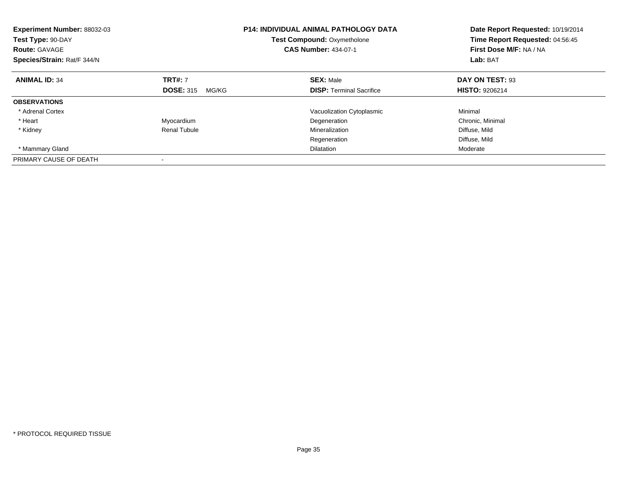| Experiment Number: 88032-03<br>Test Type: 90-DAY<br><b>Route: GAVAGE</b><br>Species/Strain: Rat/F 344/N |                           | <b>P14: INDIVIDUAL ANIMAL PATHOLOGY DATA</b><br><b>Test Compound: Oxymetholone</b><br><b>CAS Number: 434-07-1</b> | Date Report Requested: 10/19/2014<br>Time Report Requested: 04:56:45<br>First Dose M/F: NA / NA<br>Lab: BAT |
|---------------------------------------------------------------------------------------------------------|---------------------------|-------------------------------------------------------------------------------------------------------------------|-------------------------------------------------------------------------------------------------------------|
| <b>ANIMAL ID: 34</b>                                                                                    | <b>TRT#: 7</b>            | <b>SEX: Male</b>                                                                                                  | DAY ON TEST: 93                                                                                             |
|                                                                                                         | <b>DOSE: 315</b><br>MG/KG | <b>DISP:</b> Terminal Sacrifice                                                                                   | <b>HISTO: 9206214</b>                                                                                       |
| <b>OBSERVATIONS</b>                                                                                     |                           |                                                                                                                   |                                                                                                             |
| * Adrenal Cortex                                                                                        |                           | Vacuolization Cytoplasmic                                                                                         | Minimal                                                                                                     |
| * Heart                                                                                                 | Myocardium                | Degeneration                                                                                                      | Chronic, Minimal                                                                                            |
| * Kidney                                                                                                | Renal Tubule              | Mineralization                                                                                                    | Diffuse, Mild                                                                                               |
|                                                                                                         |                           | Regeneration                                                                                                      | Diffuse, Mild                                                                                               |
| * Mammary Gland                                                                                         |                           | <b>Dilatation</b>                                                                                                 | Moderate                                                                                                    |
| PRIMARY CAUSE OF DEATH                                                                                  |                           |                                                                                                                   |                                                                                                             |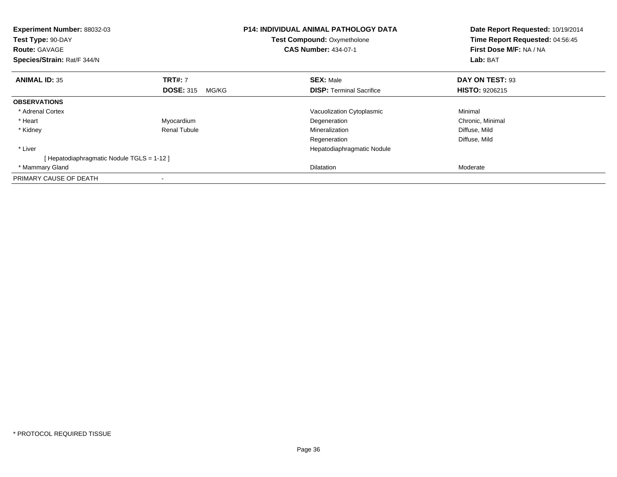| Experiment Number: 88032-03<br>Test Type: 90-DAY<br><b>Route: GAVAGE</b><br>Species/Strain: Rat/F 344/N |                           | <b>P14: INDIVIDUAL ANIMAL PATHOLOGY DATA</b><br>Test Compound: Oxymetholone<br><b>CAS Number: 434-07-1</b> | Date Report Requested: 10/19/2014<br>Time Report Requested: 04:56:45<br>First Dose M/F: NA / NA<br>Lab: BAT |
|---------------------------------------------------------------------------------------------------------|---------------------------|------------------------------------------------------------------------------------------------------------|-------------------------------------------------------------------------------------------------------------|
| <b>ANIMAL ID: 35</b>                                                                                    | <b>TRT#: 7</b>            | <b>SEX: Male</b>                                                                                           | DAY ON TEST: 93                                                                                             |
|                                                                                                         | <b>DOSE: 315</b><br>MG/KG | <b>DISP:</b> Terminal Sacrifice                                                                            | <b>HISTO: 9206215</b>                                                                                       |
| <b>OBSERVATIONS</b>                                                                                     |                           |                                                                                                            |                                                                                                             |
| * Adrenal Cortex                                                                                        |                           | Vacuolization Cytoplasmic                                                                                  | Minimal                                                                                                     |
| * Heart                                                                                                 | Myocardium                | Degeneration                                                                                               | Chronic, Minimal                                                                                            |
| * Kidney                                                                                                | <b>Renal Tubule</b>       | Mineralization                                                                                             | Diffuse, Mild                                                                                               |
|                                                                                                         |                           | Regeneration                                                                                               | Diffuse, Mild                                                                                               |
| * Liver                                                                                                 |                           | Hepatodiaphragmatic Nodule                                                                                 |                                                                                                             |
| [ Hepatodiaphragmatic Nodule TGLS = 1-12 ]                                                              |                           |                                                                                                            |                                                                                                             |
| * Mammary Gland                                                                                         |                           | Dilatation                                                                                                 | Moderate                                                                                                    |
| PRIMARY CAUSE OF DEATH                                                                                  |                           |                                                                                                            |                                                                                                             |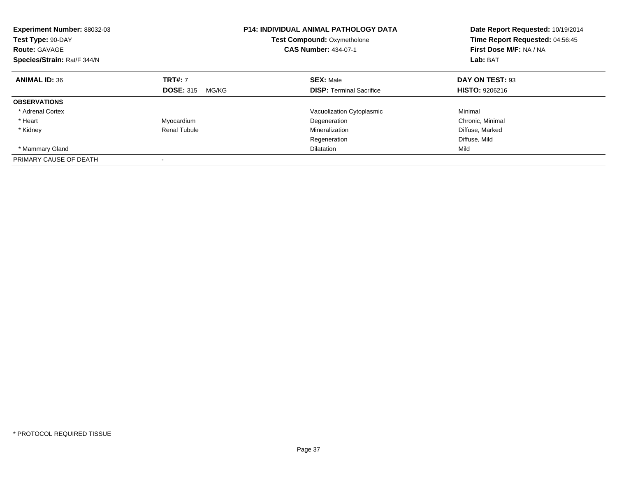| Experiment Number: 88032-03<br>Test Type: 90-DAY<br><b>Route: GAVAGE</b><br>Species/Strain: Rat/F 344/N |                           | <b>P14: INDIVIDUAL ANIMAL PATHOLOGY DATA</b><br><b>Test Compound: Oxymetholone</b><br><b>CAS Number: 434-07-1</b> | Date Report Requested: 10/19/2014<br>Time Report Requested: 04:56:45<br>First Dose M/F: NA / NA<br>Lab: BAT |
|---------------------------------------------------------------------------------------------------------|---------------------------|-------------------------------------------------------------------------------------------------------------------|-------------------------------------------------------------------------------------------------------------|
| <b>ANIMAL ID: 36</b>                                                                                    | <b>TRT#: 7</b>            | <b>SEX: Male</b>                                                                                                  | DAY ON TEST: 93                                                                                             |
|                                                                                                         | <b>DOSE: 315</b><br>MG/KG | <b>DISP:</b> Terminal Sacrifice                                                                                   | <b>HISTO: 9206216</b>                                                                                       |
| <b>OBSERVATIONS</b>                                                                                     |                           |                                                                                                                   |                                                                                                             |
| * Adrenal Cortex                                                                                        |                           | Vacuolization Cytoplasmic                                                                                         | Minimal                                                                                                     |
| * Heart                                                                                                 | Myocardium                | Degeneration                                                                                                      | Chronic, Minimal                                                                                            |
| * Kidney                                                                                                | Renal Tubule              | Mineralization                                                                                                    | Diffuse, Marked                                                                                             |
|                                                                                                         |                           | Regeneration                                                                                                      | Diffuse, Mild                                                                                               |
| * Mammary Gland                                                                                         |                           | <b>Dilatation</b>                                                                                                 | Mild                                                                                                        |
| PRIMARY CAUSE OF DEATH                                                                                  |                           |                                                                                                                   |                                                                                                             |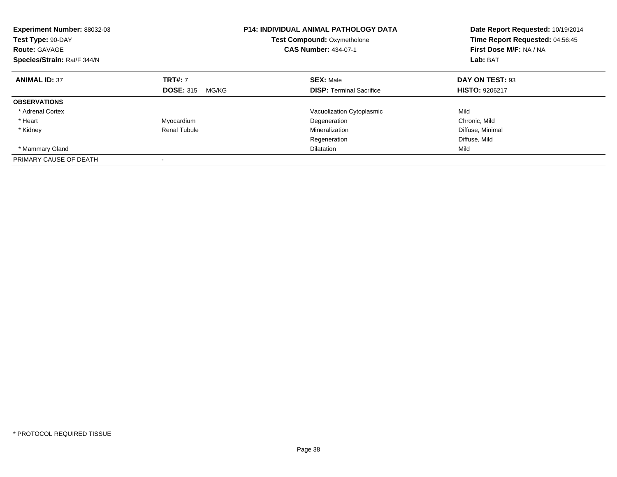| Experiment Number: 88032-03<br>Test Type: 90-DAY<br><b>Route: GAVAGE</b><br>Species/Strain: Rat/F 344/N |                           | <b>P14: INDIVIDUAL ANIMAL PATHOLOGY DATA</b><br><b>Test Compound: Oxymetholone</b><br><b>CAS Number: 434-07-1</b> | Date Report Requested: 10/19/2014<br>Time Report Requested: 04:56:45<br>First Dose M/F: NA / NA<br>Lab: BAT |
|---------------------------------------------------------------------------------------------------------|---------------------------|-------------------------------------------------------------------------------------------------------------------|-------------------------------------------------------------------------------------------------------------|
| <b>ANIMAL ID: 37</b>                                                                                    | <b>TRT#: 7</b>            | <b>SEX: Male</b>                                                                                                  | DAY ON TEST: 93                                                                                             |
|                                                                                                         | <b>DOSE: 315</b><br>MG/KG | <b>DISP:</b> Terminal Sacrifice                                                                                   | <b>HISTO: 9206217</b>                                                                                       |
| <b>OBSERVATIONS</b>                                                                                     |                           |                                                                                                                   |                                                                                                             |
| * Adrenal Cortex                                                                                        |                           | Vacuolization Cytoplasmic                                                                                         | Mild                                                                                                        |
| * Heart                                                                                                 | Myocardium                | Degeneration                                                                                                      | Chronic, Mild                                                                                               |
| * Kidney                                                                                                | <b>Renal Tubule</b>       | Mineralization                                                                                                    | Diffuse, Minimal                                                                                            |
|                                                                                                         |                           | Regeneration                                                                                                      | Diffuse, Mild                                                                                               |
| * Mammary Gland                                                                                         |                           | <b>Dilatation</b>                                                                                                 | Mild                                                                                                        |
| PRIMARY CAUSE OF DEATH                                                                                  |                           |                                                                                                                   |                                                                                                             |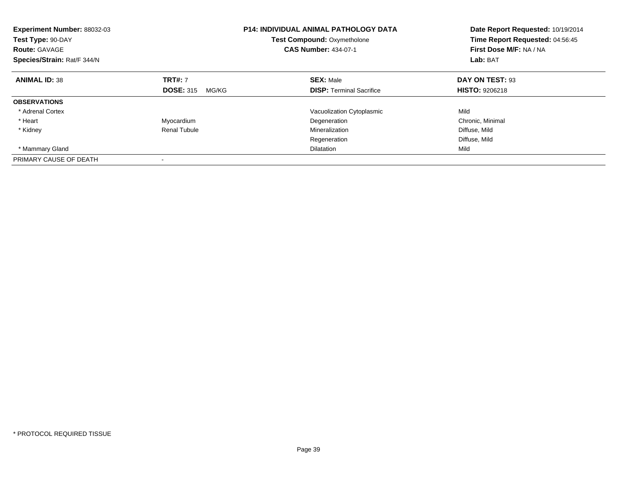| <b>Experiment Number: 88032-03</b><br>Test Type: 90-DAY<br><b>Route: GAVAGE</b><br>Species/Strain: Rat/F 344/N |                           | <b>P14: INDIVIDUAL ANIMAL PATHOLOGY DATA</b><br>Test Compound: Oxymetholone<br><b>CAS Number: 434-07-1</b> | Date Report Requested: 10/19/2014<br>Time Report Requested: 04:56:45<br>First Dose M/F: NA / NA<br>Lab: BAT |
|----------------------------------------------------------------------------------------------------------------|---------------------------|------------------------------------------------------------------------------------------------------------|-------------------------------------------------------------------------------------------------------------|
| <b>ANIMAL ID: 38</b>                                                                                           | <b>TRT#: 7</b>            | <b>SEX: Male</b>                                                                                           | DAY ON TEST: 93                                                                                             |
|                                                                                                                | <b>DOSE: 315</b><br>MG/KG | <b>DISP:</b> Terminal Sacrifice                                                                            | <b>HISTO: 9206218</b>                                                                                       |
| <b>OBSERVATIONS</b>                                                                                            |                           |                                                                                                            |                                                                                                             |
| * Adrenal Cortex                                                                                               |                           | Vacuolization Cytoplasmic                                                                                  | Mild                                                                                                        |
| * Heart                                                                                                        | Myocardium                | Degeneration                                                                                               | Chronic, Minimal                                                                                            |
| * Kidney                                                                                                       | <b>Renal Tubule</b>       | Mineralization                                                                                             | Diffuse, Mild                                                                                               |
|                                                                                                                |                           | Regeneration                                                                                               | Diffuse, Mild                                                                                               |
| * Mammary Gland                                                                                                |                           | <b>Dilatation</b>                                                                                          | Mild                                                                                                        |
| PRIMARY CAUSE OF DEATH                                                                                         |                           |                                                                                                            |                                                                                                             |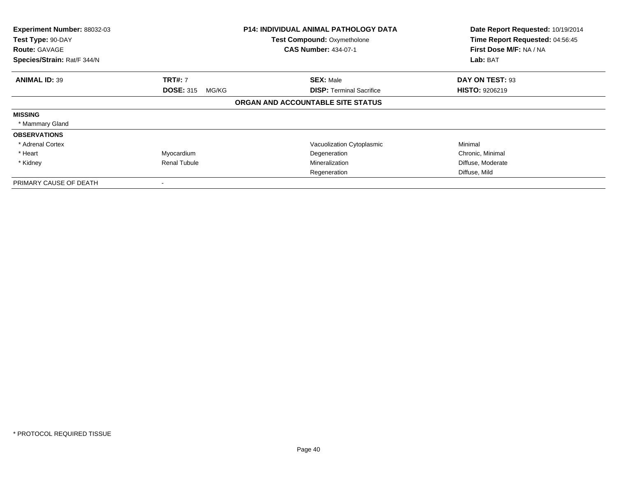| Experiment Number: 88032-03<br>Test Type: 90-DAY<br><b>Route: GAVAGE</b><br>Species/Strain: Rat/F 344/N |                                    | <b>P14: INDIVIDUAL ANIMAL PATHOLOGY DATA</b><br><b>Test Compound: Oxymetholone</b><br><b>CAS Number: 434-07-1</b> | Date Report Requested: 10/19/2014<br>Time Report Requested: 04:56:45<br>First Dose M/F: NA / NA<br>Lab: BAT |
|---------------------------------------------------------------------------------------------------------|------------------------------------|-------------------------------------------------------------------------------------------------------------------|-------------------------------------------------------------------------------------------------------------|
| <b>ANIMAL ID: 39</b>                                                                                    | <b>TRT#: 7</b><br><b>DOSE: 315</b> | <b>SEX: Male</b><br><b>DISP: Terminal Sacrifice</b>                                                               | DAY ON TEST: 93<br><b>HISTO: 9206219</b>                                                                    |
|                                                                                                         | MG/KG                              | ORGAN AND ACCOUNTABLE SITE STATUS                                                                                 |                                                                                                             |
| <b>MISSING</b>                                                                                          |                                    |                                                                                                                   |                                                                                                             |
| * Mammary Gland                                                                                         |                                    |                                                                                                                   |                                                                                                             |
| <b>OBSERVATIONS</b>                                                                                     |                                    |                                                                                                                   |                                                                                                             |
| * Adrenal Cortex                                                                                        |                                    | Vacuolization Cytoplasmic                                                                                         | Minimal                                                                                                     |
| * Heart                                                                                                 | Myocardium                         | Degeneration                                                                                                      | Chronic, Minimal                                                                                            |
| * Kidney                                                                                                | <b>Renal Tubule</b>                | Mineralization                                                                                                    | Diffuse, Moderate                                                                                           |
|                                                                                                         |                                    | Regeneration                                                                                                      | Diffuse, Mild                                                                                               |
| PRIMARY CAUSE OF DEATH                                                                                  |                                    |                                                                                                                   |                                                                                                             |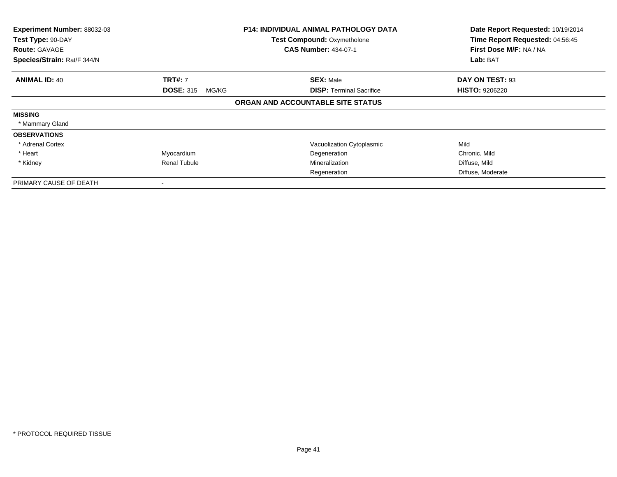| Experiment Number: 88032-03<br>Test Type: 90-DAY<br><b>Route: GAVAGE</b><br>Species/Strain: Rat/F 344/N |                           | <b>P14: INDIVIDUAL ANIMAL PATHOLOGY DATA</b><br><b>Test Compound: Oxymetholone</b><br><b>CAS Number: 434-07-1</b> | Date Report Requested: 10/19/2014<br>Time Report Requested: 04:56:45<br>First Dose M/F: NA / NA<br>Lab: BAT |
|---------------------------------------------------------------------------------------------------------|---------------------------|-------------------------------------------------------------------------------------------------------------------|-------------------------------------------------------------------------------------------------------------|
| <b>ANIMAL ID: 40</b>                                                                                    | <b>TRT#: 7</b>            | <b>SEX: Male</b>                                                                                                  | DAY ON TEST: 93                                                                                             |
|                                                                                                         | <b>DOSE: 315</b><br>MG/KG | <b>DISP: Terminal Sacrifice</b>                                                                                   | <b>HISTO: 9206220</b>                                                                                       |
|                                                                                                         |                           | ORGAN AND ACCOUNTABLE SITE STATUS                                                                                 |                                                                                                             |
| <b>MISSING</b>                                                                                          |                           |                                                                                                                   |                                                                                                             |
| * Mammary Gland                                                                                         |                           |                                                                                                                   |                                                                                                             |
| <b>OBSERVATIONS</b>                                                                                     |                           |                                                                                                                   |                                                                                                             |
| * Adrenal Cortex                                                                                        |                           | Vacuolization Cytoplasmic                                                                                         | Mild                                                                                                        |
| * Heart                                                                                                 | Myocardium                | Degeneration                                                                                                      | Chronic, Mild                                                                                               |
| * Kidney                                                                                                | <b>Renal Tubule</b>       | Mineralization                                                                                                    | Diffuse, Mild                                                                                               |
|                                                                                                         |                           | Regeneration                                                                                                      | Diffuse, Moderate                                                                                           |
| PRIMARY CAUSE OF DEATH                                                                                  |                           |                                                                                                                   |                                                                                                             |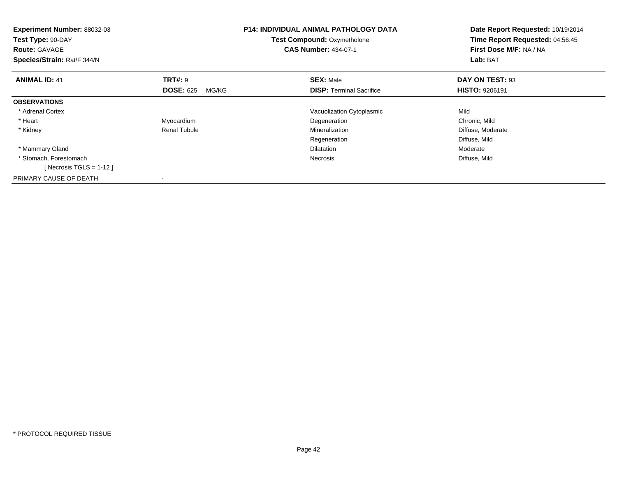| Experiment Number: 88032-03<br>Test Type: 90-DAY<br><b>Route: GAVAGE</b><br>Species/Strain: Rat/F 344/N |                           | <b>P14: INDIVIDUAL ANIMAL PATHOLOGY DATA</b><br><b>Test Compound: Oxymetholone</b><br><b>CAS Number: 434-07-1</b> | Date Report Requested: 10/19/2014<br>Time Report Requested: 04:56:45<br>First Dose M/F: NA / NA<br>Lab: BAT |
|---------------------------------------------------------------------------------------------------------|---------------------------|-------------------------------------------------------------------------------------------------------------------|-------------------------------------------------------------------------------------------------------------|
| <b>ANIMAL ID: 41</b>                                                                                    | <b>TRT#: 9</b>            | <b>SEX: Male</b>                                                                                                  | DAY ON TEST: 93                                                                                             |
|                                                                                                         | <b>DOSE: 625</b><br>MG/KG | <b>DISP:</b> Terminal Sacrifice                                                                                   | <b>HISTO: 9206191</b>                                                                                       |
| <b>OBSERVATIONS</b>                                                                                     |                           |                                                                                                                   |                                                                                                             |
| * Adrenal Cortex                                                                                        |                           | Vacuolization Cytoplasmic                                                                                         | Mild                                                                                                        |
| * Heart                                                                                                 | Myocardium                | Degeneration                                                                                                      | Chronic, Mild                                                                                               |
| * Kidney                                                                                                | Renal Tubule              | Mineralization                                                                                                    | Diffuse, Moderate                                                                                           |
|                                                                                                         |                           | Regeneration                                                                                                      | Diffuse, Mild                                                                                               |
| * Mammary Gland                                                                                         |                           | <b>Dilatation</b>                                                                                                 | Moderate                                                                                                    |
| * Stomach, Forestomach                                                                                  |                           | Necrosis                                                                                                          | Diffuse, Mild                                                                                               |
| [Necrosis TGLS = $1-12$ ]                                                                               |                           |                                                                                                                   |                                                                                                             |
| PRIMARY CAUSE OF DEATH                                                                                  |                           |                                                                                                                   |                                                                                                             |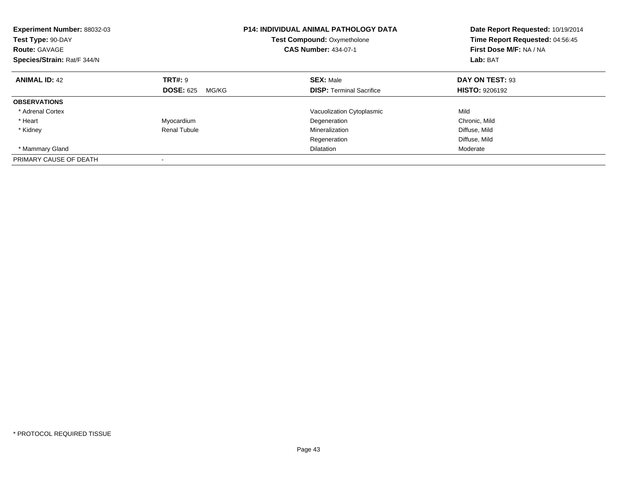| Experiment Number: 88032-03<br>Test Type: 90-DAY<br><b>Route: GAVAGE</b><br>Species/Strain: Rat/F 344/N |                           | <b>P14: INDIVIDUAL ANIMAL PATHOLOGY DATA</b><br><b>Test Compound: Oxymetholone</b><br><b>CAS Number: 434-07-1</b> | Date Report Requested: 10/19/2014<br>Time Report Requested: 04:56:45<br>First Dose M/F: NA / NA<br>Lab: BAT |
|---------------------------------------------------------------------------------------------------------|---------------------------|-------------------------------------------------------------------------------------------------------------------|-------------------------------------------------------------------------------------------------------------|
| <b>ANIMAL ID: 42</b>                                                                                    | TRT#: 9                   | <b>SEX: Male</b>                                                                                                  | DAY ON TEST: 93                                                                                             |
|                                                                                                         | <b>DOSE: 625</b><br>MG/KG | <b>DISP:</b> Terminal Sacrifice                                                                                   | <b>HISTO: 9206192</b>                                                                                       |
| <b>OBSERVATIONS</b>                                                                                     |                           |                                                                                                                   |                                                                                                             |
| * Adrenal Cortex                                                                                        |                           | Vacuolization Cytoplasmic                                                                                         | Mild                                                                                                        |
| * Heart                                                                                                 | Myocardium                | Degeneration                                                                                                      | Chronic, Mild                                                                                               |
| * Kidney                                                                                                | <b>Renal Tubule</b>       | Mineralization                                                                                                    | Diffuse, Mild                                                                                               |
|                                                                                                         |                           | Regeneration                                                                                                      | Diffuse, Mild                                                                                               |
| * Mammary Gland                                                                                         |                           | <b>Dilatation</b>                                                                                                 | Moderate                                                                                                    |
| PRIMARY CAUSE OF DEATH                                                                                  |                           |                                                                                                                   |                                                                                                             |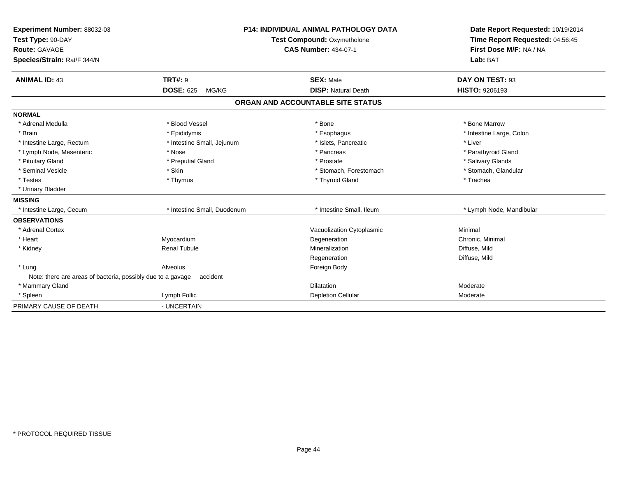| Experiment Number: 88032-03<br>Test Type: 90-DAY<br><b>Route: GAVAGE</b><br>Species/Strain: Rat/F 344/N |                                             | P14: INDIVIDUAL ANIMAL PATHOLOGY DATA<br><b>Test Compound: Oxymetholone</b><br><b>CAS Number: 434-07-1</b> | Date Report Requested: 10/19/2014<br>Time Report Requested: 04:56:45<br>First Dose M/F: NA / NA<br>Lab: BAT |
|---------------------------------------------------------------------------------------------------------|---------------------------------------------|------------------------------------------------------------------------------------------------------------|-------------------------------------------------------------------------------------------------------------|
| <b>ANIMAL ID: 43</b>                                                                                    | <b>TRT#: 9</b><br><b>DOSE: 625</b><br>MG/KG | <b>SEX: Male</b><br><b>DISP: Natural Death</b>                                                             | DAY ON TEST: 93<br>HISTO: 9206193                                                                           |
|                                                                                                         |                                             |                                                                                                            |                                                                                                             |
|                                                                                                         |                                             | ORGAN AND ACCOUNTABLE SITE STATUS                                                                          |                                                                                                             |
| <b>NORMAL</b>                                                                                           |                                             |                                                                                                            |                                                                                                             |
| * Adrenal Medulla                                                                                       | * Blood Vessel                              | * Bone                                                                                                     | * Bone Marrow                                                                                               |
| * Brain                                                                                                 | * Epididymis                                | * Esophagus                                                                                                | * Intestine Large, Colon                                                                                    |
| * Intestine Large, Rectum                                                                               | * Intestine Small, Jejunum                  | * Islets, Pancreatic                                                                                       | * Liver                                                                                                     |
| * Lymph Node, Mesenteric                                                                                | * Nose                                      | * Pancreas                                                                                                 | * Parathyroid Gland                                                                                         |
| * Pituitary Gland                                                                                       | * Preputial Gland                           | * Prostate                                                                                                 | * Salivary Glands                                                                                           |
| * Seminal Vesicle                                                                                       | * Skin                                      | * Stomach, Forestomach                                                                                     | * Stomach, Glandular                                                                                        |
| * Testes                                                                                                | * Thymus                                    | * Thyroid Gland                                                                                            | * Trachea                                                                                                   |
| * Urinary Bladder                                                                                       |                                             |                                                                                                            |                                                                                                             |
| <b>MISSING</b>                                                                                          |                                             |                                                                                                            |                                                                                                             |
| * Intestine Large, Cecum                                                                                | * Intestine Small, Duodenum                 | * Intestine Small. Ileum                                                                                   | * Lymph Node, Mandibular                                                                                    |
| <b>OBSERVATIONS</b>                                                                                     |                                             |                                                                                                            |                                                                                                             |
| * Adrenal Cortex                                                                                        |                                             | Vacuolization Cytoplasmic                                                                                  | Minimal                                                                                                     |
| * Heart                                                                                                 | Myocardium                                  | Degeneration                                                                                               | Chronic, Minimal                                                                                            |
| * Kidney                                                                                                | <b>Renal Tubule</b>                         | Mineralization                                                                                             | Diffuse, Mild                                                                                               |
|                                                                                                         |                                             | Regeneration                                                                                               | Diffuse, Mild                                                                                               |
| * Lung                                                                                                  | Alveolus                                    | Foreign Body                                                                                               |                                                                                                             |
| Note: there are areas of bacteria, possibly due to a gavage                                             | accident                                    |                                                                                                            |                                                                                                             |
| * Mammary Gland                                                                                         |                                             | <b>Dilatation</b>                                                                                          | Moderate                                                                                                    |
| * Spleen                                                                                                | Lymph Follic                                | Depletion Cellular                                                                                         | Moderate                                                                                                    |
| PRIMARY CAUSE OF DEATH                                                                                  | - UNCERTAIN                                 |                                                                                                            |                                                                                                             |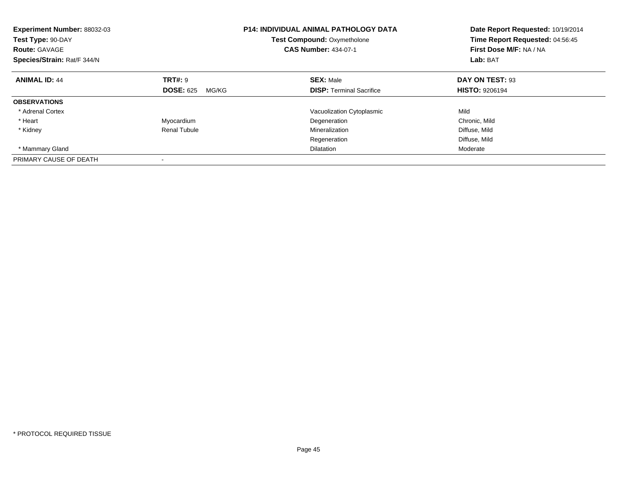| Experiment Number: 88032-03<br>Test Type: 90-DAY<br><b>Route: GAVAGE</b><br>Species/Strain: Rat/F 344/N |                           | <b>P14: INDIVIDUAL ANIMAL PATHOLOGY DATA</b><br><b>Test Compound: Oxymetholone</b><br><b>CAS Number: 434-07-1</b> | Date Report Requested: 10/19/2014<br>Time Report Requested: 04:56:45<br>First Dose M/F: NA / NA<br>Lab: BAT |
|---------------------------------------------------------------------------------------------------------|---------------------------|-------------------------------------------------------------------------------------------------------------------|-------------------------------------------------------------------------------------------------------------|
| <b>ANIMAL ID: 44</b>                                                                                    | <b>TRT#: 9</b>            | <b>SEX: Male</b>                                                                                                  | DAY ON TEST: 93                                                                                             |
|                                                                                                         | <b>DOSE: 625</b><br>MG/KG | <b>DISP:</b> Terminal Sacrifice                                                                                   | <b>HISTO: 9206194</b>                                                                                       |
| <b>OBSERVATIONS</b>                                                                                     |                           |                                                                                                                   |                                                                                                             |
| * Adrenal Cortex                                                                                        |                           | Vacuolization Cytoplasmic                                                                                         | Mild                                                                                                        |
| * Heart                                                                                                 | Myocardium                | Degeneration                                                                                                      | Chronic, Mild                                                                                               |
| * Kidney                                                                                                | <b>Renal Tubule</b>       | Mineralization                                                                                                    | Diffuse, Mild                                                                                               |
|                                                                                                         |                           | Regeneration                                                                                                      | Diffuse, Mild                                                                                               |
| * Mammary Gland                                                                                         |                           | <b>Dilatation</b>                                                                                                 | Moderate                                                                                                    |
| PRIMARY CAUSE OF DEATH                                                                                  |                           |                                                                                                                   |                                                                                                             |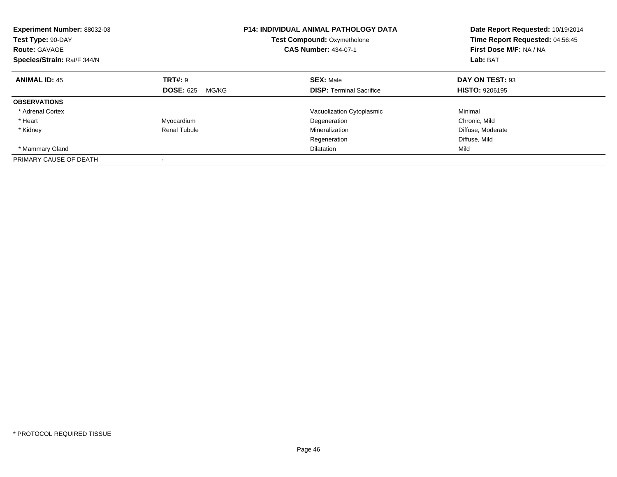| Experiment Number: 88032-03<br>Test Type: 90-DAY<br><b>Route: GAVAGE</b><br>Species/Strain: Rat/F 344/N |                           | <b>P14: INDIVIDUAL ANIMAL PATHOLOGY DATA</b><br><b>Test Compound: Oxymetholone</b><br><b>CAS Number: 434-07-1</b> | Date Report Requested: 10/19/2014<br>Time Report Requested: 04:56:45<br>First Dose M/F: NA / NA<br>Lab: BAT |
|---------------------------------------------------------------------------------------------------------|---------------------------|-------------------------------------------------------------------------------------------------------------------|-------------------------------------------------------------------------------------------------------------|
| <b>ANIMAL ID: 45</b>                                                                                    | TRT#: 9                   | <b>SEX: Male</b>                                                                                                  | DAY ON TEST: 93                                                                                             |
|                                                                                                         | <b>DOSE: 625</b><br>MG/KG | <b>DISP:</b> Terminal Sacrifice                                                                                   | <b>HISTO: 9206195</b>                                                                                       |
| <b>OBSERVATIONS</b>                                                                                     |                           |                                                                                                                   |                                                                                                             |
| * Adrenal Cortex                                                                                        |                           | Vacuolization Cytoplasmic                                                                                         | Minimal                                                                                                     |
| * Heart                                                                                                 | Myocardium                | Degeneration                                                                                                      | Chronic, Mild                                                                                               |
| * Kidney                                                                                                | Renal Tubule              | Mineralization                                                                                                    | Diffuse, Moderate                                                                                           |
|                                                                                                         |                           | Regeneration                                                                                                      | Diffuse, Mild                                                                                               |
| * Mammary Gland                                                                                         |                           | <b>Dilatation</b>                                                                                                 | Mild                                                                                                        |
| PRIMARY CAUSE OF DEATH                                                                                  |                           |                                                                                                                   |                                                                                                             |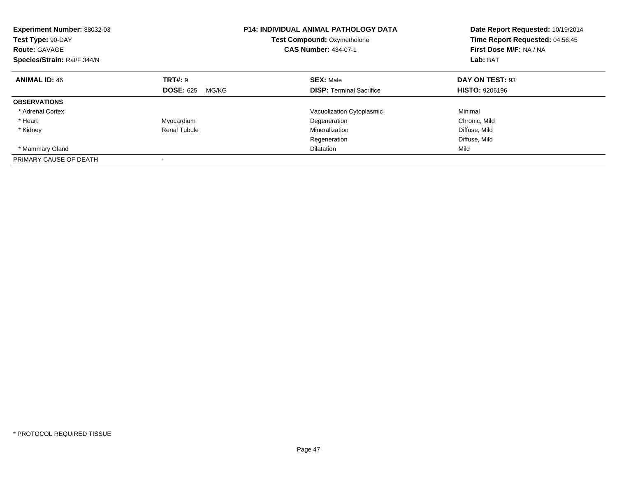| Experiment Number: 88032-03<br>Test Type: 90-DAY<br><b>Route: GAVAGE</b><br>Species/Strain: Rat/F 344/N |                           | <b>P14: INDIVIDUAL ANIMAL PATHOLOGY DATA</b><br><b>Test Compound: Oxymetholone</b><br><b>CAS Number: 434-07-1</b> | Date Report Requested: 10/19/2014<br>Time Report Requested: 04:56:45<br>First Dose M/F: NA / NA<br>Lab: BAT |
|---------------------------------------------------------------------------------------------------------|---------------------------|-------------------------------------------------------------------------------------------------------------------|-------------------------------------------------------------------------------------------------------------|
| <b>ANIMAL ID: 46</b>                                                                                    | TRT#: 9                   | <b>SEX: Male</b>                                                                                                  | DAY ON TEST: 93                                                                                             |
|                                                                                                         | <b>DOSE: 625</b><br>MG/KG | <b>DISP:</b> Terminal Sacrifice                                                                                   | <b>HISTO: 9206196</b>                                                                                       |
| <b>OBSERVATIONS</b>                                                                                     |                           |                                                                                                                   |                                                                                                             |
| * Adrenal Cortex                                                                                        |                           | Vacuolization Cytoplasmic                                                                                         | Minimal                                                                                                     |
| * Heart                                                                                                 | Myocardium                | Degeneration                                                                                                      | Chronic, Mild                                                                                               |
| * Kidney                                                                                                | <b>Renal Tubule</b>       | Mineralization                                                                                                    | Diffuse, Mild                                                                                               |
|                                                                                                         |                           | Regeneration                                                                                                      | Diffuse, Mild                                                                                               |
| * Mammary Gland                                                                                         |                           | <b>Dilatation</b>                                                                                                 | Mild                                                                                                        |
| PRIMARY CAUSE OF DEATH                                                                                  |                           |                                                                                                                   |                                                                                                             |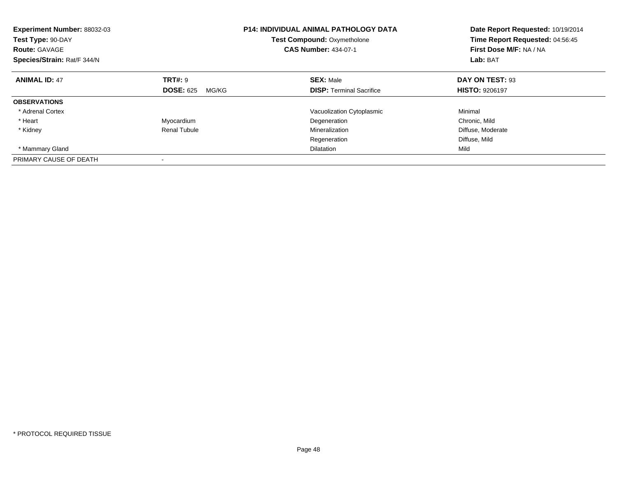| Experiment Number: 88032-03<br>Test Type: 90-DAY<br><b>Route: GAVAGE</b><br>Species/Strain: Rat/F 344/N |                           | <b>P14: INDIVIDUAL ANIMAL PATHOLOGY DATA</b><br><b>Test Compound: Oxymetholone</b><br><b>CAS Number: 434-07-1</b> | Date Report Requested: 10/19/2014<br>Time Report Requested: 04:56:45<br>First Dose M/F: NA / NA<br>Lab: BAT |
|---------------------------------------------------------------------------------------------------------|---------------------------|-------------------------------------------------------------------------------------------------------------------|-------------------------------------------------------------------------------------------------------------|
| <b>ANIMAL ID: 47</b>                                                                                    | TRT#: 9                   | <b>SEX: Male</b>                                                                                                  | DAY ON TEST: 93                                                                                             |
|                                                                                                         | <b>DOSE: 625</b><br>MG/KG | <b>DISP:</b> Terminal Sacrifice                                                                                   | <b>HISTO: 9206197</b>                                                                                       |
| <b>OBSERVATIONS</b>                                                                                     |                           |                                                                                                                   |                                                                                                             |
| * Adrenal Cortex                                                                                        |                           | Vacuolization Cytoplasmic                                                                                         | Minimal                                                                                                     |
| * Heart                                                                                                 | Myocardium                | Degeneration                                                                                                      | Chronic, Mild                                                                                               |
| * Kidney                                                                                                | Renal Tubule              | Mineralization                                                                                                    | Diffuse, Moderate                                                                                           |
|                                                                                                         |                           | Regeneration                                                                                                      | Diffuse, Mild                                                                                               |
| * Mammary Gland                                                                                         |                           | <b>Dilatation</b>                                                                                                 | Mild                                                                                                        |
| PRIMARY CAUSE OF DEATH                                                                                  |                           |                                                                                                                   |                                                                                                             |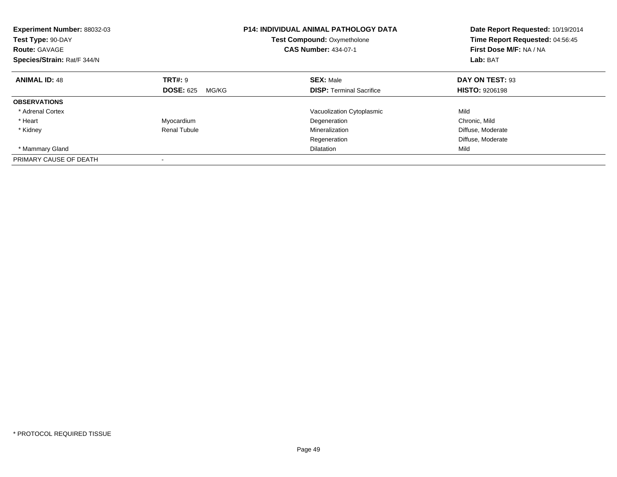| Experiment Number: 88032-03<br>Test Type: 90-DAY<br><b>Route: GAVAGE</b><br>Species/Strain: Rat/F 344/N |                           | <b>P14: INDIVIDUAL ANIMAL PATHOLOGY DATA</b><br><b>Test Compound: Oxymetholone</b><br><b>CAS Number: 434-07-1</b> | Date Report Requested: 10/19/2014<br>Time Report Requested: 04:56:45<br>First Dose M/F: NA / NA<br>Lab: BAT |
|---------------------------------------------------------------------------------------------------------|---------------------------|-------------------------------------------------------------------------------------------------------------------|-------------------------------------------------------------------------------------------------------------|
| <b>ANIMAL ID: 48</b>                                                                                    | TRT#: 9                   | <b>SEX: Male</b>                                                                                                  | DAY ON TEST: 93                                                                                             |
|                                                                                                         | <b>DOSE: 625</b><br>MG/KG | <b>DISP:</b> Terminal Sacrifice                                                                                   | <b>HISTO: 9206198</b>                                                                                       |
| <b>OBSERVATIONS</b>                                                                                     |                           |                                                                                                                   |                                                                                                             |
| * Adrenal Cortex                                                                                        |                           | Vacuolization Cytoplasmic                                                                                         | Mild                                                                                                        |
| * Heart                                                                                                 | Myocardium                | Degeneration                                                                                                      | Chronic, Mild                                                                                               |
| * Kidney                                                                                                | Renal Tubule              | Mineralization                                                                                                    | Diffuse, Moderate                                                                                           |
|                                                                                                         |                           | Regeneration                                                                                                      | Diffuse, Moderate                                                                                           |
| * Mammary Gland                                                                                         |                           | <b>Dilatation</b>                                                                                                 | Mild                                                                                                        |
| PRIMARY CAUSE OF DEATH                                                                                  |                           |                                                                                                                   |                                                                                                             |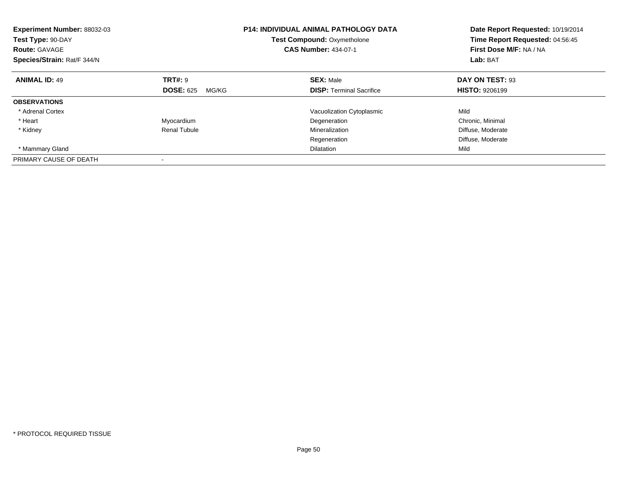| <b>Experiment Number: 88032-03</b><br>Test Type: 90-DAY<br><b>Route: GAVAGE</b><br>Species/Strain: Rat/F 344/N |                           | <b>P14: INDIVIDUAL ANIMAL PATHOLOGY DATA</b><br><b>Test Compound: Oxymetholone</b><br><b>CAS Number: 434-07-1</b> | Date Report Requested: 10/19/2014<br>Time Report Requested: 04:56:45<br>First Dose M/F: NA / NA<br>Lab: BAT |
|----------------------------------------------------------------------------------------------------------------|---------------------------|-------------------------------------------------------------------------------------------------------------------|-------------------------------------------------------------------------------------------------------------|
| <b>ANIMAL ID: 49</b>                                                                                           | TRT#: 9                   | <b>SEX: Male</b>                                                                                                  | DAY ON TEST: 93                                                                                             |
|                                                                                                                | <b>DOSE: 625</b><br>MG/KG | <b>DISP:</b> Terminal Sacrifice                                                                                   | <b>HISTO: 9206199</b>                                                                                       |
| <b>OBSERVATIONS</b>                                                                                            |                           |                                                                                                                   |                                                                                                             |
| * Adrenal Cortex                                                                                               |                           | Vacuolization Cytoplasmic                                                                                         | Mild                                                                                                        |
| * Heart                                                                                                        | Myocardium                | Degeneration                                                                                                      | Chronic, Minimal                                                                                            |
| * Kidney                                                                                                       | <b>Renal Tubule</b>       | Mineralization                                                                                                    | Diffuse, Moderate                                                                                           |
|                                                                                                                |                           | Regeneration                                                                                                      | Diffuse, Moderate                                                                                           |
| * Mammary Gland                                                                                                |                           | <b>Dilatation</b>                                                                                                 | Mild                                                                                                        |
| PRIMARY CAUSE OF DEATH                                                                                         |                           |                                                                                                                   |                                                                                                             |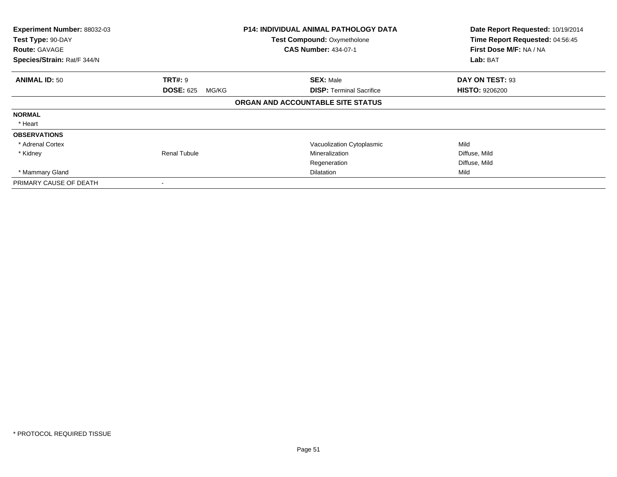| Experiment Number: 88032-03<br><b>P14: INDIVIDUAL ANIMAL PATHOLOGY DATA</b><br>Test Type: 90-DAY<br>Test Compound: Oxymetholone<br><b>CAS Number: 434-07-1</b><br><b>Route: GAVAGE</b> |                           |                                   | Date Report Requested: 10/19/2014<br>Time Report Requested: 04:56:45<br>First Dose M/F: NA / NA |
|----------------------------------------------------------------------------------------------------------------------------------------------------------------------------------------|---------------------------|-----------------------------------|-------------------------------------------------------------------------------------------------|
| Species/Strain: Rat/F 344/N                                                                                                                                                            |                           |                                   | Lab: BAT                                                                                        |
| <b>ANIMAL ID: 50</b>                                                                                                                                                                   | <b>TRT#:</b> 9            | <b>SEX: Male</b>                  | DAY ON TEST: 93                                                                                 |
|                                                                                                                                                                                        | <b>DOSE: 625</b><br>MG/KG | <b>DISP: Terminal Sacrifice</b>   | <b>HISTO: 9206200</b>                                                                           |
|                                                                                                                                                                                        |                           | ORGAN AND ACCOUNTABLE SITE STATUS |                                                                                                 |
| <b>NORMAL</b>                                                                                                                                                                          |                           |                                   |                                                                                                 |
| * Heart                                                                                                                                                                                |                           |                                   |                                                                                                 |
| <b>OBSERVATIONS</b>                                                                                                                                                                    |                           |                                   |                                                                                                 |
| * Adrenal Cortex                                                                                                                                                                       |                           | Vacuolization Cytoplasmic         | Mild                                                                                            |
| * Kidney                                                                                                                                                                               | <b>Renal Tubule</b>       | Mineralization                    | Diffuse, Mild                                                                                   |
|                                                                                                                                                                                        |                           | Regeneration                      | Diffuse, Mild                                                                                   |
| * Mammary Gland                                                                                                                                                                        |                           | Dilatation                        | Mild                                                                                            |
| PRIMARY CAUSE OF DEATH                                                                                                                                                                 |                           |                                   |                                                                                                 |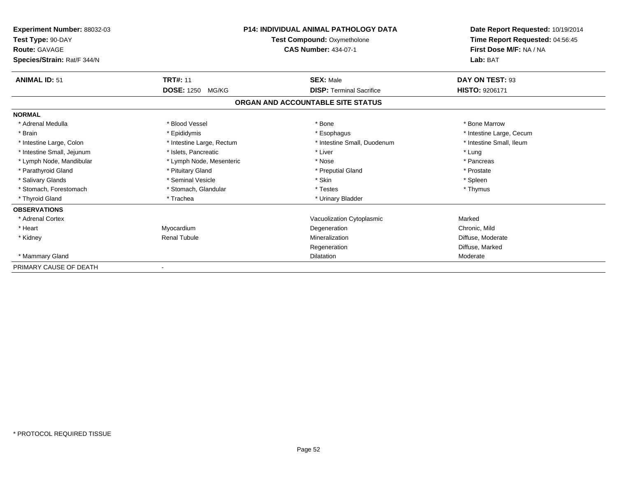| P14: INDIVIDUAL ANIMAL PATHOLOGY DATA<br><b>Experiment Number: 88032-03</b><br>Test Type: 90-DAY<br><b>Test Compound: Oxymetholone</b><br><b>CAS Number: 434-07-1</b><br><b>Route: GAVAGE</b><br>Species/Strain: Rat/F 344/N |                           |                                   | Date Report Requested: 10/19/2014<br>Time Report Requested: 04:56:45<br>First Dose M/F: NA / NA<br>Lab: BAT |
|------------------------------------------------------------------------------------------------------------------------------------------------------------------------------------------------------------------------------|---------------------------|-----------------------------------|-------------------------------------------------------------------------------------------------------------|
| <b>ANIMAL ID: 51</b>                                                                                                                                                                                                         | <b>TRT#: 11</b>           | <b>SEX: Male</b>                  | DAY ON TEST: 93                                                                                             |
|                                                                                                                                                                                                                              | <b>DOSE: 1250 MG/KG</b>   | <b>DISP: Terminal Sacrifice</b>   | <b>HISTO: 9206171</b>                                                                                       |
|                                                                                                                                                                                                                              |                           | ORGAN AND ACCOUNTABLE SITE STATUS |                                                                                                             |
| <b>NORMAL</b>                                                                                                                                                                                                                |                           |                                   |                                                                                                             |
| * Adrenal Medulla                                                                                                                                                                                                            | * Blood Vessel            | * Bone                            | * Bone Marrow                                                                                               |
| * Brain                                                                                                                                                                                                                      | * Epididymis              | * Esophagus                       | * Intestine Large, Cecum                                                                                    |
| * Intestine Large, Colon                                                                                                                                                                                                     | * Intestine Large, Rectum | * Intestine Small, Duodenum       | * Intestine Small, Ileum                                                                                    |
| * Intestine Small, Jejunum                                                                                                                                                                                                   | * Islets, Pancreatic      | * Liver                           | * Lung                                                                                                      |
| * Lymph Node, Mandibular                                                                                                                                                                                                     | * Lymph Node, Mesenteric  | * Nose                            | * Pancreas                                                                                                  |
| * Parathyroid Gland                                                                                                                                                                                                          | * Pituitary Gland         | * Preputial Gland                 | * Prostate                                                                                                  |
| * Salivary Glands                                                                                                                                                                                                            | * Seminal Vesicle         | * Skin                            | * Spleen                                                                                                    |
| * Stomach, Forestomach                                                                                                                                                                                                       | * Stomach, Glandular      | * Testes                          | * Thymus                                                                                                    |
| * Thyroid Gland                                                                                                                                                                                                              | * Trachea                 | * Urinary Bladder                 |                                                                                                             |
| <b>OBSERVATIONS</b>                                                                                                                                                                                                          |                           |                                   |                                                                                                             |
| * Adrenal Cortex                                                                                                                                                                                                             |                           | Vacuolization Cytoplasmic         | Marked                                                                                                      |
| * Heart                                                                                                                                                                                                                      | Myocardium                | Degeneration                      | Chronic, Mild                                                                                               |
| * Kidney                                                                                                                                                                                                                     | <b>Renal Tubule</b>       | Mineralization                    | Diffuse, Moderate                                                                                           |
|                                                                                                                                                                                                                              |                           | Regeneration                      | Diffuse, Marked                                                                                             |
| * Mammary Gland                                                                                                                                                                                                              |                           | <b>Dilatation</b>                 | Moderate                                                                                                    |
| PRIMARY CAUSE OF DEATH                                                                                                                                                                                                       |                           |                                   |                                                                                                             |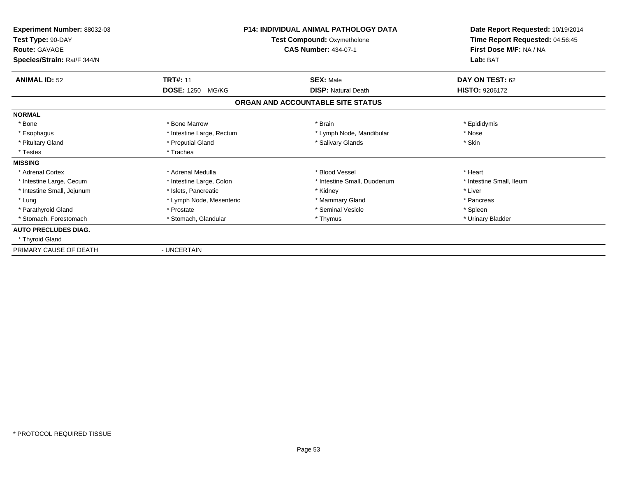| Experiment Number: 88032-03<br>Test Type: 90-DAY<br><b>Route: GAVAGE</b><br>Species/Strain: Rat/F 344/N |                            | <b>P14: INDIVIDUAL ANIMAL PATHOLOGY DATA</b><br>Test Compound: Oxymetholone<br><b>CAS Number: 434-07-1</b> | Date Report Requested: 10/19/2014<br>Time Report Requested: 04:56:45<br>First Dose M/F: NA / NA<br>Lab: BAT |
|---------------------------------------------------------------------------------------------------------|----------------------------|------------------------------------------------------------------------------------------------------------|-------------------------------------------------------------------------------------------------------------|
| <b>ANIMAL ID: 52</b>                                                                                    | <b>TRT#: 11</b>            | <b>SEX: Male</b>                                                                                           | DAY ON TEST: 62                                                                                             |
|                                                                                                         | <b>DOSE: 1250</b><br>MG/KG | <b>DISP: Natural Death</b>                                                                                 | <b>HISTO: 9206172</b>                                                                                       |
|                                                                                                         |                            | ORGAN AND ACCOUNTABLE SITE STATUS                                                                          |                                                                                                             |
| <b>NORMAL</b>                                                                                           |                            |                                                                                                            |                                                                                                             |
| * Bone                                                                                                  | * Bone Marrow              | * Brain                                                                                                    | * Epididymis                                                                                                |
| * Esophagus                                                                                             | * Intestine Large, Rectum  | * Lymph Node, Mandibular                                                                                   | * Nose                                                                                                      |
| * Pituitary Gland                                                                                       | * Preputial Gland          | * Salivary Glands                                                                                          | * Skin                                                                                                      |
| * Testes                                                                                                | * Trachea                  |                                                                                                            |                                                                                                             |
| <b>MISSING</b>                                                                                          |                            |                                                                                                            |                                                                                                             |
| * Adrenal Cortex                                                                                        | * Adrenal Medulla          | * Blood Vessel                                                                                             | * Heart                                                                                                     |
| * Intestine Large, Cecum                                                                                | * Intestine Large, Colon   | * Intestine Small, Duodenum                                                                                | * Intestine Small, Ileum                                                                                    |
| * Intestine Small, Jejunum                                                                              | * Islets, Pancreatic       | * Kidney                                                                                                   | * Liver                                                                                                     |
| * Lung                                                                                                  | * Lymph Node, Mesenteric   | * Mammary Gland                                                                                            | * Pancreas                                                                                                  |
| * Parathyroid Gland                                                                                     | * Prostate                 | * Seminal Vesicle                                                                                          | * Spleen                                                                                                    |
| * Stomach. Forestomach                                                                                  | * Stomach, Glandular       | * Thymus                                                                                                   | * Urinary Bladder                                                                                           |
| <b>AUTO PRECLUDES DIAG.</b>                                                                             |                            |                                                                                                            |                                                                                                             |
| * Thyroid Gland                                                                                         |                            |                                                                                                            |                                                                                                             |
| PRIMARY CAUSE OF DEATH                                                                                  | - UNCERTAIN                |                                                                                                            |                                                                                                             |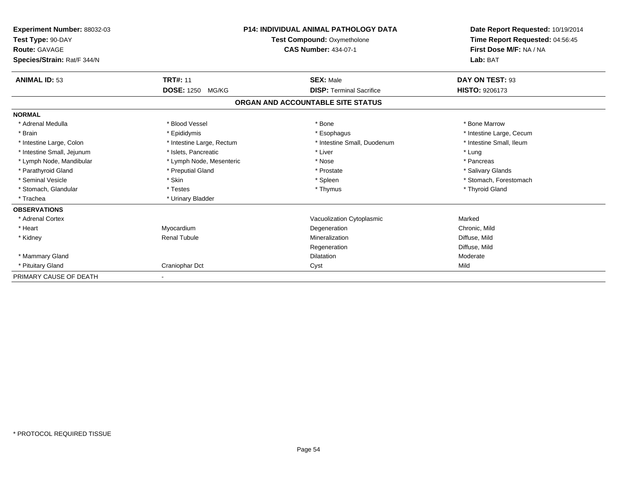| Experiment Number: 88032-03<br>Test Type: 90-DAY<br><b>Route: GAVAGE</b><br>Species/Strain: Rat/F 344/N |                           | <b>P14: INDIVIDUAL ANIMAL PATHOLOGY DATA</b><br><b>Test Compound: Oxymetholone</b><br><b>CAS Number: 434-07-1</b> | Date Report Requested: 10/19/2014<br>Time Report Requested: 04:56:45<br>First Dose M/F: NA / NA<br>Lab: BAT |
|---------------------------------------------------------------------------------------------------------|---------------------------|-------------------------------------------------------------------------------------------------------------------|-------------------------------------------------------------------------------------------------------------|
| <b>ANIMAL ID: 53</b>                                                                                    | <b>TRT#: 11</b>           | <b>SEX: Male</b>                                                                                                  | DAY ON TEST: 93                                                                                             |
|                                                                                                         | DOSE: 1250 MG/KG          | <b>DISP: Terminal Sacrifice</b>                                                                                   | HISTO: 9206173                                                                                              |
|                                                                                                         |                           | ORGAN AND ACCOUNTABLE SITE STATUS                                                                                 |                                                                                                             |
| <b>NORMAL</b>                                                                                           |                           |                                                                                                                   |                                                                                                             |
| * Adrenal Medulla                                                                                       | * Blood Vessel            | * Bone                                                                                                            | * Bone Marrow                                                                                               |
| * Brain                                                                                                 | * Epididymis              | * Esophagus                                                                                                       | * Intestine Large, Cecum                                                                                    |
| * Intestine Large, Colon                                                                                | * Intestine Large, Rectum | * Intestine Small, Duodenum                                                                                       | * Intestine Small, Ileum                                                                                    |
| * Intestine Small, Jejunum                                                                              | * Islets, Pancreatic      | * Liver                                                                                                           | * Lung                                                                                                      |
| * Lymph Node, Mandibular                                                                                | * Lymph Node, Mesenteric  | * Nose                                                                                                            | * Pancreas                                                                                                  |
| * Parathyroid Gland                                                                                     | * Preputial Gland         | * Prostate                                                                                                        | * Salivary Glands                                                                                           |
| * Seminal Vesicle                                                                                       | * Skin                    | * Spleen                                                                                                          | * Stomach, Forestomach                                                                                      |
| * Stomach, Glandular                                                                                    | * Testes                  | * Thymus                                                                                                          | * Thyroid Gland                                                                                             |
| * Trachea                                                                                               | * Urinary Bladder         |                                                                                                                   |                                                                                                             |
| <b>OBSERVATIONS</b>                                                                                     |                           |                                                                                                                   |                                                                                                             |
| * Adrenal Cortex                                                                                        |                           | Vacuolization Cytoplasmic                                                                                         | Marked                                                                                                      |
| * Heart                                                                                                 | Myocardium                | Degeneration                                                                                                      | Chronic, Mild                                                                                               |
| * Kidney                                                                                                | <b>Renal Tubule</b>       | Mineralization                                                                                                    | Diffuse, Mild                                                                                               |
|                                                                                                         |                           | Regeneration                                                                                                      | Diffuse, Mild                                                                                               |
| * Mammary Gland                                                                                         |                           | <b>Dilatation</b>                                                                                                 | Moderate                                                                                                    |
| * Pituitary Gland                                                                                       | Craniophar Dct            | Cyst                                                                                                              | Mild                                                                                                        |
| PRIMARY CAUSE OF DEATH                                                                                  |                           |                                                                                                                   |                                                                                                             |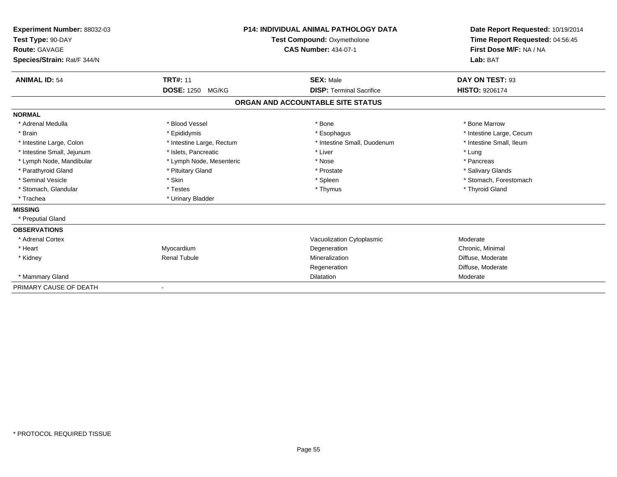| Experiment Number: 88032-03<br>Test Type: 90-DAY<br>Route: GAVAGE<br>Species/Strain: Rat/F 344/N |                           | <b>P14: INDIVIDUAL ANIMAL PATHOLOGY DATA</b><br>Test Compound: Oxymetholone<br><b>CAS Number: 434-07-1</b> | Date Report Requested: 10/19/2014<br>Time Report Requested: 04:56:45<br>First Dose M/F: NA / NA<br>Lab: BAT |
|--------------------------------------------------------------------------------------------------|---------------------------|------------------------------------------------------------------------------------------------------------|-------------------------------------------------------------------------------------------------------------|
| <b>ANIMAL ID: 54</b>                                                                             | <b>TRT#: 11</b>           | <b>SEX: Male</b>                                                                                           | DAY ON TEST: 93                                                                                             |
|                                                                                                  | DOSE: 1250 MG/KG          | <b>DISP: Terminal Sacrifice</b>                                                                            | <b>HISTO: 9206174</b>                                                                                       |
|                                                                                                  |                           | ORGAN AND ACCOUNTABLE SITE STATUS                                                                          |                                                                                                             |
| <b>NORMAL</b>                                                                                    |                           |                                                                                                            |                                                                                                             |
| * Adrenal Medulla                                                                                | * Blood Vessel            | * Bone                                                                                                     | * Bone Marrow                                                                                               |
| * Brain                                                                                          | * Epididymis              | * Esophagus                                                                                                | * Intestine Large, Cecum                                                                                    |
| * Intestine Large, Colon                                                                         | * Intestine Large, Rectum | * Intestine Small, Duodenum                                                                                | * Intestine Small, Ileum                                                                                    |
| * Intestine Small, Jejunum                                                                       | * Islets, Pancreatic      | * Liver                                                                                                    | * Lung                                                                                                      |
| * Lymph Node, Mandibular                                                                         | * Lymph Node, Mesenteric  | * Nose                                                                                                     | * Pancreas                                                                                                  |
| * Parathyroid Gland                                                                              | * Pituitary Gland         | * Prostate                                                                                                 | * Salivary Glands                                                                                           |
| * Seminal Vesicle                                                                                | * Skin                    | * Spleen                                                                                                   | * Stomach, Forestomach                                                                                      |
| * Stomach, Glandular                                                                             | * Testes                  | * Thymus                                                                                                   | * Thyroid Gland                                                                                             |
| * Trachea                                                                                        | * Urinary Bladder         |                                                                                                            |                                                                                                             |
| <b>MISSING</b>                                                                                   |                           |                                                                                                            |                                                                                                             |
| * Preputial Gland                                                                                |                           |                                                                                                            |                                                                                                             |
| <b>OBSERVATIONS</b>                                                                              |                           |                                                                                                            |                                                                                                             |
| * Adrenal Cortex                                                                                 |                           | Vacuolization Cytoplasmic                                                                                  | Moderate                                                                                                    |
| * Heart                                                                                          | Myocardium                | Degeneration                                                                                               | Chronic, Minimal                                                                                            |
| * Kidney                                                                                         | <b>Renal Tubule</b>       | Mineralization                                                                                             | Diffuse, Moderate                                                                                           |
|                                                                                                  |                           | Regeneration                                                                                               | Diffuse, Moderate                                                                                           |
| * Mammary Gland                                                                                  |                           | <b>Dilatation</b>                                                                                          | Moderate                                                                                                    |
| PRIMARY CAUSE OF DEATH                                                                           |                           |                                                                                                            |                                                                                                             |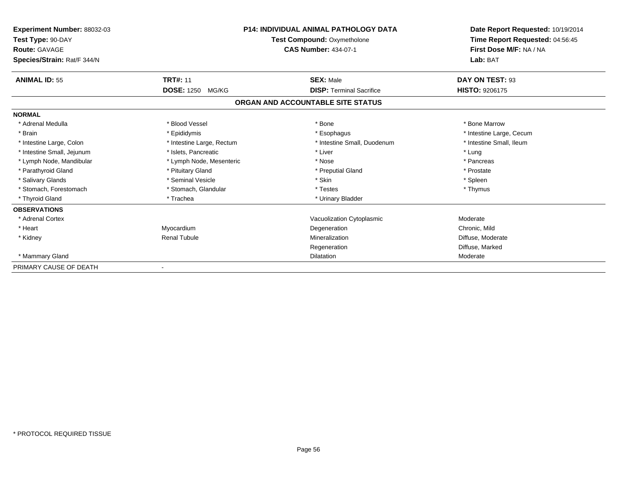| <b>Experiment Number: 88032-03</b><br>Test Type: 90-DAY<br><b>Route: GAVAGE</b><br>Species/Strain: Rat/F 344/N |                            | <b>P14: INDIVIDUAL ANIMAL PATHOLOGY DATA</b><br><b>Test Compound: Oxymetholone</b><br><b>CAS Number: 434-07-1</b> | Date Report Requested: 10/19/2014<br>Time Report Requested: 04:56:45<br>First Dose M/F: NA / NA<br>Lab: BAT |
|----------------------------------------------------------------------------------------------------------------|----------------------------|-------------------------------------------------------------------------------------------------------------------|-------------------------------------------------------------------------------------------------------------|
| <b>ANIMAL ID: 55</b>                                                                                           | <b>TRT#: 11</b>            | <b>SEX: Male</b>                                                                                                  | DAY ON TEST: 93                                                                                             |
|                                                                                                                | <b>DOSE: 1250</b><br>MG/KG | <b>DISP: Terminal Sacrifice</b>                                                                                   | <b>HISTO: 9206175</b>                                                                                       |
|                                                                                                                |                            | ORGAN AND ACCOUNTABLE SITE STATUS                                                                                 |                                                                                                             |
| <b>NORMAL</b>                                                                                                  |                            |                                                                                                                   |                                                                                                             |
| * Adrenal Medulla                                                                                              | * Blood Vessel             | * Bone                                                                                                            | * Bone Marrow                                                                                               |
| * Brain                                                                                                        | * Epididymis               | * Esophagus                                                                                                       | * Intestine Large, Cecum                                                                                    |
| * Intestine Large, Colon                                                                                       | * Intestine Large, Rectum  | * Intestine Small, Duodenum                                                                                       | * Intestine Small, Ileum                                                                                    |
| * Intestine Small, Jejunum                                                                                     | * Islets. Pancreatic       | * Liver                                                                                                           | * Lung                                                                                                      |
| * Lymph Node, Mandibular                                                                                       | * Lymph Node, Mesenteric   | * Nose                                                                                                            | * Pancreas                                                                                                  |
| * Parathyroid Gland                                                                                            | * Pituitary Gland          | * Preputial Gland                                                                                                 | * Prostate                                                                                                  |
| * Salivary Glands                                                                                              | * Seminal Vesicle          | * Skin                                                                                                            | * Spleen                                                                                                    |
| * Stomach, Forestomach                                                                                         | * Stomach, Glandular       | * Testes                                                                                                          | * Thymus                                                                                                    |
| * Thyroid Gland                                                                                                | * Trachea                  | * Urinary Bladder                                                                                                 |                                                                                                             |
| <b>OBSERVATIONS</b>                                                                                            |                            |                                                                                                                   |                                                                                                             |
| * Adrenal Cortex                                                                                               |                            | Vacuolization Cytoplasmic                                                                                         | Moderate                                                                                                    |
| * Heart                                                                                                        | Myocardium                 | Degeneration                                                                                                      | Chronic, Mild                                                                                               |
| * Kidney                                                                                                       | <b>Renal Tubule</b>        | Mineralization                                                                                                    | Diffuse, Moderate                                                                                           |
|                                                                                                                |                            | Regeneration                                                                                                      | Diffuse, Marked                                                                                             |
| * Mammary Gland                                                                                                |                            | <b>Dilatation</b>                                                                                                 | Moderate                                                                                                    |
| PRIMARY CAUSE OF DEATH                                                                                         |                            |                                                                                                                   |                                                                                                             |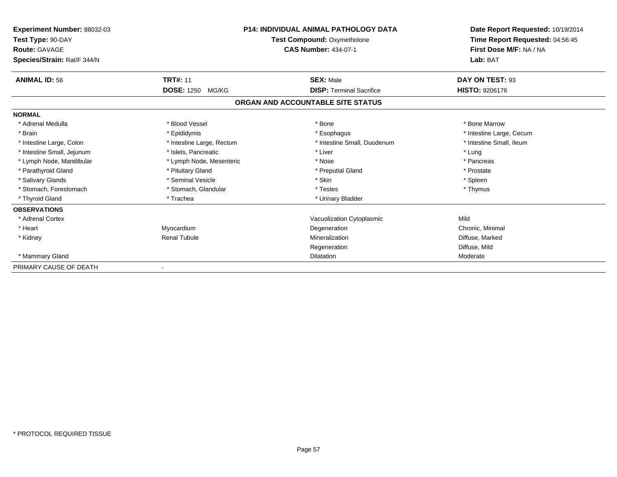| <b>Experiment Number: 88032-03</b><br>Test Type: 90-DAY<br><b>Route: GAVAGE</b><br>Species/Strain: Rat/F 344/N | P14: INDIVIDUAL ANIMAL PATHOLOGY DATA<br><b>Test Compound: Oxymetholone</b><br><b>CAS Number: 434-07-1</b> |                                   | Date Report Requested: 10/19/2014<br>Time Report Requested: 04:56:45<br>First Dose M/F: NA / NA<br>Lab: BAT |
|----------------------------------------------------------------------------------------------------------------|------------------------------------------------------------------------------------------------------------|-----------------------------------|-------------------------------------------------------------------------------------------------------------|
| <b>ANIMAL ID: 56</b>                                                                                           | <b>TRT#: 11</b>                                                                                            | <b>SEX: Male</b>                  | DAY ON TEST: 93                                                                                             |
|                                                                                                                | <b>DOSE: 1250 MG/KG</b>                                                                                    | <b>DISP: Terminal Sacrifice</b>   | <b>HISTO: 9206176</b>                                                                                       |
|                                                                                                                |                                                                                                            | ORGAN AND ACCOUNTABLE SITE STATUS |                                                                                                             |
| <b>NORMAL</b>                                                                                                  |                                                                                                            |                                   |                                                                                                             |
| * Adrenal Medulla                                                                                              | * Blood Vessel                                                                                             | * Bone                            | * Bone Marrow                                                                                               |
| * Brain                                                                                                        | * Epididymis                                                                                               | * Esophagus                       | * Intestine Large, Cecum                                                                                    |
| * Intestine Large, Colon                                                                                       | * Intestine Large, Rectum                                                                                  | * Intestine Small, Duodenum       | * Intestine Small, Ileum                                                                                    |
| * Intestine Small, Jejunum                                                                                     | * Islets, Pancreatic                                                                                       | * Liver                           | * Lung                                                                                                      |
| * Lymph Node, Mandibular                                                                                       | * Lymph Node, Mesenteric                                                                                   | * Nose                            | * Pancreas                                                                                                  |
| * Parathyroid Gland                                                                                            | * Pituitary Gland                                                                                          | * Preputial Gland                 | * Prostate                                                                                                  |
| * Salivary Glands                                                                                              | * Seminal Vesicle                                                                                          | * Skin                            | * Spleen                                                                                                    |
| * Stomach, Forestomach                                                                                         | * Stomach, Glandular                                                                                       | * Testes                          | * Thymus                                                                                                    |
| * Thyroid Gland                                                                                                | * Trachea                                                                                                  | * Urinary Bladder                 |                                                                                                             |
| <b>OBSERVATIONS</b>                                                                                            |                                                                                                            |                                   |                                                                                                             |
| * Adrenal Cortex                                                                                               |                                                                                                            | Vacuolization Cytoplasmic         | Mild                                                                                                        |
| * Heart                                                                                                        | Myocardium                                                                                                 | Degeneration                      | Chronic, Minimal                                                                                            |
| * Kidney                                                                                                       | <b>Renal Tubule</b>                                                                                        | Mineralization                    | Diffuse, Marked                                                                                             |
|                                                                                                                |                                                                                                            | Regeneration                      | Diffuse, Mild                                                                                               |
| * Mammary Gland                                                                                                |                                                                                                            | <b>Dilatation</b>                 | Moderate                                                                                                    |
| PRIMARY CAUSE OF DEATH                                                                                         |                                                                                                            |                                   |                                                                                                             |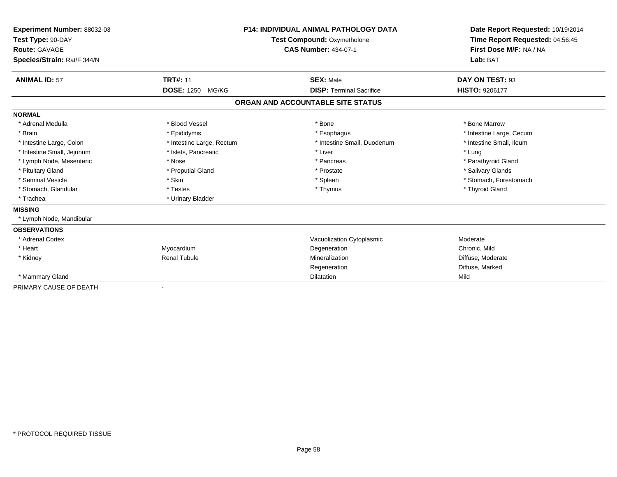| Experiment Number: 88032-03<br>Test Type: 90-DAY<br>Route: GAVAGE |                           | <b>P14: INDIVIDUAL ANIMAL PATHOLOGY DATA</b><br>Test Compound: Oxymetholone<br><b>CAS Number: 434-07-1</b> | Date Report Requested: 10/19/2014<br>Time Report Requested: 04:56:45<br>First Dose M/F: NA / NA |
|-------------------------------------------------------------------|---------------------------|------------------------------------------------------------------------------------------------------------|-------------------------------------------------------------------------------------------------|
| Species/Strain: Rat/F 344/N                                       |                           |                                                                                                            | Lab: BAT                                                                                        |
| <b>ANIMAL ID: 57</b>                                              | <b>TRT#: 11</b>           | <b>SEX: Male</b>                                                                                           | DAY ON TEST: 93                                                                                 |
|                                                                   | <b>DOSE: 1250 MG/KG</b>   | <b>DISP: Terminal Sacrifice</b>                                                                            | <b>HISTO: 9206177</b>                                                                           |
|                                                                   |                           | ORGAN AND ACCOUNTABLE SITE STATUS                                                                          |                                                                                                 |
| <b>NORMAL</b>                                                     |                           |                                                                                                            |                                                                                                 |
| * Adrenal Medulla                                                 | * Blood Vessel            | * Bone                                                                                                     | * Bone Marrow                                                                                   |
| * Brain                                                           | * Epididymis              | * Esophagus                                                                                                | * Intestine Large, Cecum                                                                        |
| * Intestine Large, Colon                                          | * Intestine Large, Rectum | * Intestine Small, Duodenum                                                                                | * Intestine Small, Ileum                                                                        |
| * Intestine Small, Jejunum                                        | * Islets, Pancreatic      | * Liver                                                                                                    | * Lung                                                                                          |
| * Lymph Node, Mesenteric                                          | * Nose                    | * Pancreas                                                                                                 | * Parathyroid Gland                                                                             |
| * Pituitary Gland                                                 | * Preputial Gland         | * Prostate                                                                                                 | * Salivary Glands                                                                               |
| * Seminal Vesicle                                                 | * Skin                    | * Spleen                                                                                                   | * Stomach, Forestomach                                                                          |
| * Stomach, Glandular                                              | * Testes                  | * Thymus                                                                                                   | * Thyroid Gland                                                                                 |
| * Trachea                                                         | * Urinary Bladder         |                                                                                                            |                                                                                                 |
| <b>MISSING</b>                                                    |                           |                                                                                                            |                                                                                                 |
| * Lymph Node, Mandibular                                          |                           |                                                                                                            |                                                                                                 |
| <b>OBSERVATIONS</b>                                               |                           |                                                                                                            |                                                                                                 |
| * Adrenal Cortex                                                  |                           | Vacuolization Cytoplasmic                                                                                  | Moderate                                                                                        |
| * Heart                                                           | Myocardium                | Degeneration                                                                                               | Chronic, Mild                                                                                   |
| * Kidney                                                          | <b>Renal Tubule</b>       | Mineralization                                                                                             | Diffuse, Moderate                                                                               |
|                                                                   |                           | Regeneration                                                                                               | Diffuse, Marked                                                                                 |
| * Mammary Gland                                                   |                           | <b>Dilatation</b>                                                                                          | Mild                                                                                            |
| PRIMARY CAUSE OF DEATH                                            |                           |                                                                                                            |                                                                                                 |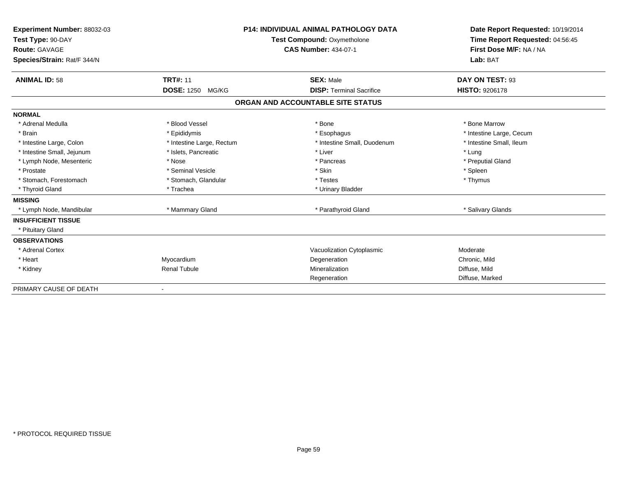| Experiment Number: 88032-03<br>Test Type: 90-DAY |                            | <b>P14: INDIVIDUAL ANIMAL PATHOLOGY DATA</b> | Date Report Requested: 10/19/2014<br>Time Report Requested: 04:56:45 |
|--------------------------------------------------|----------------------------|----------------------------------------------|----------------------------------------------------------------------|
|                                                  |                            | Test Compound: Oxymetholone                  |                                                                      |
| Route: GAVAGE                                    |                            | <b>CAS Number: 434-07-1</b>                  | First Dose M/F: NA / NA<br>Lab: BAT                                  |
| Species/Strain: Rat/F 344/N                      |                            |                                              |                                                                      |
| <b>ANIMAL ID: 58</b>                             | <b>TRT#: 11</b>            | <b>SEX: Male</b>                             | DAY ON TEST: 93                                                      |
|                                                  | <b>DOSE: 1250</b><br>MG/KG | <b>DISP: Terminal Sacrifice</b>              | <b>HISTO: 9206178</b>                                                |
|                                                  |                            | ORGAN AND ACCOUNTABLE SITE STATUS            |                                                                      |
| <b>NORMAL</b>                                    |                            |                                              |                                                                      |
| * Adrenal Medulla                                | * Blood Vessel             | * Bone                                       | * Bone Marrow                                                        |
| * Brain                                          | * Epididymis               | * Esophagus                                  | * Intestine Large, Cecum                                             |
| * Intestine Large, Colon                         | * Intestine Large, Rectum  | * Intestine Small, Duodenum                  | * Intestine Small, Ileum                                             |
| * Intestine Small, Jejunum                       | * Islets, Pancreatic       | * Liver                                      | * Lung                                                               |
| * Lymph Node, Mesenteric                         | * Nose                     | * Pancreas                                   | * Preputial Gland                                                    |
| * Prostate                                       | * Seminal Vesicle          | * Skin                                       | * Spleen                                                             |
| * Stomach, Forestomach                           | * Stomach, Glandular       | * Testes                                     | * Thymus                                                             |
| * Thyroid Gland                                  | * Trachea                  | * Urinary Bladder                            |                                                                      |
| <b>MISSING</b>                                   |                            |                                              |                                                                      |
| * Lymph Node, Mandibular                         | * Mammary Gland            | * Parathyroid Gland                          | * Salivary Glands                                                    |
| <b>INSUFFICIENT TISSUE</b>                       |                            |                                              |                                                                      |
| * Pituitary Gland                                |                            |                                              |                                                                      |
| <b>OBSERVATIONS</b>                              |                            |                                              |                                                                      |
| * Adrenal Cortex                                 |                            | Vacuolization Cytoplasmic                    | Moderate                                                             |
| * Heart                                          | Myocardium                 | Degeneration                                 | Chronic, Mild                                                        |
| * Kidney                                         | <b>Renal Tubule</b>        | Mineralization                               | Diffuse, Mild                                                        |
|                                                  |                            | Regeneration                                 | Diffuse, Marked                                                      |
| PRIMARY CAUSE OF DEATH                           |                            |                                              |                                                                      |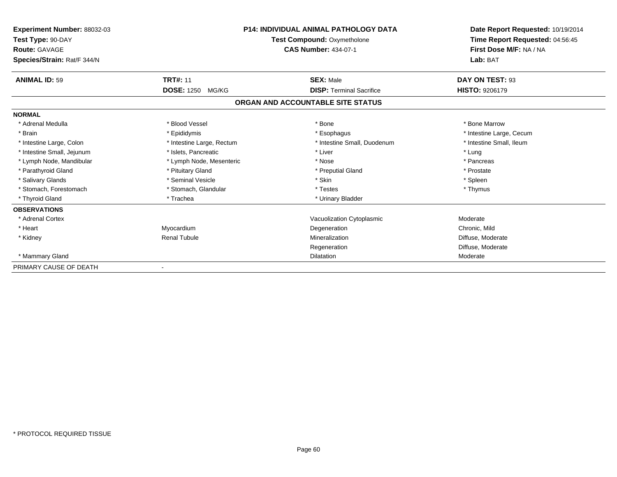| <b>Experiment Number: 88032-03</b><br>Test Type: 90-DAY<br><b>Route: GAVAGE</b><br>Species/Strain: Rat/F 344/N | <b>P14: INDIVIDUAL ANIMAL PATHOLOGY DATA</b><br><b>Test Compound: Oxymetholone</b><br><b>CAS Number: 434-07-1</b> |                                   | Date Report Requested: 10/19/2014<br>Time Report Requested: 04:56:45<br>First Dose M/F: NA / NA<br>Lab: BAT |
|----------------------------------------------------------------------------------------------------------------|-------------------------------------------------------------------------------------------------------------------|-----------------------------------|-------------------------------------------------------------------------------------------------------------|
| <b>ANIMAL ID: 59</b>                                                                                           | <b>TRT#: 11</b>                                                                                                   | <b>SEX: Male</b>                  | DAY ON TEST: 93                                                                                             |
|                                                                                                                | <b>DOSE: 1250</b><br>MG/KG                                                                                        | <b>DISP: Terminal Sacrifice</b>   | <b>HISTO: 9206179</b>                                                                                       |
|                                                                                                                |                                                                                                                   | ORGAN AND ACCOUNTABLE SITE STATUS |                                                                                                             |
| <b>NORMAL</b>                                                                                                  |                                                                                                                   |                                   |                                                                                                             |
| * Adrenal Medulla                                                                                              | * Blood Vessel                                                                                                    | * Bone                            | * Bone Marrow                                                                                               |
| * Brain                                                                                                        | * Epididymis                                                                                                      | * Esophagus                       | * Intestine Large, Cecum                                                                                    |
| * Intestine Large, Colon                                                                                       | * Intestine Large, Rectum                                                                                         | * Intestine Small, Duodenum       | * Intestine Small, Ileum                                                                                    |
| * Intestine Small, Jejunum                                                                                     | * Islets. Pancreatic                                                                                              | * Liver                           | * Lung                                                                                                      |
| * Lymph Node, Mandibular                                                                                       | * Lymph Node, Mesenteric                                                                                          | * Nose                            | * Pancreas                                                                                                  |
| * Parathyroid Gland                                                                                            | * Pituitary Gland                                                                                                 | * Preputial Gland                 | * Prostate                                                                                                  |
| * Salivary Glands                                                                                              | * Seminal Vesicle                                                                                                 | * Skin                            | * Spleen                                                                                                    |
| * Stomach, Forestomach                                                                                         | * Stomach, Glandular                                                                                              | * Testes                          | * Thymus                                                                                                    |
| * Thyroid Gland                                                                                                | * Trachea                                                                                                         | * Urinary Bladder                 |                                                                                                             |
| <b>OBSERVATIONS</b>                                                                                            |                                                                                                                   |                                   |                                                                                                             |
| * Adrenal Cortex                                                                                               |                                                                                                                   | Vacuolization Cytoplasmic         | Moderate                                                                                                    |
| * Heart                                                                                                        | Myocardium                                                                                                        | Degeneration                      | Chronic, Mild                                                                                               |
| * Kidney                                                                                                       | <b>Renal Tubule</b>                                                                                               | Mineralization                    | Diffuse, Moderate                                                                                           |
|                                                                                                                |                                                                                                                   | Regeneration                      | Diffuse, Moderate                                                                                           |
| * Mammary Gland                                                                                                |                                                                                                                   | <b>Dilatation</b>                 | Moderate                                                                                                    |
| PRIMARY CAUSE OF DEATH                                                                                         |                                                                                                                   |                                   |                                                                                                             |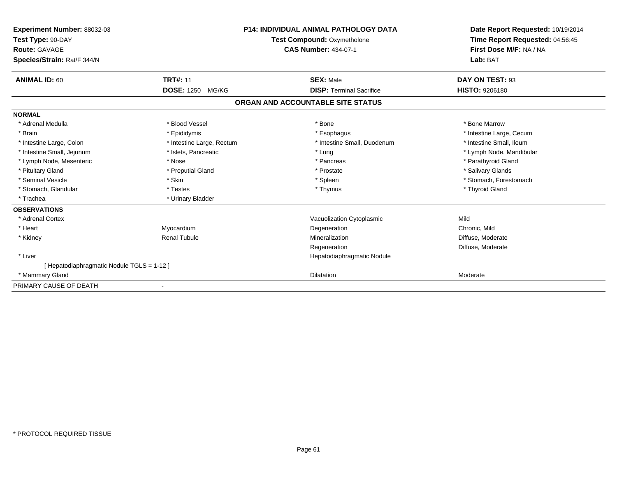| <b>Experiment Number: 88032-03</b><br>Test Type: 90-DAY<br><b>Route: GAVAGE</b><br>Species/Strain: Rat/F 344/N |                           | <b>P14: INDIVIDUAL ANIMAL PATHOLOGY DATA</b><br>Test Compound: Oxymetholone<br><b>CAS Number: 434-07-1</b> | Date Report Requested: 10/19/2014<br>Time Report Requested: 04:56:45<br>First Dose M/F: NA / NA<br>Lab: BAT |
|----------------------------------------------------------------------------------------------------------------|---------------------------|------------------------------------------------------------------------------------------------------------|-------------------------------------------------------------------------------------------------------------|
| <b>ANIMAL ID: 60</b>                                                                                           | <b>TRT#: 11</b>           | <b>SEX: Male</b>                                                                                           | DAY ON TEST: 93                                                                                             |
|                                                                                                                | DOSE: 1250 MG/KG          | <b>DISP: Terminal Sacrifice</b>                                                                            | <b>HISTO: 9206180</b>                                                                                       |
|                                                                                                                |                           | ORGAN AND ACCOUNTABLE SITE STATUS                                                                          |                                                                                                             |
| <b>NORMAL</b>                                                                                                  |                           |                                                                                                            |                                                                                                             |
| * Adrenal Medulla                                                                                              | * Blood Vessel            | * Bone                                                                                                     | * Bone Marrow                                                                                               |
| * Brain                                                                                                        | * Epididymis              | * Esophagus                                                                                                | * Intestine Large, Cecum                                                                                    |
| * Intestine Large, Colon                                                                                       | * Intestine Large, Rectum | * Intestine Small, Duodenum                                                                                | * Intestine Small, Ileum                                                                                    |
| * Intestine Small, Jejunum                                                                                     | * Islets, Pancreatic      | * Lung                                                                                                     | * Lymph Node, Mandibular                                                                                    |
| * Lymph Node, Mesenteric                                                                                       | * Nose                    | * Pancreas                                                                                                 | * Parathyroid Gland                                                                                         |
| * Pituitary Gland                                                                                              | * Preputial Gland         | * Prostate                                                                                                 | * Salivary Glands                                                                                           |
| * Seminal Vesicle                                                                                              | * Skin                    | * Spleen                                                                                                   | * Stomach, Forestomach                                                                                      |
| * Stomach, Glandular                                                                                           | * Testes                  | * Thymus                                                                                                   | * Thyroid Gland                                                                                             |
| * Trachea                                                                                                      | * Urinary Bladder         |                                                                                                            |                                                                                                             |
| <b>OBSERVATIONS</b>                                                                                            |                           |                                                                                                            |                                                                                                             |
| * Adrenal Cortex                                                                                               |                           | Vacuolization Cytoplasmic                                                                                  | Mild                                                                                                        |
| * Heart                                                                                                        | Myocardium                | Degeneration                                                                                               | Chronic, Mild                                                                                               |
| * Kidney                                                                                                       | <b>Renal Tubule</b>       | Mineralization                                                                                             | Diffuse, Moderate                                                                                           |
|                                                                                                                |                           | Regeneration                                                                                               | Diffuse, Moderate                                                                                           |
| * Liver                                                                                                        |                           | Hepatodiaphragmatic Nodule                                                                                 |                                                                                                             |
| [Hepatodiaphragmatic Nodule TGLS = 1-12]                                                                       |                           |                                                                                                            |                                                                                                             |
| * Mammary Gland                                                                                                |                           | <b>Dilatation</b>                                                                                          | Moderate                                                                                                    |
| PRIMARY CAUSE OF DEATH                                                                                         |                           |                                                                                                            |                                                                                                             |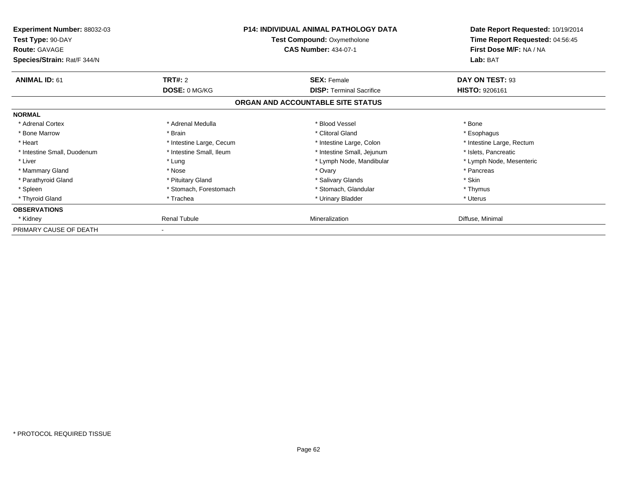| <b>Experiment Number: 88032-03</b><br>Test Type: 90-DAY<br><b>Route: GAVAGE</b><br>Species/Strain: Rat/F 344/N |                          | <b>P14: INDIVIDUAL ANIMAL PATHOLOGY DATA</b><br><b>Test Compound: Oxymetholone</b><br><b>CAS Number: 434-07-1</b> | Date Report Requested: 10/19/2014<br>Time Report Requested: 04:56:45<br>First Dose M/F: NA / NA<br>Lab: BAT |
|----------------------------------------------------------------------------------------------------------------|--------------------------|-------------------------------------------------------------------------------------------------------------------|-------------------------------------------------------------------------------------------------------------|
| <b>ANIMAL ID: 61</b>                                                                                           | <b>TRT#: 2</b>           | <b>SEX: Female</b>                                                                                                | DAY ON TEST: 93                                                                                             |
|                                                                                                                | DOSE: 0 MG/KG            | <b>DISP:</b> Terminal Sacrifice                                                                                   | <b>HISTO: 9206161</b>                                                                                       |
|                                                                                                                |                          | ORGAN AND ACCOUNTABLE SITE STATUS                                                                                 |                                                                                                             |
| <b>NORMAL</b>                                                                                                  |                          |                                                                                                                   |                                                                                                             |
| * Adrenal Cortex                                                                                               | * Adrenal Medulla        | * Blood Vessel                                                                                                    | * Bone                                                                                                      |
| * Bone Marrow                                                                                                  | * Brain                  | * Clitoral Gland                                                                                                  | * Esophagus                                                                                                 |
| * Heart                                                                                                        | * Intestine Large, Cecum | * Intestine Large, Colon                                                                                          | * Intestine Large, Rectum                                                                                   |
| * Intestine Small, Duodenum                                                                                    | * Intestine Small, Ileum | * Intestine Small, Jejunum                                                                                        | * Islets, Pancreatic                                                                                        |
| * Liver                                                                                                        | * Lung                   | * Lymph Node, Mandibular                                                                                          | * Lymph Node, Mesenteric                                                                                    |
| * Mammary Gland                                                                                                | * Nose                   | * Ovary                                                                                                           | * Pancreas                                                                                                  |
| * Parathyroid Gland                                                                                            | * Pituitary Gland        | * Salivary Glands                                                                                                 | * Skin                                                                                                      |
| * Spleen                                                                                                       | * Stomach, Forestomach   | * Stomach, Glandular                                                                                              | * Thymus                                                                                                    |
| * Thyroid Gland                                                                                                | * Trachea                | * Urinary Bladder                                                                                                 | * Uterus                                                                                                    |
| <b>OBSERVATIONS</b>                                                                                            |                          |                                                                                                                   |                                                                                                             |
| * Kidney                                                                                                       | <b>Renal Tubule</b>      | Mineralization                                                                                                    | Diffuse, Minimal                                                                                            |
| PRIMARY CAUSE OF DEATH                                                                                         |                          |                                                                                                                   |                                                                                                             |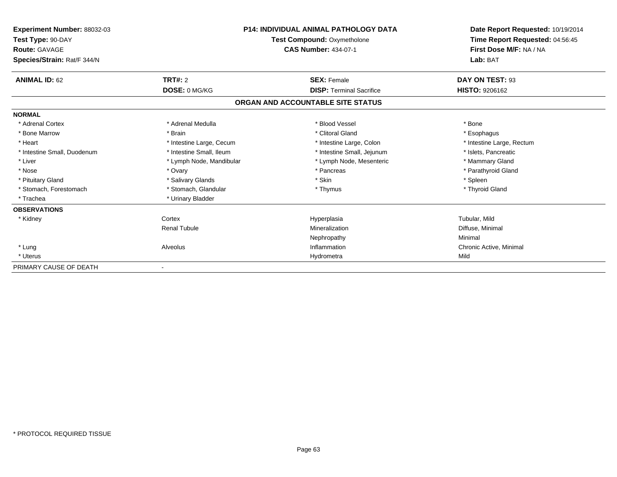| Experiment Number: 88032-03<br>Test Type: 90-DAY<br><b>Route: GAVAGE</b><br>Species/Strain: Rat/F 344/N | <b>P14: INDIVIDUAL ANIMAL PATHOLOGY DATA</b><br><b>Test Compound: Oxymetholone</b><br><b>CAS Number: 434-07-1</b> |                                   | Date Report Requested: 10/19/2014<br>Time Report Requested: 04:56:45<br>First Dose M/F: NA / NA<br>Lab: BAT |
|---------------------------------------------------------------------------------------------------------|-------------------------------------------------------------------------------------------------------------------|-----------------------------------|-------------------------------------------------------------------------------------------------------------|
| <b>ANIMAL ID: 62</b>                                                                                    | TRT#: 2                                                                                                           | <b>SEX: Female</b>                | DAY ON TEST: 93                                                                                             |
|                                                                                                         | DOSE: 0 MG/KG                                                                                                     | <b>DISP: Terminal Sacrifice</b>   | <b>HISTO: 9206162</b>                                                                                       |
|                                                                                                         |                                                                                                                   | ORGAN AND ACCOUNTABLE SITE STATUS |                                                                                                             |
| <b>NORMAL</b>                                                                                           |                                                                                                                   |                                   |                                                                                                             |
| * Adrenal Cortex                                                                                        | * Adrenal Medulla                                                                                                 | * Blood Vessel                    | * Bone                                                                                                      |
| * Bone Marrow                                                                                           | * Brain                                                                                                           | * Clitoral Gland                  | * Esophagus                                                                                                 |
| * Heart                                                                                                 | * Intestine Large, Cecum                                                                                          | * Intestine Large, Colon          | * Intestine Large, Rectum                                                                                   |
| * Intestine Small, Duodenum                                                                             | * Intestine Small, Ileum                                                                                          | * Intestine Small, Jejunum        | * Islets, Pancreatic                                                                                        |
| * Liver                                                                                                 | * Lymph Node, Mandibular                                                                                          | * Lymph Node, Mesenteric          | * Mammary Gland                                                                                             |
| * Nose                                                                                                  | * Ovary                                                                                                           | * Pancreas                        | * Parathyroid Gland                                                                                         |
| * Pituitary Gland                                                                                       | * Salivary Glands                                                                                                 | * Skin                            | * Spleen                                                                                                    |
| * Stomach, Forestomach                                                                                  | * Stomach, Glandular                                                                                              | * Thymus                          | * Thyroid Gland                                                                                             |
| * Trachea                                                                                               | * Urinary Bladder                                                                                                 |                                   |                                                                                                             |
| <b>OBSERVATIONS</b>                                                                                     |                                                                                                                   |                                   |                                                                                                             |
| * Kidney                                                                                                | Cortex                                                                                                            | Hyperplasia                       | Tubular, Mild                                                                                               |
|                                                                                                         | <b>Renal Tubule</b>                                                                                               | Mineralization                    | Diffuse, Minimal                                                                                            |
|                                                                                                         |                                                                                                                   | Nephropathy                       | Minimal                                                                                                     |
| * Lung                                                                                                  | Alveolus                                                                                                          | Inflammation                      | Chronic Active, Minimal                                                                                     |
| * Uterus                                                                                                |                                                                                                                   | Hydrometra                        | Mild                                                                                                        |
| PRIMARY CAUSE OF DEATH                                                                                  |                                                                                                                   |                                   |                                                                                                             |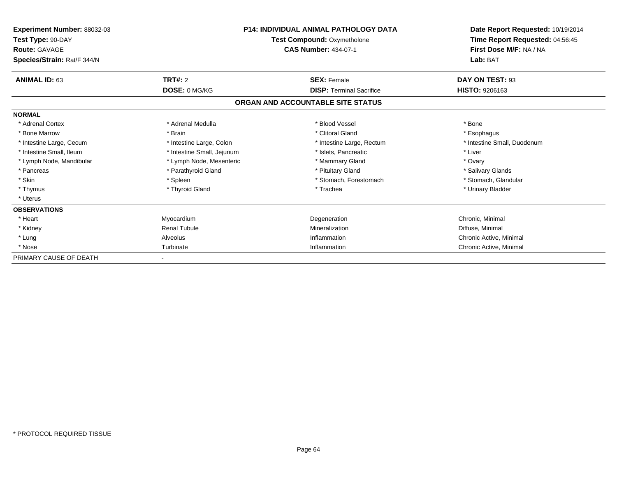| <b>Experiment Number: 88032-03</b><br>Test Type: 90-DAY<br><b>Route: GAVAGE</b><br>Species/Strain: Rat/F 344/N | <b>P14: INDIVIDUAL ANIMAL PATHOLOGY DATA</b><br><b>Test Compound: Oxymetholone</b><br><b>CAS Number: 434-07-1</b> |                                   | Date Report Requested: 10/19/2014<br>Time Report Requested: 04:56:45<br>First Dose M/F: NA / NA<br>Lab: BAT |
|----------------------------------------------------------------------------------------------------------------|-------------------------------------------------------------------------------------------------------------------|-----------------------------------|-------------------------------------------------------------------------------------------------------------|
| <b>ANIMAL ID: 63</b>                                                                                           | <b>TRT#: 2</b>                                                                                                    | <b>SEX: Female</b>                | DAY ON TEST: 93                                                                                             |
|                                                                                                                | DOSE: 0 MG/KG                                                                                                     | <b>DISP:</b> Terminal Sacrifice   | <b>HISTO: 9206163</b>                                                                                       |
|                                                                                                                |                                                                                                                   | ORGAN AND ACCOUNTABLE SITE STATUS |                                                                                                             |
| <b>NORMAL</b>                                                                                                  |                                                                                                                   |                                   |                                                                                                             |
| * Adrenal Cortex                                                                                               | * Adrenal Medulla                                                                                                 | * Blood Vessel                    | * Bone                                                                                                      |
| * Bone Marrow                                                                                                  | * Brain                                                                                                           | * Clitoral Gland                  | * Esophagus                                                                                                 |
| * Intestine Large, Cecum                                                                                       | * Intestine Large, Colon                                                                                          | * Intestine Large, Rectum         | * Intestine Small, Duodenum                                                                                 |
| * Intestine Small, Ileum                                                                                       | * Intestine Small, Jejunum                                                                                        | * Islets. Pancreatic              | * Liver                                                                                                     |
| * Lymph Node, Mandibular                                                                                       | * Lymph Node, Mesenteric                                                                                          | * Mammary Gland                   | * Ovary                                                                                                     |
| * Pancreas                                                                                                     | * Parathyroid Gland                                                                                               | * Pituitary Gland                 | * Salivary Glands                                                                                           |
| * Skin                                                                                                         | * Spleen                                                                                                          | * Stomach, Forestomach            | * Stomach, Glandular                                                                                        |
| * Thymus                                                                                                       | * Thyroid Gland                                                                                                   | * Trachea                         | * Urinary Bladder                                                                                           |
| * Uterus                                                                                                       |                                                                                                                   |                                   |                                                                                                             |
| <b>OBSERVATIONS</b>                                                                                            |                                                                                                                   |                                   |                                                                                                             |
| * Heart                                                                                                        | Myocardium                                                                                                        | Degeneration                      | Chronic, Minimal                                                                                            |
| * Kidney                                                                                                       | <b>Renal Tubule</b>                                                                                               | Mineralization                    | Diffuse, Minimal                                                                                            |
| * Lung                                                                                                         | Alveolus                                                                                                          | Inflammation                      | Chronic Active, Minimal                                                                                     |
| * Nose                                                                                                         | Turbinate                                                                                                         | Inflammation                      | Chronic Active, Minimal                                                                                     |
| PRIMARY CAUSE OF DEATH                                                                                         |                                                                                                                   |                                   |                                                                                                             |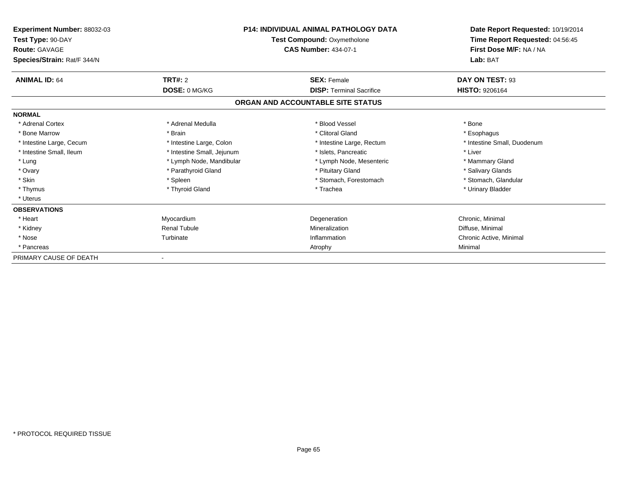| <b>Experiment Number: 88032-03</b><br>Test Type: 90-DAY<br><b>Route: GAVAGE</b><br>Species/Strain: Rat/F 344/N | <b>P14: INDIVIDUAL ANIMAL PATHOLOGY DATA</b><br>Test Compound: Oxymetholone<br><b>CAS Number: 434-07-1</b> |                                   | Date Report Requested: 10/19/2014<br>Time Report Requested: 04:56:45<br>First Dose M/F: NA / NA<br>Lab: BAT |
|----------------------------------------------------------------------------------------------------------------|------------------------------------------------------------------------------------------------------------|-----------------------------------|-------------------------------------------------------------------------------------------------------------|
| <b>ANIMAL ID: 64</b>                                                                                           | TRT#: 2                                                                                                    | <b>SEX: Female</b>                | DAY ON TEST: 93                                                                                             |
|                                                                                                                | DOSE: 0 MG/KG                                                                                              | <b>DISP: Terminal Sacrifice</b>   | <b>HISTO: 9206164</b>                                                                                       |
|                                                                                                                |                                                                                                            | ORGAN AND ACCOUNTABLE SITE STATUS |                                                                                                             |
| <b>NORMAL</b>                                                                                                  |                                                                                                            |                                   |                                                                                                             |
| * Adrenal Cortex                                                                                               | * Adrenal Medulla                                                                                          | * Blood Vessel                    | * Bone                                                                                                      |
| * Bone Marrow                                                                                                  | * Brain                                                                                                    | * Clitoral Gland                  | * Esophagus                                                                                                 |
| * Intestine Large, Cecum                                                                                       | * Intestine Large, Colon                                                                                   | * Intestine Large, Rectum         | * Intestine Small, Duodenum                                                                                 |
| * Intestine Small, Ileum                                                                                       | * Intestine Small, Jejunum                                                                                 | * Islets. Pancreatic              | * Liver                                                                                                     |
| * Lung                                                                                                         | * Lymph Node, Mandibular                                                                                   | * Lymph Node, Mesenteric          | * Mammary Gland                                                                                             |
| * Ovary                                                                                                        | * Parathyroid Gland                                                                                        | * Pituitary Gland                 | * Salivary Glands                                                                                           |
| * Skin                                                                                                         | * Spleen                                                                                                   | * Stomach, Forestomach            | * Stomach, Glandular                                                                                        |
| * Thymus                                                                                                       | * Thyroid Gland                                                                                            | * Trachea                         | * Urinary Bladder                                                                                           |
| * Uterus                                                                                                       |                                                                                                            |                                   |                                                                                                             |
| <b>OBSERVATIONS</b>                                                                                            |                                                                                                            |                                   |                                                                                                             |
| * Heart                                                                                                        | Myocardium                                                                                                 | Degeneration                      | Chronic, Minimal                                                                                            |
| * Kidney                                                                                                       | <b>Renal Tubule</b>                                                                                        | Mineralization                    | Diffuse, Minimal                                                                                            |
| * Nose                                                                                                         | Turbinate                                                                                                  | Inflammation                      | Chronic Active, Minimal                                                                                     |
| * Pancreas                                                                                                     |                                                                                                            | Atrophy                           | Minimal                                                                                                     |
| PRIMARY CAUSE OF DEATH                                                                                         |                                                                                                            |                                   |                                                                                                             |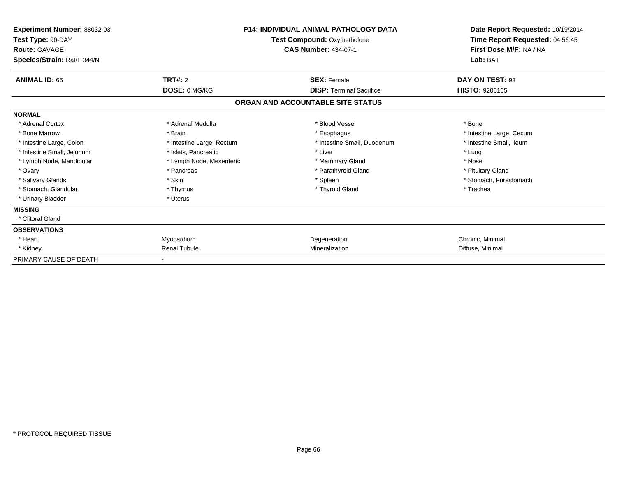| Experiment Number: 88032-03<br>Test Type: 90-DAY<br><b>Route: GAVAGE</b><br>Species/Strain: Rat/F 344/N | <b>P14: INDIVIDUAL ANIMAL PATHOLOGY DATA</b><br>Test Compound: Oxymetholone<br><b>CAS Number: 434-07-1</b> |                                   | Date Report Requested: 10/19/2014<br>Time Report Requested: 04:56:45<br>First Dose M/F: NA / NA<br>Lab: BAT |
|---------------------------------------------------------------------------------------------------------|------------------------------------------------------------------------------------------------------------|-----------------------------------|-------------------------------------------------------------------------------------------------------------|
| <b>ANIMAL ID: 65</b>                                                                                    | <b>TRT#: 2</b>                                                                                             | <b>SEX: Female</b>                | DAY ON TEST: 93                                                                                             |
|                                                                                                         | DOSE: 0 MG/KG                                                                                              | <b>DISP: Terminal Sacrifice</b>   | <b>HISTO: 9206165</b>                                                                                       |
|                                                                                                         |                                                                                                            | ORGAN AND ACCOUNTABLE SITE STATUS |                                                                                                             |
| <b>NORMAL</b>                                                                                           |                                                                                                            |                                   |                                                                                                             |
| * Adrenal Cortex                                                                                        | * Adrenal Medulla                                                                                          | * Blood Vessel                    | * Bone                                                                                                      |
| * Bone Marrow                                                                                           | * Brain                                                                                                    | * Esophagus                       | * Intestine Large, Cecum                                                                                    |
| * Intestine Large, Colon                                                                                | * Intestine Large, Rectum                                                                                  | * Intestine Small, Duodenum       | * Intestine Small, Ileum                                                                                    |
| * Intestine Small, Jejunum                                                                              | * Islets, Pancreatic                                                                                       | * Liver                           | * Lung                                                                                                      |
| * Lymph Node, Mandibular                                                                                | * Lymph Node, Mesenteric                                                                                   | * Mammary Gland                   | * Nose                                                                                                      |
| * Ovary                                                                                                 | * Pancreas                                                                                                 | * Parathyroid Gland               | * Pituitary Gland                                                                                           |
| * Salivary Glands                                                                                       | * Skin                                                                                                     | * Spleen                          | * Stomach, Forestomach                                                                                      |
| * Stomach, Glandular                                                                                    | * Thymus                                                                                                   | * Thyroid Gland                   | * Trachea                                                                                                   |
| * Urinary Bladder                                                                                       | * Uterus                                                                                                   |                                   |                                                                                                             |
| <b>MISSING</b>                                                                                          |                                                                                                            |                                   |                                                                                                             |
| * Clitoral Gland                                                                                        |                                                                                                            |                                   |                                                                                                             |
| <b>OBSERVATIONS</b>                                                                                     |                                                                                                            |                                   |                                                                                                             |
| * Heart                                                                                                 | Myocardium                                                                                                 | Degeneration                      | Chronic, Minimal                                                                                            |
| * Kidney                                                                                                | <b>Renal Tubule</b>                                                                                        | Mineralization                    | Diffuse, Minimal                                                                                            |
| PRIMARY CAUSE OF DEATH                                                                                  |                                                                                                            |                                   |                                                                                                             |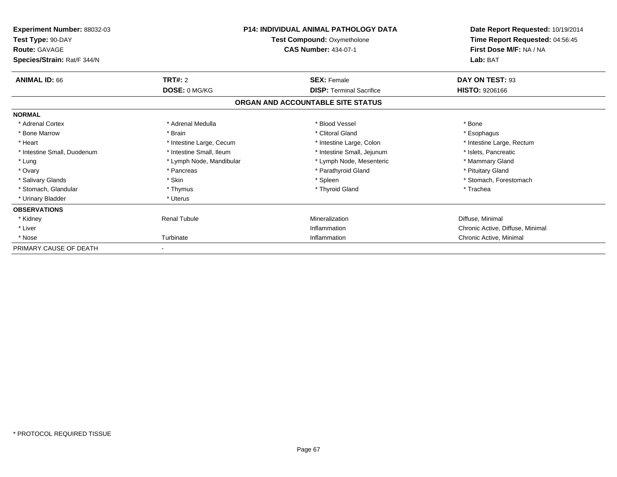| Experiment Number: 88032-03<br>Test Type: 90-DAY<br><b>Route: GAVAGE</b><br>Species/Strain: Rat/F 344/N | <b>P14: INDIVIDUAL ANIMAL PATHOLOGY DATA</b><br>Test Compound: Oxymetholone<br><b>CAS Number: 434-07-1</b> |                                                       | Date Report Requested: 10/19/2014<br>Time Report Requested: 04:56:45<br>First Dose M/F: NA / NA<br>Lab: BAT |
|---------------------------------------------------------------------------------------------------------|------------------------------------------------------------------------------------------------------------|-------------------------------------------------------|-------------------------------------------------------------------------------------------------------------|
| <b>ANIMAL ID: 66</b>                                                                                    | <b>TRT#: 2</b><br>DOSE: 0 MG/KG                                                                            | <b>SEX: Female</b><br><b>DISP: Terminal Sacrifice</b> | DAY ON TEST: 93<br><b>HISTO: 9206166</b>                                                                    |
|                                                                                                         |                                                                                                            | ORGAN AND ACCOUNTABLE SITE STATUS                     |                                                                                                             |
| <b>NORMAL</b>                                                                                           |                                                                                                            |                                                       |                                                                                                             |
| * Adrenal Cortex                                                                                        | * Adrenal Medulla                                                                                          | * Blood Vessel                                        | * Bone                                                                                                      |
| * Bone Marrow                                                                                           | * Brain                                                                                                    | * Clitoral Gland                                      | * Esophagus                                                                                                 |
| * Heart                                                                                                 | * Intestine Large, Cecum                                                                                   | * Intestine Large, Colon                              | * Intestine Large, Rectum                                                                                   |
| * Intestine Small, Duodenum                                                                             | * Intestine Small, Ileum                                                                                   | * Intestine Small, Jejunum                            | * Islets, Pancreatic                                                                                        |
| * Lung                                                                                                  | * Lymph Node, Mandibular                                                                                   | * Lymph Node, Mesenteric                              | * Mammary Gland                                                                                             |
| * Ovary                                                                                                 | * Pancreas                                                                                                 | * Parathyroid Gland                                   | * Pituitary Gland                                                                                           |
| * Salivary Glands                                                                                       | * Skin                                                                                                     | * Spleen                                              | * Stomach, Forestomach                                                                                      |
| * Stomach, Glandular                                                                                    | * Thymus                                                                                                   | * Thyroid Gland                                       | * Trachea                                                                                                   |
| * Urinary Bladder                                                                                       | * Uterus                                                                                                   |                                                       |                                                                                                             |
| <b>OBSERVATIONS</b>                                                                                     |                                                                                                            |                                                       |                                                                                                             |
| * Kidney                                                                                                | <b>Renal Tubule</b>                                                                                        | Mineralization                                        | Diffuse, Minimal                                                                                            |
| * Liver                                                                                                 |                                                                                                            | Inflammation                                          | Chronic Active, Diffuse, Minimal                                                                            |
| * Nose                                                                                                  | Turbinate                                                                                                  | Inflammation                                          | Chronic Active, Minimal                                                                                     |
| PRIMARY CAUSE OF DEATH                                                                                  |                                                                                                            |                                                       |                                                                                                             |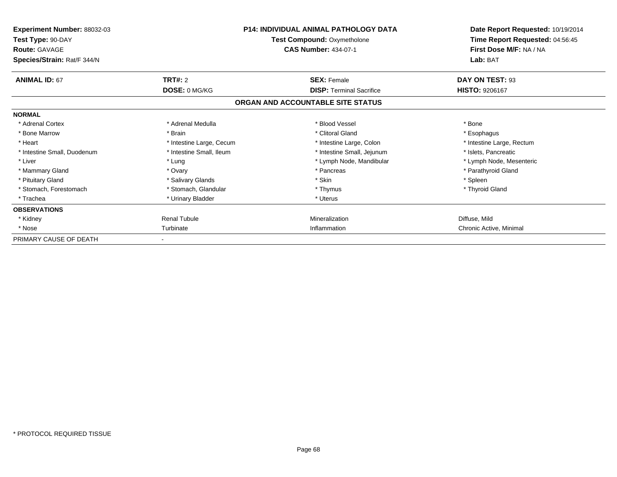| <b>Experiment Number: 88032-03</b><br>Test Type: 90-DAY<br><b>Route: GAVAGE</b><br>Species/Strain: Rat/F 344/N |                          | <b>P14: INDIVIDUAL ANIMAL PATHOLOGY DATA</b><br>Test Compound: Oxymetholone<br><b>CAS Number: 434-07-1</b> | Date Report Requested: 10/19/2014<br>Time Report Requested: 04:56:45<br>First Dose M/F: NA / NA<br>Lab: BAT |
|----------------------------------------------------------------------------------------------------------------|--------------------------|------------------------------------------------------------------------------------------------------------|-------------------------------------------------------------------------------------------------------------|
| <b>ANIMAL ID: 67</b>                                                                                           | <b>TRT#: 2</b>           | <b>SEX: Female</b>                                                                                         | DAY ON TEST: 93                                                                                             |
|                                                                                                                | <b>DOSE: 0 MG/KG</b>     | <b>DISP: Terminal Sacrifice</b>                                                                            | <b>HISTO: 9206167</b>                                                                                       |
|                                                                                                                |                          | ORGAN AND ACCOUNTABLE SITE STATUS                                                                          |                                                                                                             |
| <b>NORMAL</b>                                                                                                  |                          |                                                                                                            |                                                                                                             |
| * Adrenal Cortex                                                                                               | * Adrenal Medulla        | * Blood Vessel                                                                                             | * Bone                                                                                                      |
| * Bone Marrow                                                                                                  | * Brain                  | * Clitoral Gland                                                                                           | * Esophagus                                                                                                 |
| * Heart                                                                                                        | * Intestine Large, Cecum | * Intestine Large, Colon                                                                                   | * Intestine Large, Rectum                                                                                   |
| * Intestine Small, Duodenum                                                                                    | * Intestine Small, Ileum | * Intestine Small, Jejunum                                                                                 | * Islets, Pancreatic                                                                                        |
| * Liver                                                                                                        | * Lung                   | * Lymph Node, Mandibular                                                                                   | * Lymph Node, Mesenteric                                                                                    |
| * Mammary Gland                                                                                                | * Ovary                  | * Pancreas                                                                                                 | * Parathyroid Gland                                                                                         |
| * Pituitary Gland                                                                                              | * Salivary Glands        | * Skin                                                                                                     | * Spleen                                                                                                    |
| * Stomach, Forestomach                                                                                         | * Stomach, Glandular     | * Thymus                                                                                                   | * Thyroid Gland                                                                                             |
| * Trachea                                                                                                      | * Urinary Bladder        | * Uterus                                                                                                   |                                                                                                             |
| <b>OBSERVATIONS</b>                                                                                            |                          |                                                                                                            |                                                                                                             |
| * Kidney                                                                                                       | <b>Renal Tubule</b>      | Mineralization                                                                                             | Diffuse, Mild                                                                                               |
| * Nose                                                                                                         | Turbinate                | Inflammation                                                                                               | Chronic Active, Minimal                                                                                     |
| PRIMARY CAUSE OF DEATH                                                                                         |                          |                                                                                                            |                                                                                                             |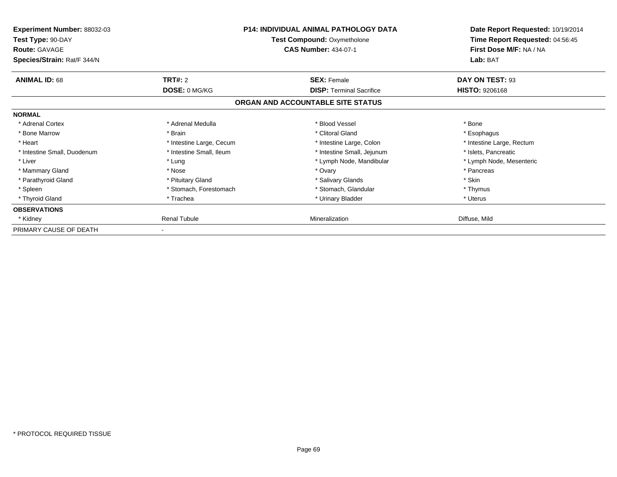| <b>Experiment Number: 88032-03</b><br>Test Type: 90-DAY<br><b>Route: GAVAGE</b><br>Species/Strain: Rat/F 344/N |                          | <b>P14: INDIVIDUAL ANIMAL PATHOLOGY DATA</b><br><b>Test Compound: Oxymetholone</b><br><b>CAS Number: 434-07-1</b> | Date Report Requested: 10/19/2014<br>Time Report Requested: 04:56:45<br>First Dose M/F: NA / NA<br>Lab: BAT |
|----------------------------------------------------------------------------------------------------------------|--------------------------|-------------------------------------------------------------------------------------------------------------------|-------------------------------------------------------------------------------------------------------------|
| <b>ANIMAL ID: 68</b>                                                                                           | <b>TRT#: 2</b>           | <b>SEX: Female</b>                                                                                                | DAY ON TEST: 93                                                                                             |
|                                                                                                                | DOSE: 0 MG/KG            | <b>DISP:</b> Terminal Sacrifice                                                                                   | <b>HISTO: 9206168</b>                                                                                       |
|                                                                                                                |                          | ORGAN AND ACCOUNTABLE SITE STATUS                                                                                 |                                                                                                             |
| <b>NORMAL</b>                                                                                                  |                          |                                                                                                                   |                                                                                                             |
| * Adrenal Cortex                                                                                               | * Adrenal Medulla        | * Blood Vessel                                                                                                    | * Bone                                                                                                      |
| * Bone Marrow                                                                                                  | * Brain                  | * Clitoral Gland                                                                                                  | * Esophagus                                                                                                 |
| * Heart                                                                                                        | * Intestine Large, Cecum | * Intestine Large, Colon                                                                                          | * Intestine Large, Rectum                                                                                   |
| * Intestine Small, Duodenum                                                                                    | * Intestine Small, Ileum | * Intestine Small, Jejunum                                                                                        | * Islets, Pancreatic                                                                                        |
| * Liver                                                                                                        | * Lung                   | * Lymph Node, Mandibular                                                                                          | * Lymph Node, Mesenteric                                                                                    |
| * Mammary Gland                                                                                                | * Nose                   | * Ovary                                                                                                           | * Pancreas                                                                                                  |
| * Parathyroid Gland                                                                                            | * Pituitary Gland        | * Salivary Glands                                                                                                 | * Skin                                                                                                      |
| * Spleen                                                                                                       | * Stomach, Forestomach   | * Stomach, Glandular                                                                                              | * Thymus                                                                                                    |
| * Thyroid Gland                                                                                                | * Trachea                | * Urinary Bladder                                                                                                 | * Uterus                                                                                                    |
| <b>OBSERVATIONS</b>                                                                                            |                          |                                                                                                                   |                                                                                                             |
| * Kidney                                                                                                       | <b>Renal Tubule</b>      | Mineralization                                                                                                    | Diffuse, Mild                                                                                               |
| PRIMARY CAUSE OF DEATH                                                                                         |                          |                                                                                                                   |                                                                                                             |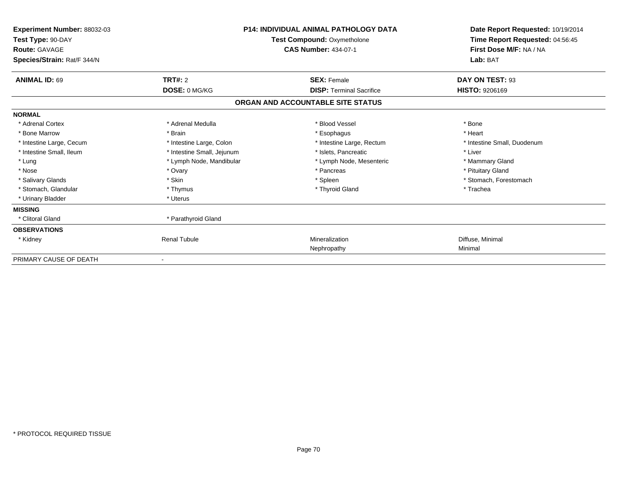| Experiment Number: 88032-03<br>Test Type: 90-DAY<br><b>Route: GAVAGE</b><br>Species/Strain: Rat/F 344/N | <b>P14: INDIVIDUAL ANIMAL PATHOLOGY DATA</b><br><b>Test Compound: Oxymetholone</b><br><b>CAS Number: 434-07-1</b> |                                   | Date Report Requested: 10/19/2014<br>Time Report Requested: 04:56:45<br>First Dose M/F: NA / NA<br>Lab: BAT |  |
|---------------------------------------------------------------------------------------------------------|-------------------------------------------------------------------------------------------------------------------|-----------------------------------|-------------------------------------------------------------------------------------------------------------|--|
| <b>ANIMAL ID: 69</b>                                                                                    | TRT#: 2                                                                                                           | <b>SEX: Female</b>                | DAY ON TEST: 93                                                                                             |  |
|                                                                                                         | DOSE: 0 MG/KG                                                                                                     | <b>DISP:</b> Terminal Sacrifice   | <b>HISTO: 9206169</b>                                                                                       |  |
|                                                                                                         |                                                                                                                   | ORGAN AND ACCOUNTABLE SITE STATUS |                                                                                                             |  |
| <b>NORMAL</b>                                                                                           |                                                                                                                   |                                   |                                                                                                             |  |
| * Adrenal Cortex                                                                                        | * Adrenal Medulla                                                                                                 | * Blood Vessel                    | * Bone                                                                                                      |  |
| * Bone Marrow                                                                                           | * Brain                                                                                                           | * Esophagus                       | * Heart                                                                                                     |  |
| * Intestine Large, Cecum                                                                                | * Intestine Large, Colon                                                                                          | * Intestine Large, Rectum         | * Intestine Small, Duodenum                                                                                 |  |
| * Intestine Small, Ileum                                                                                | * Intestine Small, Jejunum                                                                                        | * Islets. Pancreatic              | * Liver                                                                                                     |  |
| * Lung                                                                                                  | * Lymph Node, Mandibular                                                                                          | * Lymph Node, Mesenteric          | * Mammary Gland                                                                                             |  |
| * Nose                                                                                                  | * Ovary                                                                                                           | * Pancreas                        | * Pituitary Gland                                                                                           |  |
| * Salivary Glands                                                                                       | * Skin                                                                                                            | * Spleen                          | * Stomach, Forestomach                                                                                      |  |
| * Stomach, Glandular                                                                                    | * Thymus                                                                                                          | * Thyroid Gland                   | * Trachea                                                                                                   |  |
| * Urinary Bladder                                                                                       | * Uterus                                                                                                          |                                   |                                                                                                             |  |
| <b>MISSING</b>                                                                                          |                                                                                                                   |                                   |                                                                                                             |  |
| * Clitoral Gland                                                                                        | * Parathyroid Gland                                                                                               |                                   |                                                                                                             |  |
| <b>OBSERVATIONS</b>                                                                                     |                                                                                                                   |                                   |                                                                                                             |  |
| * Kidney                                                                                                | <b>Renal Tubule</b>                                                                                               | Mineralization                    | Diffuse, Minimal                                                                                            |  |
|                                                                                                         |                                                                                                                   | Nephropathy                       | Minimal                                                                                                     |  |
| PRIMARY CAUSE OF DEATH                                                                                  |                                                                                                                   |                                   |                                                                                                             |  |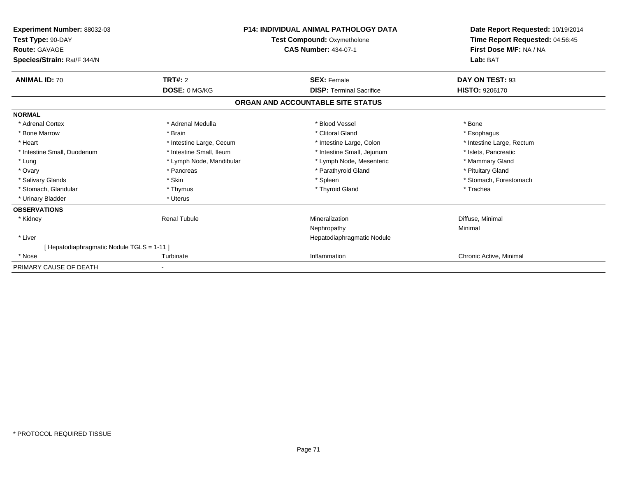| Experiment Number: 88032-03<br>Test Type: 90-DAY<br>Route: GAVAGE<br>Species/Strain: Rat/F 344/N | <b>P14: INDIVIDUAL ANIMAL PATHOLOGY DATA</b><br>Test Compound: Oxymetholone<br><b>CAS Number: 434-07-1</b> |                                   | Date Report Requested: 10/19/2014<br>Time Report Requested: 04:56:45<br>First Dose M/F: NA / NA<br>Lab: BAT |
|--------------------------------------------------------------------------------------------------|------------------------------------------------------------------------------------------------------------|-----------------------------------|-------------------------------------------------------------------------------------------------------------|
| <b>ANIMAL ID: 70</b>                                                                             | <b>TRT#: 2</b>                                                                                             | <b>SEX: Female</b>                | DAY ON TEST: 93                                                                                             |
|                                                                                                  | DOSE: 0 MG/KG                                                                                              | <b>DISP:</b> Terminal Sacrifice   | <b>HISTO: 9206170</b>                                                                                       |
|                                                                                                  |                                                                                                            | ORGAN AND ACCOUNTABLE SITE STATUS |                                                                                                             |
| <b>NORMAL</b>                                                                                    |                                                                                                            |                                   |                                                                                                             |
| * Adrenal Cortex                                                                                 | * Adrenal Medulla                                                                                          | * Blood Vessel                    | * Bone                                                                                                      |
| * Bone Marrow                                                                                    | * Brain                                                                                                    | * Clitoral Gland                  | * Esophagus                                                                                                 |
| * Heart                                                                                          | * Intestine Large, Cecum                                                                                   | * Intestine Large, Colon          | * Intestine Large, Rectum                                                                                   |
| * Intestine Small, Duodenum                                                                      | * Intestine Small, Ileum                                                                                   | * Intestine Small, Jejunum        | * Islets, Pancreatic                                                                                        |
| * Lung                                                                                           | * Lymph Node, Mandibular                                                                                   | * Lymph Node, Mesenteric          | * Mammary Gland                                                                                             |
| * Ovary                                                                                          | * Pancreas                                                                                                 | * Parathyroid Gland               | * Pituitary Gland                                                                                           |
| * Salivary Glands                                                                                | * Skin                                                                                                     | * Spleen                          | * Stomach, Forestomach                                                                                      |
| * Stomach, Glandular                                                                             | * Thymus                                                                                                   | * Thyroid Gland                   | * Trachea                                                                                                   |
| * Urinary Bladder                                                                                | * Uterus                                                                                                   |                                   |                                                                                                             |
| <b>OBSERVATIONS</b>                                                                              |                                                                                                            |                                   |                                                                                                             |
| * Kidney                                                                                         | <b>Renal Tubule</b>                                                                                        | Mineralization                    | Diffuse, Minimal                                                                                            |
|                                                                                                  |                                                                                                            | Nephropathy                       | Minimal                                                                                                     |
| * Liver                                                                                          |                                                                                                            | Hepatodiaphragmatic Nodule        |                                                                                                             |
| [Hepatodiaphragmatic Nodule TGLS = 1-11]                                                         |                                                                                                            |                                   |                                                                                                             |
| * Nose                                                                                           | Turbinate                                                                                                  | Inflammation                      | Chronic Active, Minimal                                                                                     |
| PRIMARY CAUSE OF DEATH                                                                           |                                                                                                            |                                   |                                                                                                             |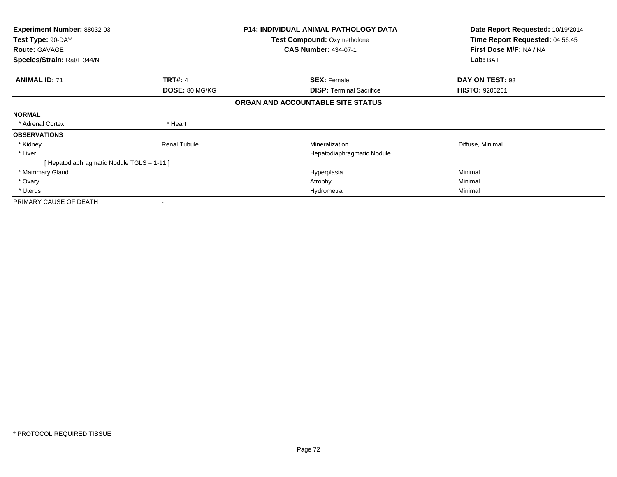| Experiment Number: 88032-03<br>Test Type: 90-DAY<br><b>Route: GAVAGE</b> |                     | <b>P14: INDIVIDUAL ANIMAL PATHOLOGY DATA</b><br><b>Test Compound: Oxymetholone</b><br><b>CAS Number: 434-07-1</b> | Date Report Requested: 10/19/2014<br>Time Report Requested: 04:56:45<br>First Dose M/F: NA / NA |  |
|--------------------------------------------------------------------------|---------------------|-------------------------------------------------------------------------------------------------------------------|-------------------------------------------------------------------------------------------------|--|
| Species/Strain: Rat/F 344/N                                              |                     |                                                                                                                   | Lab: BAT                                                                                        |  |
| <b>ANIMAL ID: 71</b>                                                     | <b>TRT#: 4</b>      | <b>SEX: Female</b>                                                                                                | DAY ON TEST: 93                                                                                 |  |
|                                                                          | DOSE: 80 MG/KG      | <b>DISP:</b> Terminal Sacrifice                                                                                   | <b>HISTO: 9206261</b>                                                                           |  |
|                                                                          |                     | ORGAN AND ACCOUNTABLE SITE STATUS                                                                                 |                                                                                                 |  |
| <b>NORMAL</b>                                                            |                     |                                                                                                                   |                                                                                                 |  |
| * Adrenal Cortex                                                         | * Heart             |                                                                                                                   |                                                                                                 |  |
| <b>OBSERVATIONS</b>                                                      |                     |                                                                                                                   |                                                                                                 |  |
| * Kidney                                                                 | <b>Renal Tubule</b> | Mineralization                                                                                                    | Diffuse, Minimal                                                                                |  |
| * Liver                                                                  |                     | Hepatodiaphragmatic Nodule                                                                                        |                                                                                                 |  |
| Hepatodiaphragmatic Nodule TGLS = 1-11 ]                                 |                     |                                                                                                                   |                                                                                                 |  |
| * Mammary Gland                                                          |                     | Hyperplasia                                                                                                       | Minimal                                                                                         |  |
| * Ovary                                                                  |                     | Atrophy                                                                                                           | Minimal                                                                                         |  |
| * Uterus                                                                 |                     | Hydrometra                                                                                                        | Minimal                                                                                         |  |
| PRIMARY CAUSE OF DEATH                                                   |                     |                                                                                                                   |                                                                                                 |  |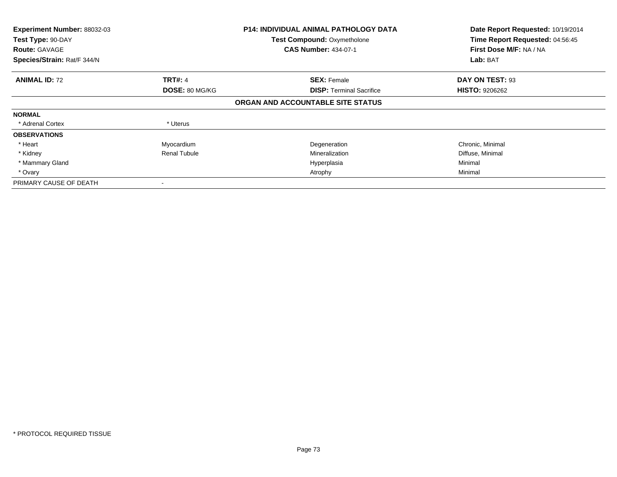| Experiment Number: 88032-03<br>Test Type: 90-DAY<br><b>Route: GAVAGE</b><br>Species/Strain: Rat/F 344/N |                     | <b>P14: INDIVIDUAL ANIMAL PATHOLOGY DATA</b><br><b>Test Compound: Oxymetholone</b><br><b>CAS Number: 434-07-1</b> | Date Report Requested: 10/19/2014<br>Time Report Requested: 04:56:45<br>First Dose M/F: NA / NA<br>Lab: BAT |
|---------------------------------------------------------------------------------------------------------|---------------------|-------------------------------------------------------------------------------------------------------------------|-------------------------------------------------------------------------------------------------------------|
|                                                                                                         |                     |                                                                                                                   |                                                                                                             |
| <b>ANIMAL ID: 72</b>                                                                                    | <b>TRT#: 4</b>      | <b>SEX: Female</b>                                                                                                | DAY ON TEST: 93                                                                                             |
|                                                                                                         | DOSE: 80 MG/KG      | <b>DISP:</b> Terminal Sacrifice                                                                                   | <b>HISTO: 9206262</b>                                                                                       |
|                                                                                                         |                     | ORGAN AND ACCOUNTABLE SITE STATUS                                                                                 |                                                                                                             |
| <b>NORMAL</b>                                                                                           |                     |                                                                                                                   |                                                                                                             |
| * Adrenal Cortex                                                                                        | * Uterus            |                                                                                                                   |                                                                                                             |
| <b>OBSERVATIONS</b>                                                                                     |                     |                                                                                                                   |                                                                                                             |
| * Heart                                                                                                 | Myocardium          | Degeneration                                                                                                      | Chronic, Minimal                                                                                            |
| * Kidney                                                                                                | <b>Renal Tubule</b> | Mineralization                                                                                                    | Diffuse, Minimal                                                                                            |
| * Mammary Gland                                                                                         |                     | Hyperplasia                                                                                                       | Minimal                                                                                                     |
| * Ovary                                                                                                 |                     | Atrophy                                                                                                           | Minimal                                                                                                     |
| PRIMARY CAUSE OF DEATH                                                                                  |                     |                                                                                                                   |                                                                                                             |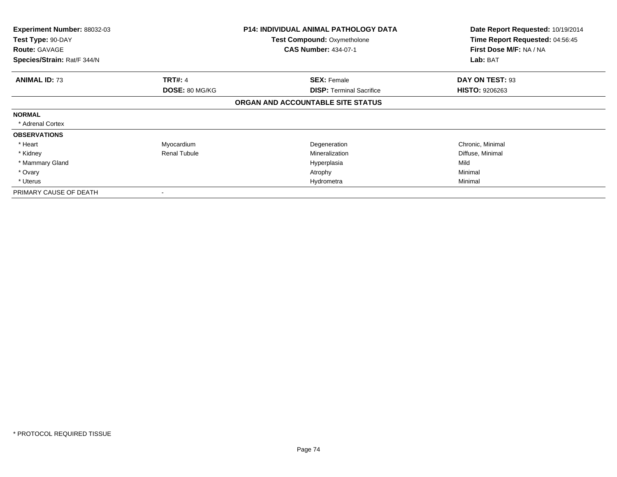| <b>Experiment Number: 88032-03</b><br>Test Type: 90-DAY |                          | <b>P14: INDIVIDUAL ANIMAL PATHOLOGY DATA</b><br>Test Compound: Oxymetholone | Date Report Requested: 10/19/2014<br>Time Report Requested: 04:56:45 |
|---------------------------------------------------------|--------------------------|-----------------------------------------------------------------------------|----------------------------------------------------------------------|
| <b>Route: GAVAGE</b>                                    |                          | <b>CAS Number: 434-07-1</b>                                                 | First Dose M/F: NA / NA                                              |
| Species/Strain: Rat/F 344/N                             |                          |                                                                             | Lab: BAT                                                             |
| <b>ANIMAL ID: 73</b>                                    | <b>TRT#: 4</b>           | <b>SEX: Female</b>                                                          | DAY ON TEST: 93                                                      |
|                                                         | <b>DOSE: 80 MG/KG</b>    | <b>DISP:</b> Terminal Sacrifice                                             | <b>HISTO: 9206263</b>                                                |
|                                                         |                          | ORGAN AND ACCOUNTABLE SITE STATUS                                           |                                                                      |
| <b>NORMAL</b>                                           |                          |                                                                             |                                                                      |
| * Adrenal Cortex                                        |                          |                                                                             |                                                                      |
| <b>OBSERVATIONS</b>                                     |                          |                                                                             |                                                                      |
| * Heart                                                 | Myocardium               | Degeneration                                                                | Chronic, Minimal                                                     |
| * Kidney                                                | <b>Renal Tubule</b>      | Mineralization                                                              | Diffuse, Minimal                                                     |
| * Mammary Gland                                         |                          | Hyperplasia                                                                 | Mild                                                                 |
| * Ovary                                                 |                          | Atrophy                                                                     | Minimal                                                              |
| * Uterus                                                |                          | Hydrometra                                                                  | Minimal                                                              |
| PRIMARY CAUSE OF DEATH                                  | $\overline{\phantom{a}}$ |                                                                             |                                                                      |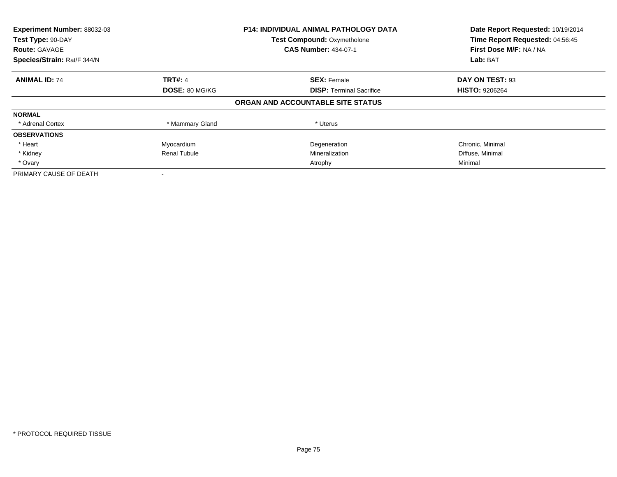| Experiment Number: 88032-03 | <b>P14: INDIVIDUAL ANIMAL PATHOLOGY DATA</b> |                                    | Date Report Requested: 10/19/2014 |
|-----------------------------|----------------------------------------------|------------------------------------|-----------------------------------|
| Test Type: 90-DAY           |                                              | <b>Test Compound: Oxymetholone</b> | Time Report Requested: 04:56:45   |
| <b>Route: GAVAGE</b>        |                                              | <b>CAS Number: 434-07-1</b>        | First Dose M/F: NA / NA           |
| Species/Strain: Rat/F 344/N |                                              |                                    | Lab: BAT                          |
| <b>ANIMAL ID: 74</b>        | <b>TRT#: 4</b>                               | <b>SEX: Female</b>                 | DAY ON TEST: 93                   |
|                             | DOSE: 80 MG/KG                               | <b>DISP:</b> Terminal Sacrifice    | <b>HISTO: 9206264</b>             |
|                             |                                              | ORGAN AND ACCOUNTABLE SITE STATUS  |                                   |
| <b>NORMAL</b>               |                                              |                                    |                                   |
| * Adrenal Cortex            | * Mammary Gland                              | * Uterus                           |                                   |
| <b>OBSERVATIONS</b>         |                                              |                                    |                                   |
| * Heart                     | Myocardium                                   | Degeneration                       | Chronic, Minimal                  |
| * Kidney                    | <b>Renal Tubule</b>                          | Mineralization                     | Diffuse, Minimal                  |
| * Ovary                     |                                              | Atrophy                            | Minimal                           |
| PRIMARY CAUSE OF DEATH      |                                              |                                    |                                   |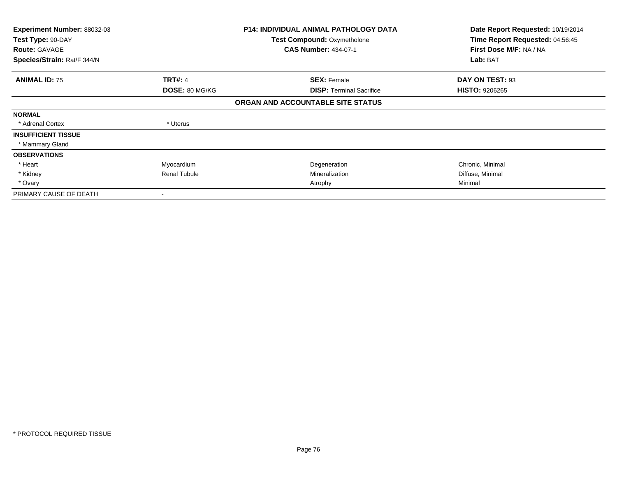| <b>Experiment Number: 88032-03</b><br>Test Type: 90-DAY<br><b>Route: GAVAGE</b> |                          | <b>P14: INDIVIDUAL ANIMAL PATHOLOGY DATA</b><br>Test Compound: Oxymetholone<br><b>CAS Number: 434-07-1</b> | Date Report Requested: 10/19/2014<br>Time Report Requested: 04:56:45<br>First Dose M/F: NA / NA |
|---------------------------------------------------------------------------------|--------------------------|------------------------------------------------------------------------------------------------------------|-------------------------------------------------------------------------------------------------|
| Species/Strain: Rat/F 344/N                                                     |                          |                                                                                                            | Lab: BAT                                                                                        |
| <b>ANIMAL ID: 75</b>                                                            | <b>TRT#: 4</b>           | <b>SEX: Female</b>                                                                                         | DAY ON TEST: 93                                                                                 |
|                                                                                 | DOSE: 80 MG/KG           | <b>DISP:</b> Terminal Sacrifice                                                                            | <b>HISTO: 9206265</b>                                                                           |
|                                                                                 |                          | ORGAN AND ACCOUNTABLE SITE STATUS                                                                          |                                                                                                 |
| <b>NORMAL</b>                                                                   |                          |                                                                                                            |                                                                                                 |
| * Adrenal Cortex                                                                | * Uterus                 |                                                                                                            |                                                                                                 |
| <b>INSUFFICIENT TISSUE</b>                                                      |                          |                                                                                                            |                                                                                                 |
| * Mammary Gland                                                                 |                          |                                                                                                            |                                                                                                 |
| <b>OBSERVATIONS</b>                                                             |                          |                                                                                                            |                                                                                                 |
| * Heart                                                                         | Myocardium               | Degeneration                                                                                               | Chronic, Minimal                                                                                |
| * Kidney                                                                        | <b>Renal Tubule</b>      | Mineralization                                                                                             | Diffuse, Minimal                                                                                |
| * Ovary                                                                         |                          | Atrophy                                                                                                    | Minimal                                                                                         |
| PRIMARY CAUSE OF DEATH                                                          | $\overline{\phantom{a}}$ |                                                                                                            |                                                                                                 |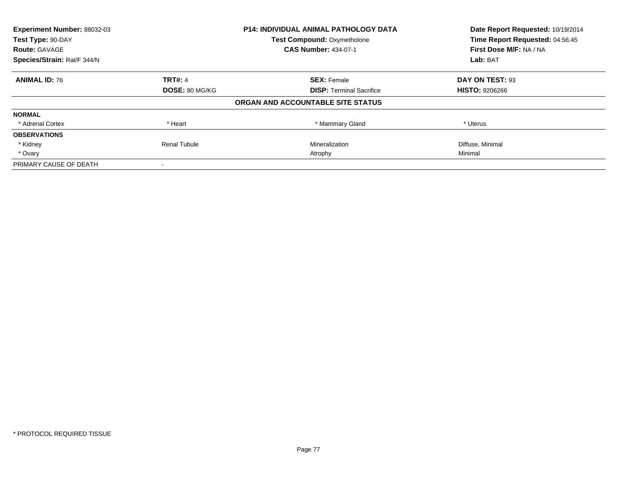| Experiment Number: 88032-03 |                | P14: INDIVIDUAL ANIMAL PATHOLOGY DATA | Date Report Requested: 10/19/2014<br>Time Report Requested: 04:56:45 |
|-----------------------------|----------------|---------------------------------------|----------------------------------------------------------------------|
| Test Type: 90-DAY           |                | <b>Test Compound: Oxymetholone</b>    |                                                                      |
| <b>Route: GAVAGE</b>        |                | <b>CAS Number: 434-07-1</b>           | First Dose M/F: NA / NA                                              |
| Species/Strain: Rat/F 344/N |                |                                       | Lab: BAT                                                             |
| <b>ANIMAL ID: 76</b>        | <b>TRT#: 4</b> | <b>SEX: Female</b>                    | DAY ON TEST: 93                                                      |
|                             | DOSE: 80 MG/KG | <b>DISP:</b> Terminal Sacrifice       | <b>HISTO: 9206266</b>                                                |
|                             |                | ORGAN AND ACCOUNTABLE SITE STATUS     |                                                                      |
| <b>NORMAL</b>               |                |                                       |                                                                      |
| * Adrenal Cortex            | * Heart        | * Mammary Gland                       | * Uterus                                                             |
| <b>OBSERVATIONS</b>         |                |                                       |                                                                      |
| * Kidney                    | Renal Tubule   | Mineralization                        | Diffuse, Minimal                                                     |
| * Ovary                     |                | Atrophy                               | Minimal                                                              |
| PRIMARY CAUSE OF DEATH      |                |                                       |                                                                      |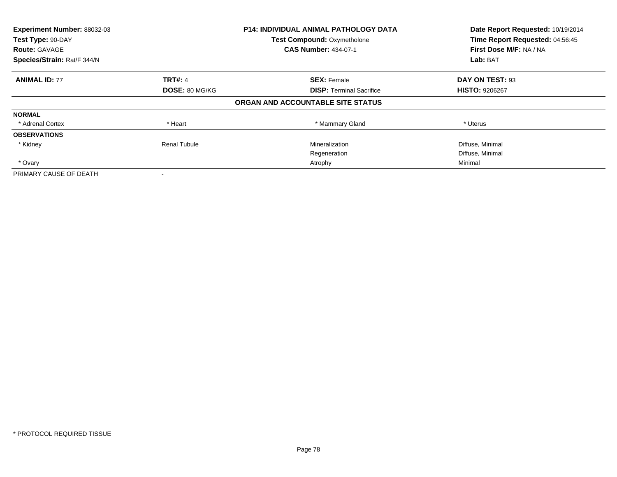| Experiment Number: 88032-03<br>Test Type: 90-DAY | <b>P14: INDIVIDUAL ANIMAL PATHOLOGY DATA</b> |                                                                   | Date Report Requested: 10/19/2014<br>Time Report Requested: 04:56:45 |
|--------------------------------------------------|----------------------------------------------|-------------------------------------------------------------------|----------------------------------------------------------------------|
| <b>Route: GAVAGE</b>                             |                                              | <b>Test Compound: Oxymetholone</b><br><b>CAS Number: 434-07-1</b> | First Dose M/F: NA / NA                                              |
| Species/Strain: Rat/F 344/N                      |                                              |                                                                   | Lab: BAT                                                             |
| <b>ANIMAL ID: 77</b>                             | <b>TRT#: 4</b>                               | <b>SEX: Female</b>                                                | DAY ON TEST: 93                                                      |
|                                                  | DOSE: 80 MG/KG                               | <b>DISP:</b> Terminal Sacrifice                                   | <b>HISTO: 9206267</b>                                                |
|                                                  |                                              | ORGAN AND ACCOUNTABLE SITE STATUS                                 |                                                                      |
| <b>NORMAL</b>                                    |                                              |                                                                   |                                                                      |
| * Adrenal Cortex                                 | * Heart                                      | * Mammary Gland                                                   | * Uterus                                                             |
| <b>OBSERVATIONS</b>                              |                                              |                                                                   |                                                                      |
| * Kidney                                         | <b>Renal Tubule</b>                          | Mineralization                                                    | Diffuse, Minimal                                                     |
|                                                  |                                              | Regeneration                                                      | Diffuse, Minimal                                                     |
| * Ovary                                          |                                              | Atrophy                                                           | Minimal                                                              |
| PRIMARY CAUSE OF DEATH                           |                                              |                                                                   |                                                                      |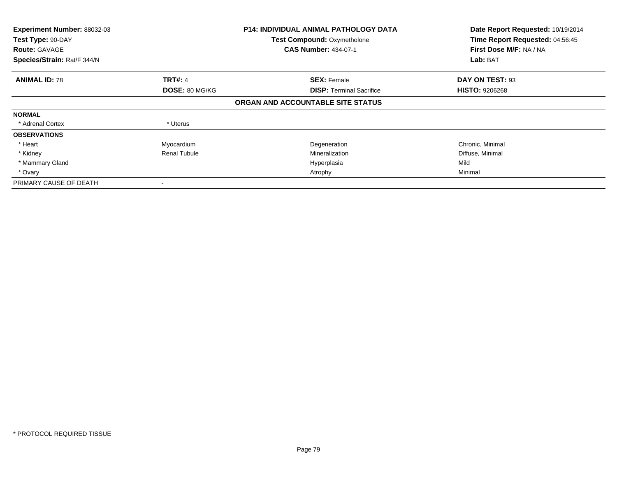| Experiment Number: 88032-03<br>Test Type: 90-DAY<br><b>Route: GAVAGE</b><br>Species/Strain: Rat/F 344/N |                     | <b>P14: INDIVIDUAL ANIMAL PATHOLOGY DATA</b><br><b>Test Compound: Oxymetholone</b><br><b>CAS Number: 434-07-1</b> | Date Report Requested: 10/19/2014<br>Time Report Requested: 04:56:45<br>First Dose M/F: NA / NA<br>Lab: BAT |
|---------------------------------------------------------------------------------------------------------|---------------------|-------------------------------------------------------------------------------------------------------------------|-------------------------------------------------------------------------------------------------------------|
|                                                                                                         |                     |                                                                                                                   |                                                                                                             |
| <b>ANIMAL ID: 78</b>                                                                                    | <b>TRT#: 4</b>      | <b>SEX: Female</b>                                                                                                | DAY ON TEST: 93                                                                                             |
|                                                                                                         | DOSE: 80 MG/KG      | <b>DISP:</b> Terminal Sacrifice                                                                                   | <b>HISTO: 9206268</b>                                                                                       |
|                                                                                                         |                     | ORGAN AND ACCOUNTABLE SITE STATUS                                                                                 |                                                                                                             |
| <b>NORMAL</b>                                                                                           |                     |                                                                                                                   |                                                                                                             |
| * Adrenal Cortex                                                                                        | * Uterus            |                                                                                                                   |                                                                                                             |
| <b>OBSERVATIONS</b>                                                                                     |                     |                                                                                                                   |                                                                                                             |
| * Heart                                                                                                 | Myocardium          | Degeneration                                                                                                      | Chronic, Minimal                                                                                            |
| * Kidney                                                                                                | <b>Renal Tubule</b> | Mineralization                                                                                                    | Diffuse, Minimal                                                                                            |
| * Mammary Gland                                                                                         |                     | Hyperplasia                                                                                                       | Mild                                                                                                        |
| * Ovary                                                                                                 |                     | Atrophy                                                                                                           | Minimal                                                                                                     |
| PRIMARY CAUSE OF DEATH                                                                                  |                     |                                                                                                                   |                                                                                                             |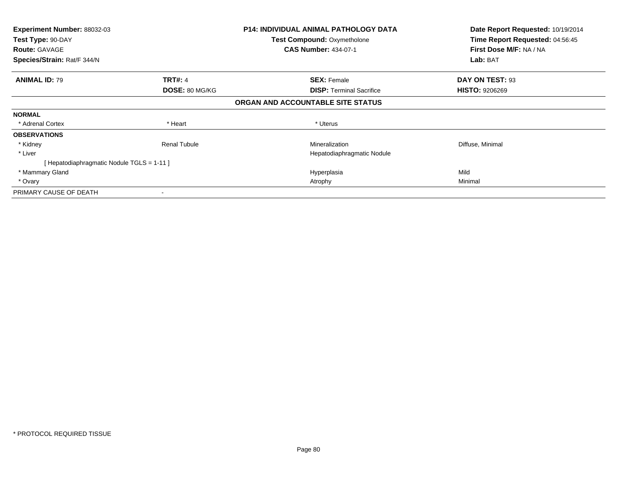| <b>Experiment Number: 88032-03</b>        |                     | <b>P14: INDIVIDUAL ANIMAL PATHOLOGY DATA</b> | Date Report Requested: 10/19/2014 |
|-------------------------------------------|---------------------|----------------------------------------------|-----------------------------------|
| Test Type: 90-DAY                         |                     | <b>Test Compound: Oxymetholone</b>           | Time Report Requested: 04:56:45   |
| <b>Route: GAVAGE</b>                      |                     | <b>CAS Number: 434-07-1</b>                  | First Dose M/F: NA / NA           |
| Species/Strain: Rat/F 344/N               |                     |                                              | Lab: BAT                          |
| <b>ANIMAL ID: 79</b>                      | <b>TRT#: 4</b>      | <b>SEX: Female</b>                           | DAY ON TEST: 93                   |
|                                           | DOSE: 80 MG/KG      | <b>DISP:</b> Terminal Sacrifice              | <b>HISTO: 9206269</b>             |
|                                           |                     | ORGAN AND ACCOUNTABLE SITE STATUS            |                                   |
| <b>NORMAL</b>                             |                     |                                              |                                   |
| * Adrenal Cortex                          | * Heart             | * Uterus                                     |                                   |
| <b>OBSERVATIONS</b>                       |                     |                                              |                                   |
| * Kidney                                  | <b>Renal Tubule</b> | Mineralization                               | Diffuse, Minimal                  |
| * Liver                                   |                     | Hepatodiaphragmatic Nodule                   |                                   |
| [Hepatodiaphragmatic Nodule TGLS = 1-11 ] |                     |                                              |                                   |
| * Mammary Gland                           |                     | Hyperplasia                                  | Mild                              |
| * Ovary                                   |                     | Atrophy                                      | Minimal                           |
| PRIMARY CAUSE OF DEATH                    |                     |                                              |                                   |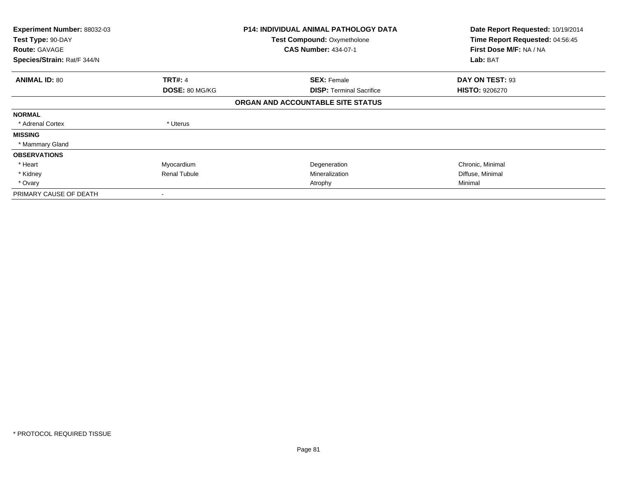| <b>Experiment Number: 88032-03</b><br>Test Type: 90-DAY |                       | <b>P14: INDIVIDUAL ANIMAL PATHOLOGY DATA</b><br>Test Compound: Oxymetholone | Date Report Requested: 10/19/2014<br>Time Report Requested: 04:56:45 |
|---------------------------------------------------------|-----------------------|-----------------------------------------------------------------------------|----------------------------------------------------------------------|
| <b>Route: GAVAGE</b>                                    |                       | <b>CAS Number: 434-07-1</b>                                                 | First Dose M/F: NA / NA                                              |
| Species/Strain: Rat/F 344/N                             |                       |                                                                             | Lab: BAT                                                             |
| <b>ANIMAL ID: 80</b>                                    | <b>TRT#: 4</b>        | <b>SEX: Female</b>                                                          | DAY ON TEST: 93                                                      |
|                                                         | <b>DOSE: 80 MG/KG</b> | <b>DISP: Terminal Sacrifice</b>                                             | <b>HISTO: 9206270</b>                                                |
|                                                         |                       | ORGAN AND ACCOUNTABLE SITE STATUS                                           |                                                                      |
| <b>NORMAL</b>                                           |                       |                                                                             |                                                                      |
| * Adrenal Cortex                                        | * Uterus              |                                                                             |                                                                      |
| <b>MISSING</b>                                          |                       |                                                                             |                                                                      |
| * Mammary Gland                                         |                       |                                                                             |                                                                      |
| <b>OBSERVATIONS</b>                                     |                       |                                                                             |                                                                      |
| * Heart                                                 | Myocardium            | Degeneration                                                                | Chronic, Minimal                                                     |
| * Kidney                                                | Renal Tubule          | Mineralization                                                              | Diffuse, Minimal                                                     |
| * Ovary                                                 |                       | Atrophy                                                                     | Minimal                                                              |
| PRIMARY CAUSE OF DEATH                                  | ٠                     |                                                                             |                                                                      |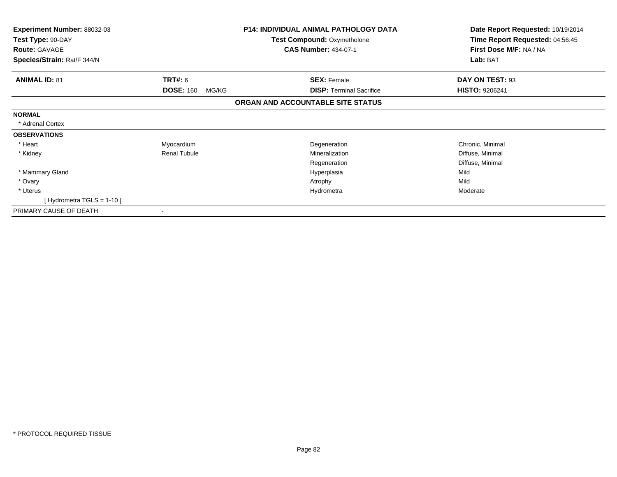| <b>Experiment Number: 88032-03</b> |                           | <b>P14: INDIVIDUAL ANIMAL PATHOLOGY DATA</b> | Date Report Requested: 10/19/2014 |
|------------------------------------|---------------------------|----------------------------------------------|-----------------------------------|
| Test Type: 90-DAY                  |                           | <b>Test Compound: Oxymetholone</b>           | Time Report Requested: 04:56:45   |
| <b>Route: GAVAGE</b>               |                           | <b>CAS Number: 434-07-1</b>                  | First Dose M/F: NA / NA           |
| Species/Strain: Rat/F 344/N        |                           |                                              | Lab: BAT                          |
| <b>ANIMAL ID: 81</b>               | TRT#: 6                   | <b>SEX: Female</b>                           | DAY ON TEST: 93                   |
|                                    | <b>DOSE: 160</b><br>MG/KG | <b>DISP: Terminal Sacrifice</b>              | <b>HISTO: 9206241</b>             |
|                                    |                           | ORGAN AND ACCOUNTABLE SITE STATUS            |                                   |
| <b>NORMAL</b>                      |                           |                                              |                                   |
| * Adrenal Cortex                   |                           |                                              |                                   |
| <b>OBSERVATIONS</b>                |                           |                                              |                                   |
| * Heart                            | Myocardium                | Degeneration                                 | Chronic, Minimal                  |
| * Kidney                           | <b>Renal Tubule</b>       | Mineralization                               | Diffuse, Minimal                  |
|                                    |                           | Regeneration                                 | Diffuse, Minimal                  |
| * Mammary Gland                    |                           | Hyperplasia                                  | Mild                              |
| * Ovary                            |                           | Atrophy                                      | Mild                              |
| * Uterus                           |                           | Hydrometra                                   | Moderate                          |
| [Hydrometra TGLS = 1-10]           |                           |                                              |                                   |
| PRIMARY CAUSE OF DEATH             |                           |                                              |                                   |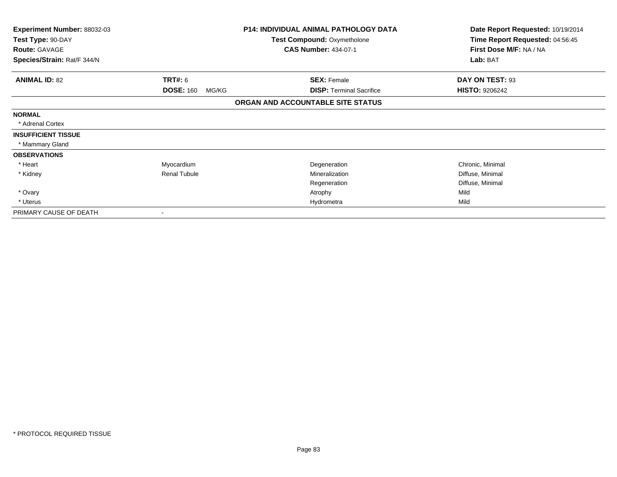| Experiment Number: 88032-03 | <b>P14: INDIVIDUAL ANIMAL PATHOLOGY DATA</b> |                                   | Date Report Requested: 10/19/2014 |
|-----------------------------|----------------------------------------------|-----------------------------------|-----------------------------------|
| Test Type: 90-DAY           |                                              | Test Compound: Oxymetholone       | Time Report Requested: 04:56:45   |
| <b>Route: GAVAGE</b>        |                                              | <b>CAS Number: 434-07-1</b>       | First Dose M/F: NA / NA           |
| Species/Strain: Rat/F 344/N |                                              |                                   | Lab: BAT                          |
| <b>ANIMAL ID: 82</b>        | TRT#: 6                                      | <b>SEX: Female</b>                | DAY ON TEST: 93                   |
|                             | <b>DOSE: 160</b><br>MG/KG                    | <b>DISP: Terminal Sacrifice</b>   | <b>HISTO: 9206242</b>             |
|                             |                                              | ORGAN AND ACCOUNTABLE SITE STATUS |                                   |
| <b>NORMAL</b>               |                                              |                                   |                                   |
| * Adrenal Cortex            |                                              |                                   |                                   |
| <b>INSUFFICIENT TISSUE</b>  |                                              |                                   |                                   |
| * Mammary Gland             |                                              |                                   |                                   |
| <b>OBSERVATIONS</b>         |                                              |                                   |                                   |
| * Heart                     | Myocardium                                   | Degeneration                      | Chronic, Minimal                  |
| * Kidney                    | <b>Renal Tubule</b>                          | Mineralization                    | Diffuse, Minimal                  |
|                             |                                              | Regeneration                      | Diffuse, Minimal                  |
| * Ovary                     |                                              | Atrophy                           | Mild                              |
| * Uterus                    |                                              | Hydrometra                        | Mild                              |
| PRIMARY CAUSE OF DEATH      | $\overline{\phantom{a}}$                     |                                   |                                   |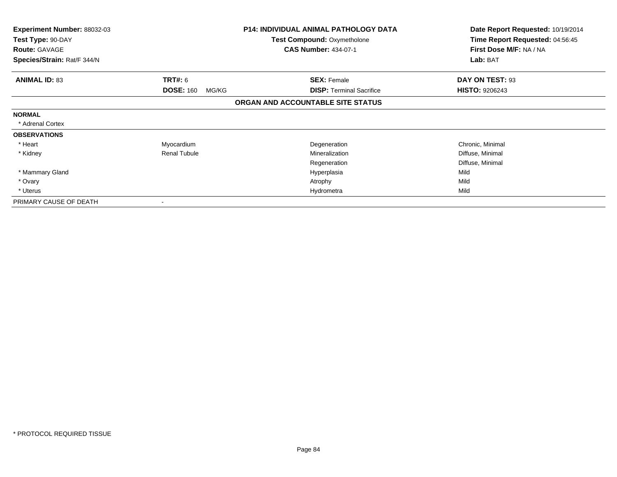| Experiment Number: 88032-03<br>Test Type: 90-DAY<br><b>Route: GAVAGE</b> |                           | <b>P14: INDIVIDUAL ANIMAL PATHOLOGY DATA</b><br>Test Compound: Oxymetholone<br><b>CAS Number: 434-07-1</b> | Date Report Requested: 10/19/2014<br>Time Report Requested: 04:56:45<br>First Dose M/F: NA / NA |  |
|--------------------------------------------------------------------------|---------------------------|------------------------------------------------------------------------------------------------------------|-------------------------------------------------------------------------------------------------|--|
| Species/Strain: Rat/F 344/N                                              |                           |                                                                                                            | Lab: BAT                                                                                        |  |
| <b>ANIMAL ID: 83</b>                                                     | <b>TRT#: 6</b>            | <b>SEX: Female</b>                                                                                         | DAY ON TEST: 93                                                                                 |  |
|                                                                          | <b>DOSE: 160</b><br>MG/KG | <b>DISP: Terminal Sacrifice</b>                                                                            | <b>HISTO: 9206243</b>                                                                           |  |
|                                                                          |                           | ORGAN AND ACCOUNTABLE SITE STATUS                                                                          |                                                                                                 |  |
| <b>NORMAL</b>                                                            |                           |                                                                                                            |                                                                                                 |  |
| * Adrenal Cortex                                                         |                           |                                                                                                            |                                                                                                 |  |
| <b>OBSERVATIONS</b>                                                      |                           |                                                                                                            |                                                                                                 |  |
| * Heart                                                                  | Myocardium                | Degeneration                                                                                               | Chronic, Minimal                                                                                |  |
| * Kidney                                                                 | <b>Renal Tubule</b>       | Mineralization                                                                                             | Diffuse, Minimal                                                                                |  |
|                                                                          |                           | Regeneration                                                                                               | Diffuse, Minimal                                                                                |  |
| * Mammary Gland                                                          |                           | Hyperplasia                                                                                                | Mild                                                                                            |  |
| * Ovary                                                                  |                           | Atrophy                                                                                                    | Mild                                                                                            |  |
| * Uterus                                                                 |                           | Hydrometra                                                                                                 | Mild                                                                                            |  |
| PRIMARY CAUSE OF DEATH                                                   |                           |                                                                                                            |                                                                                                 |  |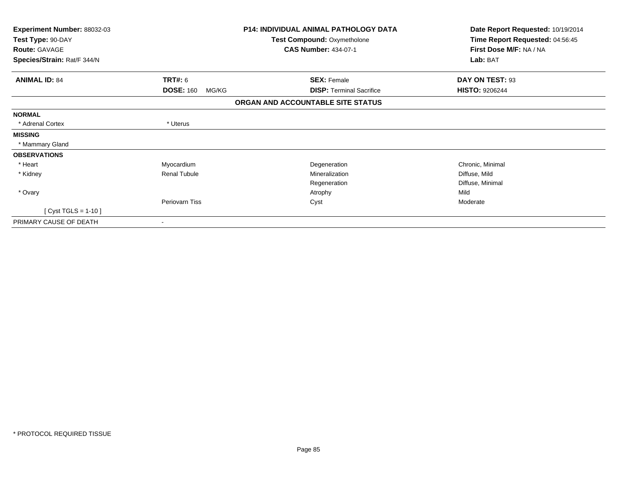| Experiment Number: 88032-03<br>Test Type: 90-DAY    |                           | <b>P14: INDIVIDUAL ANIMAL PATHOLOGY DATA</b><br>Test Compound: Oxymetholone | Date Report Requested: 10/19/2014<br>Time Report Requested: 04:56:45 |
|-----------------------------------------------------|---------------------------|-----------------------------------------------------------------------------|----------------------------------------------------------------------|
| <b>Route: GAVAGE</b><br>Species/Strain: Rat/F 344/N |                           | <b>CAS Number: 434-07-1</b>                                                 | First Dose M/F: NA / NA<br>Lab: BAT                                  |
|                                                     |                           |                                                                             |                                                                      |
| <b>ANIMAL ID: 84</b>                                | TRT#: 6                   | <b>SEX: Female</b>                                                          | DAY ON TEST: 93                                                      |
|                                                     | <b>DOSE: 160</b><br>MG/KG | <b>DISP: Terminal Sacrifice</b>                                             | <b>HISTO: 9206244</b>                                                |
|                                                     |                           | ORGAN AND ACCOUNTABLE SITE STATUS                                           |                                                                      |
| <b>NORMAL</b>                                       |                           |                                                                             |                                                                      |
| * Adrenal Cortex                                    | * Uterus                  |                                                                             |                                                                      |
| <b>MISSING</b>                                      |                           |                                                                             |                                                                      |
| * Mammary Gland                                     |                           |                                                                             |                                                                      |
| <b>OBSERVATIONS</b>                                 |                           |                                                                             |                                                                      |
| * Heart                                             | Myocardium                | Degeneration                                                                | Chronic, Minimal                                                     |
| * Kidney                                            | Renal Tubule              | Mineralization                                                              | Diffuse, Mild                                                        |
|                                                     |                           | Regeneration                                                                | Diffuse, Minimal                                                     |
| * Ovary                                             |                           | Atrophy                                                                     | Mild                                                                 |
|                                                     | Periovarn Tiss            | Cyst                                                                        | Moderate                                                             |
| [ Cyst TGLS = $1-10$ ]                              |                           |                                                                             |                                                                      |
| PRIMARY CAUSE OF DEATH                              | -                         |                                                                             |                                                                      |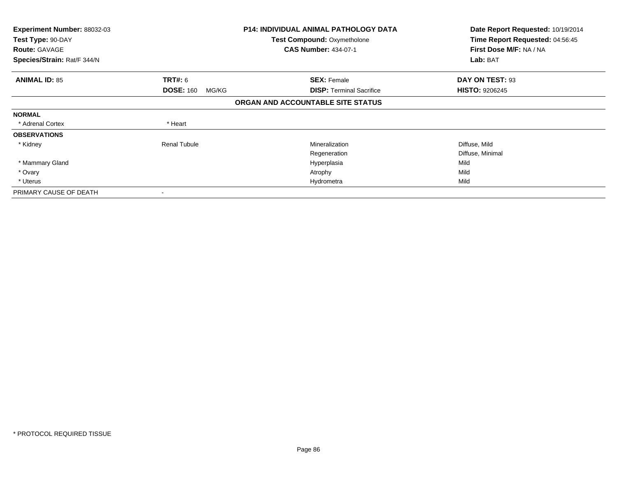| <b>Experiment Number: 88032-03</b> |                           | <b>P14: INDIVIDUAL ANIMAL PATHOLOGY DATA</b> | Date Report Requested: 10/19/2014 |
|------------------------------------|---------------------------|----------------------------------------------|-----------------------------------|
| Test Type: 90-DAY                  |                           | <b>Test Compound: Oxymetholone</b>           | Time Report Requested: 04:56:45   |
| <b>Route: GAVAGE</b>               |                           | <b>CAS Number: 434-07-1</b>                  | First Dose M/F: NA / NA           |
| Species/Strain: Rat/F 344/N        |                           |                                              | Lab: BAT                          |
| <b>ANIMAL ID: 85</b>               | <b>TRT#:</b> 6            | <b>SEX: Female</b>                           | DAY ON TEST: 93                   |
|                                    | <b>DOSE: 160</b><br>MG/KG | <b>DISP: Terminal Sacrifice</b>              | <b>HISTO: 9206245</b>             |
|                                    |                           | ORGAN AND ACCOUNTABLE SITE STATUS            |                                   |
| <b>NORMAL</b>                      |                           |                                              |                                   |
| * Adrenal Cortex                   | * Heart                   |                                              |                                   |
| <b>OBSERVATIONS</b>                |                           |                                              |                                   |
| * Kidney                           | <b>Renal Tubule</b>       | Mineralization                               | Diffuse, Mild                     |
|                                    |                           | Regeneration                                 | Diffuse, Minimal                  |
| * Mammary Gland                    |                           | Hyperplasia                                  | Mild                              |
| * Ovary                            |                           | Atrophy                                      | Mild                              |
| * Uterus                           |                           | Hydrometra                                   | Mild                              |
| PRIMARY CAUSE OF DEATH             |                           |                                              |                                   |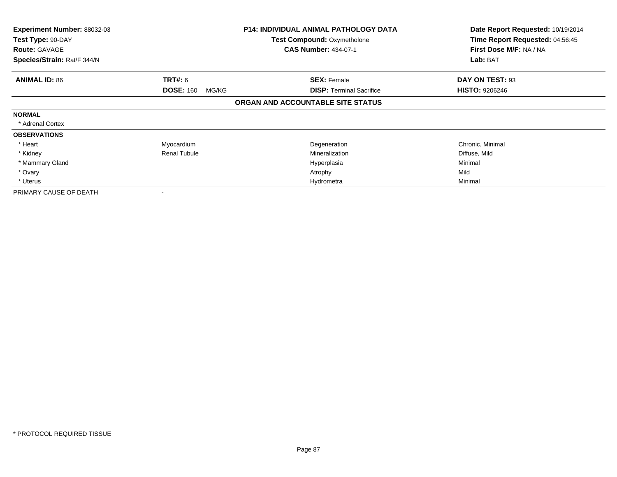| Experiment Number: 88032-03               |                           | <b>P14: INDIVIDUAL ANIMAL PATHOLOGY DATA</b>                      | Date Report Requested: 10/19/2014                          |
|-------------------------------------------|---------------------------|-------------------------------------------------------------------|------------------------------------------------------------|
| Test Type: 90-DAY<br><b>Route: GAVAGE</b> |                           | <b>Test Compound: Oxymetholone</b><br><b>CAS Number: 434-07-1</b> | Time Report Requested: 04:56:45<br>First Dose M/F: NA / NA |
| Species/Strain: Rat/F 344/N               |                           |                                                                   | Lab: BAT                                                   |
| <b>ANIMAL ID: 86</b>                      | <b>TRT#:</b> 6            | <b>SEX: Female</b>                                                | DAY ON TEST: 93                                            |
|                                           | <b>DOSE: 160</b><br>MG/KG | <b>DISP: Terminal Sacrifice</b>                                   | <b>HISTO: 9206246</b>                                      |
|                                           |                           | ORGAN AND ACCOUNTABLE SITE STATUS                                 |                                                            |
| <b>NORMAL</b>                             |                           |                                                                   |                                                            |
| * Adrenal Cortex                          |                           |                                                                   |                                                            |
| <b>OBSERVATIONS</b>                       |                           |                                                                   |                                                            |
| * Heart                                   | Myocardium                | Degeneration                                                      | Chronic, Minimal                                           |
| * Kidney                                  | <b>Renal Tubule</b>       | Mineralization                                                    | Diffuse, Mild                                              |
| * Mammary Gland                           |                           | Hyperplasia                                                       | Minimal                                                    |
| * Ovary                                   |                           | Atrophy                                                           | Mild                                                       |
| * Uterus                                  |                           | Hydrometra                                                        | Minimal                                                    |
| PRIMARY CAUSE OF DEATH                    | $\blacksquare$            |                                                                   |                                                            |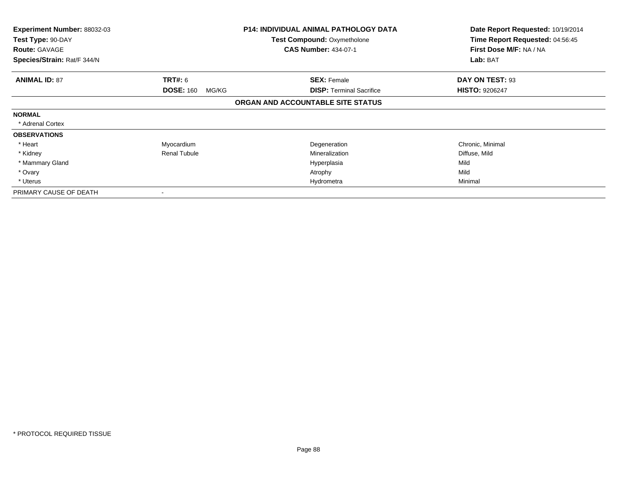| <b>Experiment Number: 88032-03</b><br>Test Type: 90-DAY<br><b>Route: GAVAGE</b> |                           | <b>P14: INDIVIDUAL ANIMAL PATHOLOGY DATA</b><br><b>Test Compound: Oxymetholone</b><br><b>CAS Number: 434-07-1</b> | Date Report Requested: 10/19/2014<br>Time Report Requested: 04:56:45<br>First Dose M/F: NA / NA |
|---------------------------------------------------------------------------------|---------------------------|-------------------------------------------------------------------------------------------------------------------|-------------------------------------------------------------------------------------------------|
| Species/Strain: Rat/F 344/N                                                     |                           |                                                                                                                   | Lab: BAT                                                                                        |
| <b>ANIMAL ID: 87</b>                                                            | <b>TRT#:</b> 6            | <b>SEX: Female</b>                                                                                                | DAY ON TEST: 93                                                                                 |
|                                                                                 | <b>DOSE: 160</b><br>MG/KG | <b>DISP: Terminal Sacrifice</b>                                                                                   | <b>HISTO: 9206247</b>                                                                           |
|                                                                                 |                           | ORGAN AND ACCOUNTABLE SITE STATUS                                                                                 |                                                                                                 |
| <b>NORMAL</b>                                                                   |                           |                                                                                                                   |                                                                                                 |
| * Adrenal Cortex                                                                |                           |                                                                                                                   |                                                                                                 |
| <b>OBSERVATIONS</b>                                                             |                           |                                                                                                                   |                                                                                                 |
| * Heart                                                                         | Myocardium                | Degeneration                                                                                                      | Chronic, Minimal                                                                                |
| * Kidney                                                                        | <b>Renal Tubule</b>       | Mineralization                                                                                                    | Diffuse, Mild                                                                                   |
| * Mammary Gland                                                                 |                           | Hyperplasia                                                                                                       | Mild                                                                                            |
| * Ovary                                                                         |                           | Atrophy                                                                                                           | Mild                                                                                            |
| * Uterus                                                                        |                           | Hydrometra                                                                                                        | Minimal                                                                                         |
| PRIMARY CAUSE OF DEATH                                                          | ۰                         |                                                                                                                   |                                                                                                 |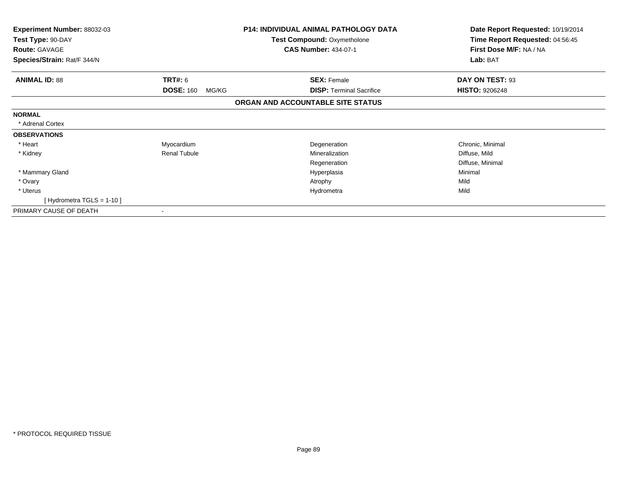| <b>Experiment Number: 88032-03</b><br>Test Type: 90-DAY |                           | <b>P14: INDIVIDUAL ANIMAL PATHOLOGY DATA</b><br><b>Test Compound: Oxymetholone</b> | Date Report Requested: 10/19/2014<br>Time Report Requested: 04:56:45 |
|---------------------------------------------------------|---------------------------|------------------------------------------------------------------------------------|----------------------------------------------------------------------|
| <b>Route: GAVAGE</b>                                    |                           | <b>CAS Number: 434-07-1</b>                                                        | First Dose M/F: NA / NA                                              |
| Species/Strain: Rat/F 344/N                             |                           |                                                                                    | Lab: BAT                                                             |
| <b>ANIMAL ID: 88</b>                                    | TRT#: 6                   | <b>SEX: Female</b>                                                                 | DAY ON TEST: 93                                                      |
|                                                         | <b>DOSE: 160</b><br>MG/KG | <b>DISP: Terminal Sacrifice</b>                                                    | <b>HISTO: 9206248</b>                                                |
|                                                         |                           | ORGAN AND ACCOUNTABLE SITE STATUS                                                  |                                                                      |
| <b>NORMAL</b>                                           |                           |                                                                                    |                                                                      |
| * Adrenal Cortex                                        |                           |                                                                                    |                                                                      |
| <b>OBSERVATIONS</b>                                     |                           |                                                                                    |                                                                      |
| * Heart                                                 | Myocardium                | Degeneration                                                                       | Chronic, Minimal                                                     |
| * Kidney                                                | <b>Renal Tubule</b>       | Mineralization                                                                     | Diffuse, Mild                                                        |
|                                                         |                           | Regeneration                                                                       | Diffuse, Minimal                                                     |
| * Mammary Gland                                         |                           | Hyperplasia                                                                        | Minimal                                                              |
| * Ovary                                                 |                           | Atrophy                                                                            | Mild                                                                 |
| * Uterus                                                |                           | Hydrometra                                                                         | Mild                                                                 |
| [Hydrometra TGLS = $1-10$ ]                             |                           |                                                                                    |                                                                      |
| PRIMARY CAUSE OF DEATH                                  |                           |                                                                                    |                                                                      |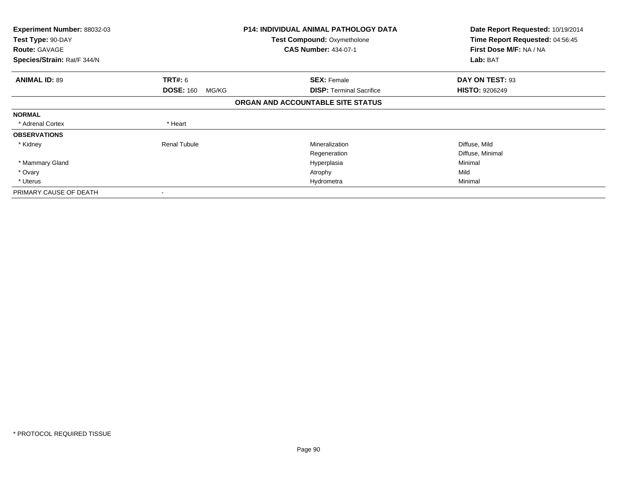| <b>Experiment Number: 88032-03</b> |                           | <b>P14: INDIVIDUAL ANIMAL PATHOLOGY DATA</b> | Date Report Requested: 10/19/2014 |
|------------------------------------|---------------------------|----------------------------------------------|-----------------------------------|
| Test Type: 90-DAY                  |                           | <b>Test Compound: Oxymetholone</b>           | Time Report Requested: 04:56:45   |
| <b>Route: GAVAGE</b>               |                           | <b>CAS Number: 434-07-1</b>                  | First Dose M/F: NA / NA           |
| Species/Strain: Rat/F 344/N        |                           |                                              | Lab: BAT                          |
| <b>ANIMAL ID: 89</b>               | <b>TRT#: 6</b>            | <b>SEX: Female</b>                           | DAY ON TEST: 93                   |
|                                    | <b>DOSE: 160</b><br>MG/KG | <b>DISP: Terminal Sacrifice</b>              | <b>HISTO: 9206249</b>             |
|                                    |                           | ORGAN AND ACCOUNTABLE SITE STATUS            |                                   |
| <b>NORMAL</b>                      |                           |                                              |                                   |
| * Adrenal Cortex                   | * Heart                   |                                              |                                   |
| <b>OBSERVATIONS</b>                |                           |                                              |                                   |
| * Kidney                           | <b>Renal Tubule</b>       | Mineralization                               | Diffuse, Mild                     |
|                                    |                           | Regeneration                                 | Diffuse, Minimal                  |
| * Mammary Gland                    |                           | Hyperplasia                                  | Minimal                           |
| * Ovary                            |                           | Atrophy                                      | Mild                              |
| * Uterus                           |                           | Hydrometra                                   | Minimal                           |
| PRIMARY CAUSE OF DEATH             |                           |                                              |                                   |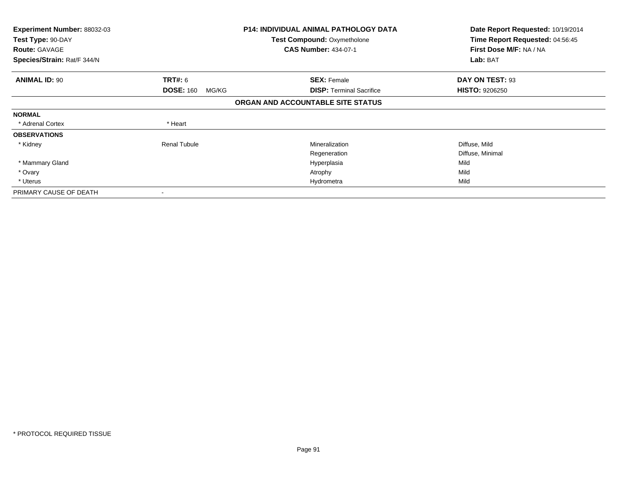| <b>Experiment Number: 88032-03</b> |                           | <b>P14: INDIVIDUAL ANIMAL PATHOLOGY DATA</b> | Date Report Requested: 10/19/2014 |
|------------------------------------|---------------------------|----------------------------------------------|-----------------------------------|
| Test Type: 90-DAY                  |                           | <b>Test Compound: Oxymetholone</b>           | Time Report Requested: 04:56:45   |
| <b>Route: GAVAGE</b>               |                           | <b>CAS Number: 434-07-1</b>                  | First Dose M/F: NA / NA           |
| Species/Strain: Rat/F 344/N        |                           |                                              | Lab: BAT                          |
| <b>ANIMAL ID: 90</b>               | <b>TRT#: 6</b>            | <b>SEX: Female</b>                           | DAY ON TEST: 93                   |
|                                    | <b>DOSE: 160</b><br>MG/KG | <b>DISP:</b> Terminal Sacrifice              | <b>HISTO: 9206250</b>             |
|                                    |                           | ORGAN AND ACCOUNTABLE SITE STATUS            |                                   |
| <b>NORMAL</b>                      |                           |                                              |                                   |
| * Adrenal Cortex                   | * Heart                   |                                              |                                   |
| <b>OBSERVATIONS</b>                |                           |                                              |                                   |
| * Kidney                           | <b>Renal Tubule</b>       | Mineralization                               | Diffuse, Mild                     |
|                                    |                           | Regeneration                                 | Diffuse, Minimal                  |
| * Mammary Gland                    |                           | Hyperplasia                                  | Mild                              |
| * Ovary                            |                           | Atrophy                                      | Mild                              |
| * Uterus                           |                           | Hydrometra                                   | Mild                              |
| PRIMARY CAUSE OF DEATH             |                           |                                              |                                   |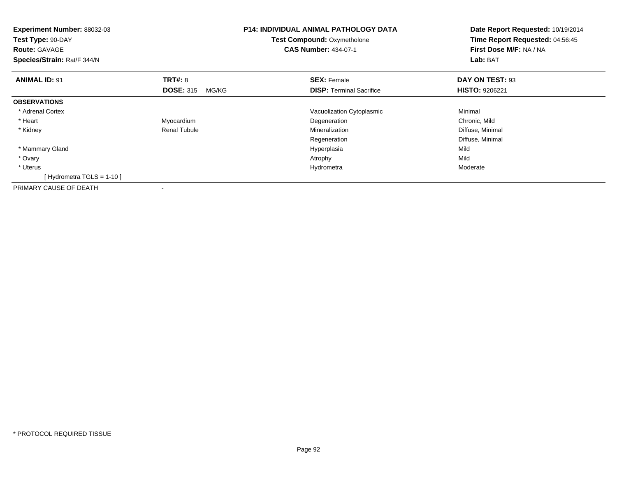| <b>Experiment Number: 88032-03</b><br>Test Type: 90-DAY<br><b>Route: GAVAGE</b><br>Species/Strain: Rat/F 344/N |                           | <b>P14: INDIVIDUAL ANIMAL PATHOLOGY DATA</b><br>Test Compound: Oxymetholone<br><b>CAS Number: 434-07-1</b> | Date Report Requested: 10/19/2014<br>Time Report Requested: 04:56:45<br>First Dose M/F: NA / NA<br>Lab: BAT |
|----------------------------------------------------------------------------------------------------------------|---------------------------|------------------------------------------------------------------------------------------------------------|-------------------------------------------------------------------------------------------------------------|
| <b>ANIMAL ID: 91</b>                                                                                           | <b>TRT#: 8</b>            | <b>SEX: Female</b>                                                                                         | DAY ON TEST: 93                                                                                             |
|                                                                                                                | <b>DOSE: 315</b><br>MG/KG | <b>DISP:</b> Terminal Sacrifice                                                                            | <b>HISTO: 9206221</b>                                                                                       |
| <b>OBSERVATIONS</b>                                                                                            |                           |                                                                                                            |                                                                                                             |
| * Adrenal Cortex                                                                                               |                           | Vacuolization Cytoplasmic                                                                                  | Minimal                                                                                                     |
| * Heart                                                                                                        | Myocardium                | Degeneration                                                                                               | Chronic, Mild                                                                                               |
| * Kidney                                                                                                       | <b>Renal Tubule</b>       | Mineralization                                                                                             | Diffuse, Minimal                                                                                            |
|                                                                                                                |                           | Regeneration                                                                                               | Diffuse, Minimal                                                                                            |
| * Mammary Gland                                                                                                |                           | Hyperplasia                                                                                                | Mild                                                                                                        |
| * Ovary                                                                                                        |                           | Atrophy                                                                                                    | Mild                                                                                                        |
| * Uterus                                                                                                       |                           | Hydrometra                                                                                                 | Moderate                                                                                                    |
| [Hydrometra TGLS = 1-10]                                                                                       |                           |                                                                                                            |                                                                                                             |
| PRIMARY CAUSE OF DEATH                                                                                         |                           |                                                                                                            |                                                                                                             |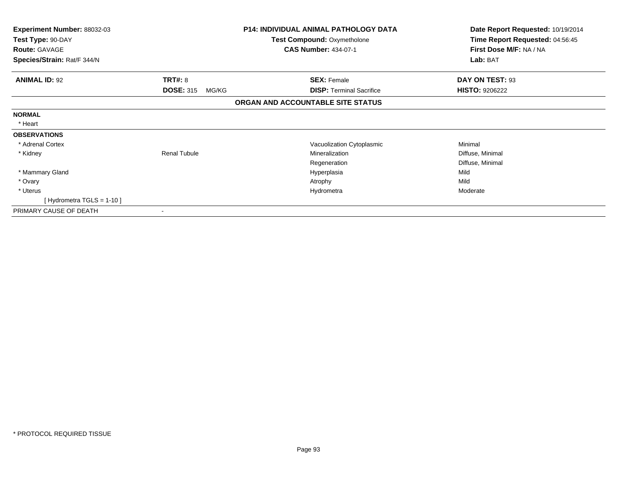| <b>Experiment Number: 88032-03</b> |                           | <b>P14: INDIVIDUAL ANIMAL PATHOLOGY DATA</b> | Date Report Requested: 10/19/2014 |
|------------------------------------|---------------------------|----------------------------------------------|-----------------------------------|
| Test Type: 90-DAY                  |                           | <b>Test Compound: Oxymetholone</b>           | Time Report Requested: 04:56:45   |
| <b>Route: GAVAGE</b>               |                           | <b>CAS Number: 434-07-1</b>                  | First Dose M/F: NA / NA           |
| Species/Strain: Rat/F 344/N        |                           |                                              | Lab: BAT                          |
| <b>ANIMAL ID: 92</b>               | TRT#: 8                   | <b>SEX: Female</b>                           | DAY ON TEST: 93                   |
|                                    | <b>DOSE: 315</b><br>MG/KG | <b>DISP: Terminal Sacrifice</b>              | <b>HISTO: 9206222</b>             |
|                                    |                           | ORGAN AND ACCOUNTABLE SITE STATUS            |                                   |
| <b>NORMAL</b>                      |                           |                                              |                                   |
| * Heart                            |                           |                                              |                                   |
| <b>OBSERVATIONS</b>                |                           |                                              |                                   |
| * Adrenal Cortex                   |                           | Vacuolization Cytoplasmic                    | Minimal                           |
| * Kidney                           | <b>Renal Tubule</b>       | Mineralization                               | Diffuse, Minimal                  |
|                                    |                           | Regeneration                                 | Diffuse, Minimal                  |
| * Mammary Gland                    |                           | Hyperplasia                                  | Mild                              |
| * Ovary                            |                           | Atrophy                                      | Mild                              |
| * Uterus                           |                           | Hydrometra                                   | Moderate                          |
| [Hydrometra TGLS = 1-10]           |                           |                                              |                                   |
| PRIMARY CAUSE OF DEATH             |                           |                                              |                                   |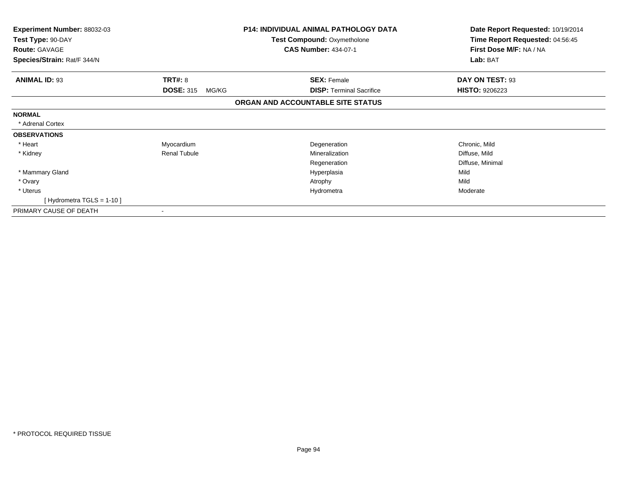| Experiment Number: 88032-03 |                           | <b>P14: INDIVIDUAL ANIMAL PATHOLOGY DATA</b> | Date Report Requested: 10/19/2014 |
|-----------------------------|---------------------------|----------------------------------------------|-----------------------------------|
| Test Type: 90-DAY           |                           | <b>Test Compound: Oxymetholone</b>           | Time Report Requested: 04:56:45   |
| <b>Route: GAVAGE</b>        |                           | <b>CAS Number: 434-07-1</b>                  | First Dose M/F: NA / NA           |
| Species/Strain: Rat/F 344/N |                           |                                              | Lab: BAT                          |
| <b>ANIMAL ID: 93</b>        | TRT#: 8                   | <b>SEX: Female</b>                           | DAY ON TEST: 93                   |
|                             | <b>DOSE: 315</b><br>MG/KG | <b>DISP:</b> Terminal Sacrifice              | <b>HISTO: 9206223</b>             |
|                             |                           | ORGAN AND ACCOUNTABLE SITE STATUS            |                                   |
| <b>NORMAL</b>               |                           |                                              |                                   |
| * Adrenal Cortex            |                           |                                              |                                   |
| <b>OBSERVATIONS</b>         |                           |                                              |                                   |
| * Heart                     | Myocardium                | Degeneration                                 | Chronic, Mild                     |
| * Kidney                    | <b>Renal Tubule</b>       | Mineralization                               | Diffuse, Mild                     |
|                             |                           | Regeneration                                 | Diffuse, Minimal                  |
| * Mammary Gland             |                           | Hyperplasia                                  | Mild                              |
| * Ovary                     |                           | Atrophy                                      | Mild                              |
| * Uterus                    |                           | Hydrometra                                   | Moderate                          |
| [Hydrometra TGLS = 1-10]    |                           |                                              |                                   |
| PRIMARY CAUSE OF DEATH      |                           |                                              |                                   |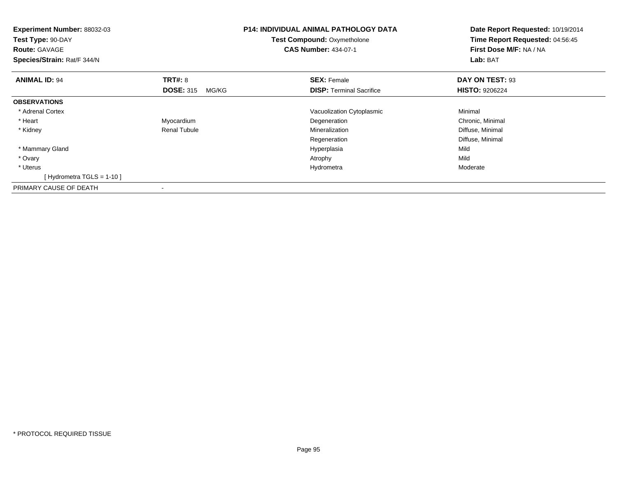| <b>Experiment Number: 88032-03</b><br>Test Type: 90-DAY<br><b>Route: GAVAGE</b><br>Species/Strain: Rat/F 344/N |                           | <b>P14: INDIVIDUAL ANIMAL PATHOLOGY DATA</b><br>Test Compound: Oxymetholone<br><b>CAS Number: 434-07-1</b> | Date Report Requested: 10/19/2014<br>Time Report Requested: 04:56:45<br>First Dose M/F: NA / NA<br>Lab: BAT |
|----------------------------------------------------------------------------------------------------------------|---------------------------|------------------------------------------------------------------------------------------------------------|-------------------------------------------------------------------------------------------------------------|
| <b>ANIMAL ID: 94</b>                                                                                           | <b>TRT#: 8</b>            | <b>SEX: Female</b>                                                                                         | DAY ON TEST: 93                                                                                             |
|                                                                                                                | <b>DOSE: 315</b><br>MG/KG | <b>DISP:</b> Terminal Sacrifice                                                                            | <b>HISTO: 9206224</b>                                                                                       |
| <b>OBSERVATIONS</b>                                                                                            |                           |                                                                                                            |                                                                                                             |
| * Adrenal Cortex                                                                                               |                           | Vacuolization Cytoplasmic                                                                                  | Minimal                                                                                                     |
| * Heart                                                                                                        | Myocardium                | Degeneration                                                                                               | Chronic, Minimal                                                                                            |
| * Kidney                                                                                                       | <b>Renal Tubule</b>       | Mineralization                                                                                             | Diffuse, Minimal                                                                                            |
|                                                                                                                |                           | Regeneration                                                                                               | Diffuse, Minimal                                                                                            |
| * Mammary Gland                                                                                                |                           | Hyperplasia                                                                                                | Mild                                                                                                        |
| * Ovary                                                                                                        |                           | Atrophy                                                                                                    | Mild                                                                                                        |
| * Uterus                                                                                                       |                           | Hydrometra                                                                                                 | Moderate                                                                                                    |
| [Hydrometra TGLS = $1-10$ ]                                                                                    |                           |                                                                                                            |                                                                                                             |
| PRIMARY CAUSE OF DEATH                                                                                         |                           |                                                                                                            |                                                                                                             |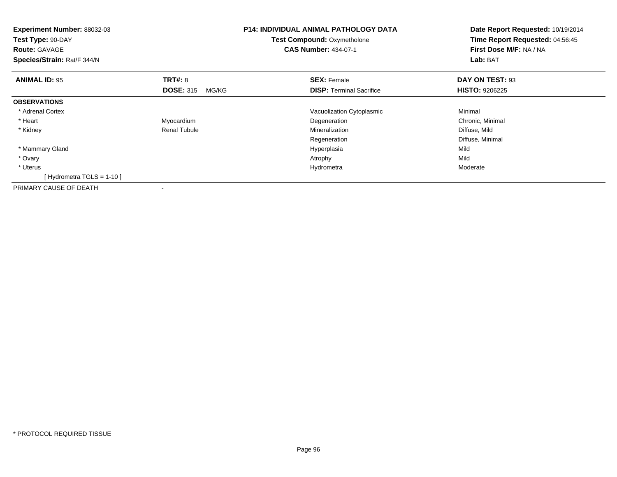| <b>Experiment Number: 88032-03</b><br>Test Type: 90-DAY<br><b>Route: GAVAGE</b><br>Species/Strain: Rat/F 344/N |                           | <b>P14: INDIVIDUAL ANIMAL PATHOLOGY DATA</b><br>Test Compound: Oxymetholone<br><b>CAS Number: 434-07-1</b> | Date Report Requested: 10/19/2014<br>Time Report Requested: 04:56:45<br>First Dose M/F: NA / NA<br>Lab: BAT |
|----------------------------------------------------------------------------------------------------------------|---------------------------|------------------------------------------------------------------------------------------------------------|-------------------------------------------------------------------------------------------------------------|
| <b>ANIMAL ID: 95</b>                                                                                           | <b>TRT#: 8</b>            | <b>SEX: Female</b>                                                                                         | DAY ON TEST: 93                                                                                             |
|                                                                                                                | <b>DOSE: 315</b><br>MG/KG | <b>DISP:</b> Terminal Sacrifice                                                                            | <b>HISTO: 9206225</b>                                                                                       |
| <b>OBSERVATIONS</b>                                                                                            |                           |                                                                                                            |                                                                                                             |
| * Adrenal Cortex                                                                                               |                           | Vacuolization Cytoplasmic                                                                                  | Minimal                                                                                                     |
| * Heart                                                                                                        | Myocardium                | Degeneration                                                                                               | Chronic, Minimal                                                                                            |
| * Kidney                                                                                                       | <b>Renal Tubule</b>       | Mineralization                                                                                             | Diffuse, Mild                                                                                               |
|                                                                                                                |                           | Regeneration                                                                                               | Diffuse, Minimal                                                                                            |
| * Mammary Gland                                                                                                |                           | Hyperplasia                                                                                                | Mild                                                                                                        |
| * Ovary                                                                                                        |                           | Atrophy                                                                                                    | Mild                                                                                                        |
| * Uterus                                                                                                       |                           | Hydrometra                                                                                                 | Moderate                                                                                                    |
| [Hydrometra TGLS = $1-10$ ]                                                                                    |                           |                                                                                                            |                                                                                                             |
| PRIMARY CAUSE OF DEATH                                                                                         |                           |                                                                                                            |                                                                                                             |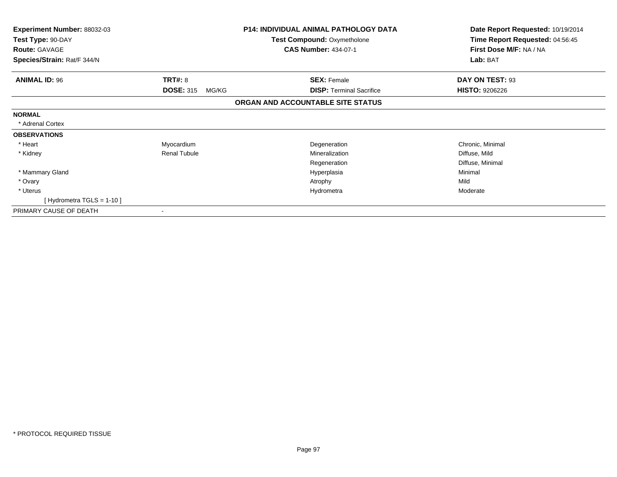| <b>Experiment Number: 88032-03</b><br>Test Type: 90-DAY |                           | <b>P14: INDIVIDUAL ANIMAL PATHOLOGY DATA</b><br><b>Test Compound: Oxymetholone</b> | Date Report Requested: 10/19/2014<br>Time Report Requested: 04:56:45 |
|---------------------------------------------------------|---------------------------|------------------------------------------------------------------------------------|----------------------------------------------------------------------|
| <b>Route: GAVAGE</b>                                    |                           | <b>CAS Number: 434-07-1</b>                                                        | First Dose M/F: NA / NA                                              |
| Species/Strain: Rat/F 344/N                             |                           |                                                                                    | Lab: BAT                                                             |
| <b>ANIMAL ID: 96</b>                                    | TRT#: 8                   | <b>SEX: Female</b>                                                                 | DAY ON TEST: 93                                                      |
|                                                         | <b>DOSE: 315</b><br>MG/KG | <b>DISP: Terminal Sacrifice</b>                                                    | <b>HISTO: 9206226</b>                                                |
|                                                         |                           | ORGAN AND ACCOUNTABLE SITE STATUS                                                  |                                                                      |
| <b>NORMAL</b>                                           |                           |                                                                                    |                                                                      |
| * Adrenal Cortex                                        |                           |                                                                                    |                                                                      |
| <b>OBSERVATIONS</b>                                     |                           |                                                                                    |                                                                      |
| * Heart                                                 | Myocardium                | Degeneration                                                                       | Chronic, Minimal                                                     |
| * Kidney                                                | <b>Renal Tubule</b>       | Mineralization                                                                     | Diffuse, Mild                                                        |
|                                                         |                           | Regeneration                                                                       | Diffuse, Minimal                                                     |
| * Mammary Gland                                         |                           | Hyperplasia                                                                        | Minimal                                                              |
| * Ovary                                                 |                           | Atrophy                                                                            | Mild                                                                 |
| * Uterus                                                |                           | Hydrometra                                                                         | Moderate                                                             |
| [Hydrometra TGLS = $1-10$ ]                             |                           |                                                                                    |                                                                      |
| PRIMARY CAUSE OF DEATH                                  |                           |                                                                                    |                                                                      |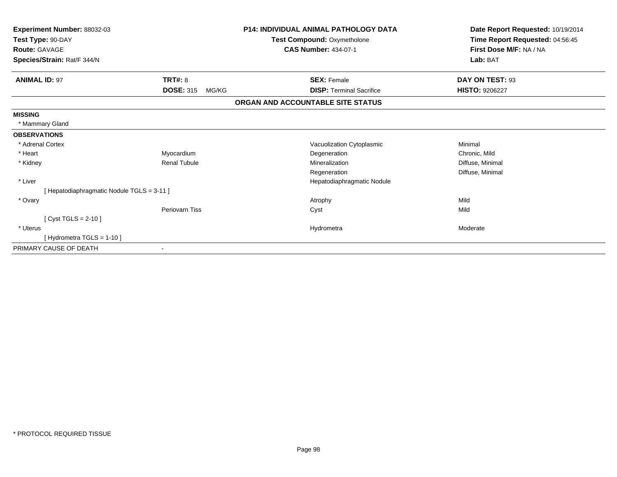| Experiment Number: 88032-03              |                           | P14: INDIVIDUAL ANIMAL PATHOLOGY DATA | Date Report Requested: 10/19/2014 |
|------------------------------------------|---------------------------|---------------------------------------|-----------------------------------|
| Test Type: 90-DAY                        |                           | Test Compound: Oxymetholone           | Time Report Requested: 04:56:45   |
| <b>Route: GAVAGE</b>                     |                           | <b>CAS Number: 434-07-1</b>           | First Dose M/F: NA / NA           |
| Species/Strain: Rat/F 344/N              |                           |                                       | Lab: BAT                          |
| <b>ANIMAL ID: 97</b>                     | <b>TRT#: 8</b>            | <b>SEX: Female</b>                    | DAY ON TEST: 93                   |
|                                          | <b>DOSE: 315</b><br>MG/KG | <b>DISP: Terminal Sacrifice</b>       | <b>HISTO: 9206227</b>             |
|                                          |                           | ORGAN AND ACCOUNTABLE SITE STATUS     |                                   |
| <b>MISSING</b>                           |                           |                                       |                                   |
| * Mammary Gland                          |                           |                                       |                                   |
| <b>OBSERVATIONS</b>                      |                           |                                       |                                   |
| * Adrenal Cortex                         |                           | Vacuolization Cytoplasmic             | Minimal                           |
| * Heart                                  | Myocardium                | Degeneration                          | Chronic, Mild                     |
| * Kidney                                 | <b>Renal Tubule</b>       | Mineralization                        | Diffuse, Minimal                  |
|                                          |                           | Regeneration                          | Diffuse, Minimal                  |
| * Liver                                  |                           | Hepatodiaphragmatic Nodule            |                                   |
| [Hepatodiaphragmatic Nodule TGLS = 3-11] |                           |                                       |                                   |
| * Ovary                                  |                           | Atrophy                               | Mild                              |
|                                          | Periovarn Tiss            | Cyst                                  | Mild                              |
| [ $Cyst TGLS = 2-10$ ]                   |                           |                                       |                                   |
| * Uterus                                 |                           | Hydrometra                            | Moderate                          |
| [Hydrometra TGLS = $1-10$ ]              |                           |                                       |                                   |
| PRIMARY CAUSE OF DEATH                   |                           |                                       |                                   |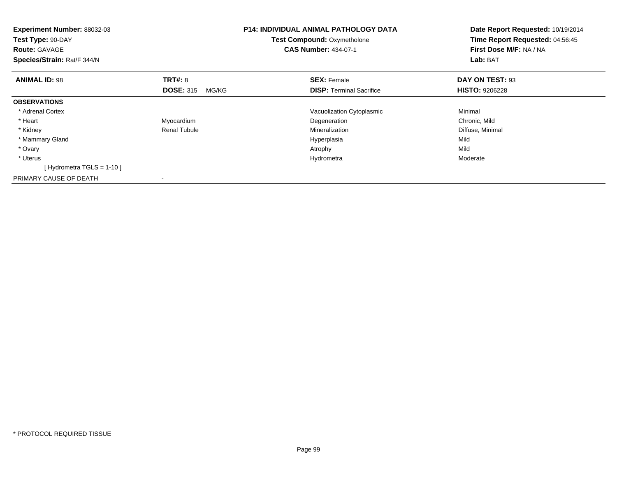| Experiment Number: 88032-03<br>Test Type: 90-DAY<br><b>Route: GAVAGE</b><br>Species/Strain: Rat/F 344/N |                           | <b>P14: INDIVIDUAL ANIMAL PATHOLOGY DATA</b><br><b>Test Compound: Oxymetholone</b><br><b>CAS Number: 434-07-1</b> | Date Report Requested: 10/19/2014<br>Time Report Requested: 04:56:45<br>First Dose M/F: NA / NA<br>Lab: BAT |
|---------------------------------------------------------------------------------------------------------|---------------------------|-------------------------------------------------------------------------------------------------------------------|-------------------------------------------------------------------------------------------------------------|
| <b>ANIMAL ID: 98</b>                                                                                    | <b>TRT#: 8</b>            | <b>SEX: Female</b>                                                                                                | DAY ON TEST: 93                                                                                             |
|                                                                                                         | <b>DOSE: 315</b><br>MG/KG | <b>DISP:</b> Terminal Sacrifice                                                                                   | <b>HISTO: 9206228</b>                                                                                       |
| <b>OBSERVATIONS</b>                                                                                     |                           |                                                                                                                   |                                                                                                             |
| * Adrenal Cortex                                                                                        |                           | Vacuolization Cytoplasmic                                                                                         | Minimal                                                                                                     |
| * Heart                                                                                                 | Myocardium                | Degeneration                                                                                                      | Chronic, Mild                                                                                               |
| * Kidney                                                                                                | <b>Renal Tubule</b>       | Mineralization                                                                                                    | Diffuse, Minimal                                                                                            |
| * Mammary Gland                                                                                         |                           | Hyperplasia                                                                                                       | Mild                                                                                                        |
| * Ovary                                                                                                 |                           | Atrophy                                                                                                           | Mild                                                                                                        |
| * Uterus                                                                                                |                           | Hydrometra                                                                                                        | Moderate                                                                                                    |
| [Hydrometra TGLS = $1-10$ ]                                                                             |                           |                                                                                                                   |                                                                                                             |
| PRIMARY CAUSE OF DEATH                                                                                  |                           |                                                                                                                   |                                                                                                             |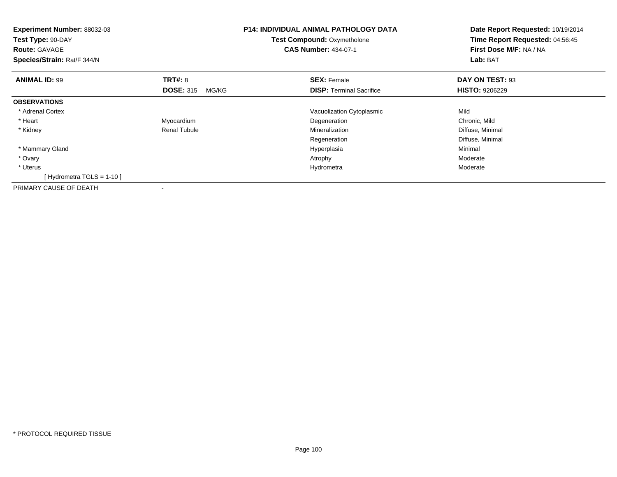| <b>Experiment Number: 88032-03</b><br>Test Type: 90-DAY<br><b>Route: GAVAGE</b><br>Species/Strain: Rat/F 344/N |                           | <b>P14: INDIVIDUAL ANIMAL PATHOLOGY DATA</b><br><b>Test Compound: Oxymetholone</b><br><b>CAS Number: 434-07-1</b> | Date Report Requested: 10/19/2014<br>Time Report Requested: 04:56:45<br>First Dose M/F: NA / NA<br>Lab: BAT |
|----------------------------------------------------------------------------------------------------------------|---------------------------|-------------------------------------------------------------------------------------------------------------------|-------------------------------------------------------------------------------------------------------------|
| <b>ANIMAL ID: 99</b>                                                                                           | <b>TRT#: 8</b>            | <b>SEX: Female</b>                                                                                                | DAY ON TEST: 93                                                                                             |
|                                                                                                                | <b>DOSE: 315</b><br>MG/KG | <b>DISP:</b> Terminal Sacrifice                                                                                   | <b>HISTO: 9206229</b>                                                                                       |
| <b>OBSERVATIONS</b>                                                                                            |                           |                                                                                                                   |                                                                                                             |
| * Adrenal Cortex                                                                                               |                           | Vacuolization Cytoplasmic                                                                                         | Mild                                                                                                        |
| * Heart                                                                                                        | Myocardium                | Degeneration                                                                                                      | Chronic, Mild                                                                                               |
| * Kidney                                                                                                       | <b>Renal Tubule</b>       | Mineralization                                                                                                    | Diffuse, Minimal                                                                                            |
|                                                                                                                |                           | Regeneration                                                                                                      | Diffuse, Minimal                                                                                            |
| * Mammary Gland                                                                                                |                           | Hyperplasia                                                                                                       | Minimal                                                                                                     |
| * Ovary                                                                                                        |                           | Atrophy                                                                                                           | Moderate                                                                                                    |
| * Uterus                                                                                                       |                           | Hydrometra                                                                                                        | Moderate                                                                                                    |
| [Hydrometra TGLS = 1-10]                                                                                       |                           |                                                                                                                   |                                                                                                             |
| PRIMARY CAUSE OF DEATH                                                                                         |                           |                                                                                                                   |                                                                                                             |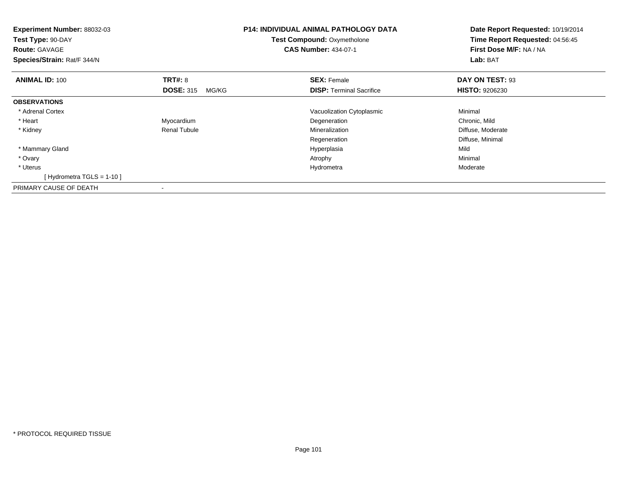| <b>Experiment Number: 88032-03</b><br>Test Type: 90-DAY<br><b>Route: GAVAGE</b><br>Species/Strain: Rat/F 344/N |                           | <b>P14: INDIVIDUAL ANIMAL PATHOLOGY DATA</b><br>Test Compound: Oxymetholone<br><b>CAS Number: 434-07-1</b> | Date Report Requested: 10/19/2014<br>Time Report Requested: 04:56:45<br>First Dose M/F: NA / NA<br>Lab: BAT |
|----------------------------------------------------------------------------------------------------------------|---------------------------|------------------------------------------------------------------------------------------------------------|-------------------------------------------------------------------------------------------------------------|
| <b>ANIMAL ID: 100</b>                                                                                          | <b>TRT#: 8</b>            | <b>SEX: Female</b>                                                                                         | DAY ON TEST: 93                                                                                             |
|                                                                                                                | <b>DOSE: 315</b><br>MG/KG | <b>DISP:</b> Terminal Sacrifice                                                                            | <b>HISTO: 9206230</b>                                                                                       |
| <b>OBSERVATIONS</b>                                                                                            |                           |                                                                                                            |                                                                                                             |
| * Adrenal Cortex                                                                                               |                           | Vacuolization Cytoplasmic                                                                                  | Minimal                                                                                                     |
| * Heart                                                                                                        | Myocardium                | Degeneration                                                                                               | Chronic, Mild                                                                                               |
| * Kidney                                                                                                       | <b>Renal Tubule</b>       | Mineralization                                                                                             | Diffuse, Moderate                                                                                           |
|                                                                                                                |                           | Regeneration                                                                                               | Diffuse, Minimal                                                                                            |
| * Mammary Gland                                                                                                |                           | Hyperplasia                                                                                                | Mild                                                                                                        |
| * Ovary                                                                                                        |                           | Atrophy                                                                                                    | Minimal                                                                                                     |
| * Uterus                                                                                                       |                           | Hydrometra                                                                                                 | Moderate                                                                                                    |
| [Hydrometra TGLS = $1-10$ ]                                                                                    |                           |                                                                                                            |                                                                                                             |
| PRIMARY CAUSE OF DEATH                                                                                         | $\overline{\phantom{a}}$  |                                                                                                            |                                                                                                             |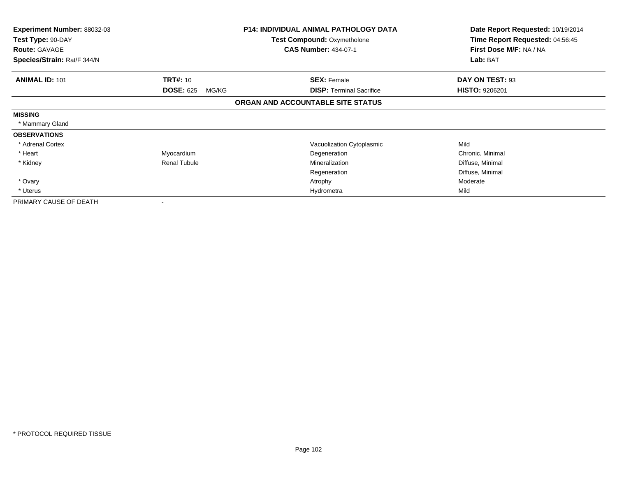| <b>Experiment Number: 88032-03</b><br>Test Type: 90-DAY<br><b>Route: GAVAGE</b><br>Species/Strain: Rat/F 344/N |                           | <b>P14: INDIVIDUAL ANIMAL PATHOLOGY DATA</b><br><b>Test Compound: Oxymetholone</b><br><b>CAS Number: 434-07-1</b> | Date Report Requested: 10/19/2014<br>Time Report Requested: 04:56:45<br>First Dose M/F: NA / NA<br>Lab: BAT |
|----------------------------------------------------------------------------------------------------------------|---------------------------|-------------------------------------------------------------------------------------------------------------------|-------------------------------------------------------------------------------------------------------------|
| <b>ANIMAL ID: 101</b>                                                                                          | <b>TRT#: 10</b>           | <b>SEX: Female</b>                                                                                                | DAY ON TEST: 93                                                                                             |
|                                                                                                                | <b>DOSE: 625</b><br>MG/KG | <b>DISP:</b> Terminal Sacrifice                                                                                   | <b>HISTO: 9206201</b>                                                                                       |
|                                                                                                                |                           | ORGAN AND ACCOUNTABLE SITE STATUS                                                                                 |                                                                                                             |
| <b>MISSING</b>                                                                                                 |                           |                                                                                                                   |                                                                                                             |
| * Mammary Gland                                                                                                |                           |                                                                                                                   |                                                                                                             |
| <b>OBSERVATIONS</b>                                                                                            |                           |                                                                                                                   |                                                                                                             |
| * Adrenal Cortex                                                                                               |                           | Vacuolization Cytoplasmic                                                                                         | Mild                                                                                                        |
| * Heart                                                                                                        | Myocardium                | Degeneration                                                                                                      | Chronic, Minimal                                                                                            |
| * Kidney                                                                                                       | Renal Tubule              | Mineralization                                                                                                    | Diffuse, Minimal                                                                                            |
|                                                                                                                |                           | Regeneration                                                                                                      | Diffuse, Minimal                                                                                            |
| * Ovary                                                                                                        |                           | Atrophy                                                                                                           | Moderate                                                                                                    |
| * Uterus                                                                                                       |                           | Hydrometra                                                                                                        | Mild                                                                                                        |
| PRIMARY CAUSE OF DEATH                                                                                         |                           |                                                                                                                   |                                                                                                             |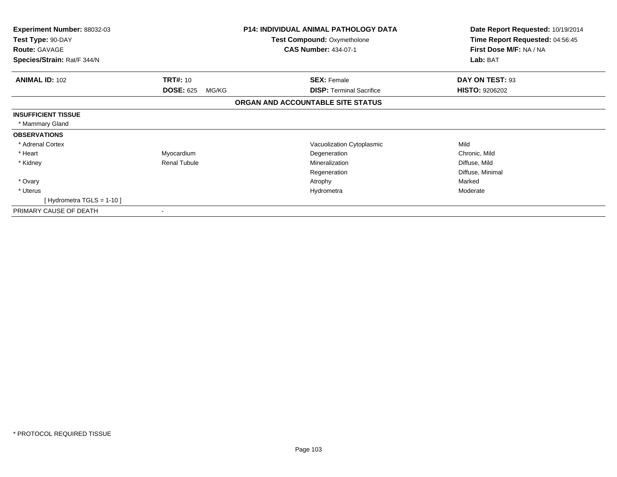| Experiment Number: 88032-03<br>Test Type: 90-DAY    |                           | <b>P14: INDIVIDUAL ANIMAL PATHOLOGY DATA</b><br><b>Test Compound: Oxymetholone</b> | Date Report Requested: 10/19/2014<br>Time Report Requested: 04:56:45 |
|-----------------------------------------------------|---------------------------|------------------------------------------------------------------------------------|----------------------------------------------------------------------|
| <b>Route: GAVAGE</b><br>Species/Strain: Rat/F 344/N |                           | <b>CAS Number: 434-07-1</b>                                                        | First Dose M/F: NA / NA<br>Lab: BAT                                  |
|                                                     |                           |                                                                                    |                                                                      |
| <b>ANIMAL ID: 102</b>                               | <b>TRT#: 10</b>           | <b>SEX: Female</b>                                                                 | DAY ON TEST: 93                                                      |
|                                                     | <b>DOSE: 625</b><br>MG/KG | <b>DISP:</b> Terminal Sacrifice                                                    | <b>HISTO: 9206202</b>                                                |
|                                                     |                           | ORGAN AND ACCOUNTABLE SITE STATUS                                                  |                                                                      |
| <b>INSUFFICIENT TISSUE</b>                          |                           |                                                                                    |                                                                      |
| * Mammary Gland                                     |                           |                                                                                    |                                                                      |
| <b>OBSERVATIONS</b>                                 |                           |                                                                                    |                                                                      |
| * Adrenal Cortex                                    |                           | Vacuolization Cytoplasmic                                                          | Mild                                                                 |
| * Heart                                             | Myocardium                | Degeneration                                                                       | Chronic, Mild                                                        |
| * Kidney                                            | <b>Renal Tubule</b>       | Mineralization                                                                     | Diffuse, Mild                                                        |
|                                                     |                           | Regeneration                                                                       | Diffuse, Minimal                                                     |
| * Ovary                                             |                           | Atrophy                                                                            | Marked                                                               |
| * Uterus                                            |                           | Hydrometra                                                                         | Moderate                                                             |
| [Hydrometra TGLS = $1-10$ ]                         |                           |                                                                                    |                                                                      |
| PRIMARY CAUSE OF DEATH                              |                           |                                                                                    |                                                                      |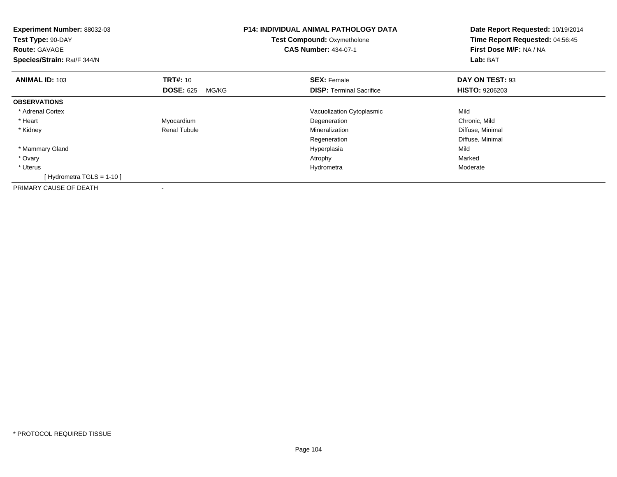| <b>Experiment Number: 88032-03</b><br>Test Type: 90-DAY<br><b>Route: GAVAGE</b><br>Species/Strain: Rat/F 344/N |                           | <b>P14: INDIVIDUAL ANIMAL PATHOLOGY DATA</b><br>Test Compound: Oxymetholone<br><b>CAS Number: 434-07-1</b> | Date Report Requested: 10/19/2014<br>Time Report Requested: 04:56:45<br>First Dose M/F: NA / NA<br>Lab: BAT |
|----------------------------------------------------------------------------------------------------------------|---------------------------|------------------------------------------------------------------------------------------------------------|-------------------------------------------------------------------------------------------------------------|
| <b>ANIMAL ID: 103</b>                                                                                          | <b>TRT#: 10</b>           | <b>SEX: Female</b>                                                                                         | DAY ON TEST: 93                                                                                             |
|                                                                                                                | <b>DOSE: 625</b><br>MG/KG | <b>DISP:</b> Terminal Sacrifice                                                                            | <b>HISTO: 9206203</b>                                                                                       |
| <b>OBSERVATIONS</b>                                                                                            |                           |                                                                                                            |                                                                                                             |
| * Adrenal Cortex                                                                                               |                           | Vacuolization Cytoplasmic                                                                                  | Mild                                                                                                        |
| * Heart                                                                                                        | Myocardium                | Degeneration                                                                                               | Chronic, Mild                                                                                               |
| * Kidney                                                                                                       | <b>Renal Tubule</b>       | Mineralization                                                                                             | Diffuse, Minimal                                                                                            |
|                                                                                                                |                           | Regeneration                                                                                               | Diffuse, Minimal                                                                                            |
| * Mammary Gland                                                                                                |                           | Hyperplasia                                                                                                | Mild                                                                                                        |
| * Ovary                                                                                                        |                           | Atrophy                                                                                                    | Marked                                                                                                      |
| * Uterus                                                                                                       |                           | Hydrometra                                                                                                 | Moderate                                                                                                    |
| [Hydrometra TGLS = $1-10$ ]                                                                                    |                           |                                                                                                            |                                                                                                             |
| PRIMARY CAUSE OF DEATH                                                                                         | $\overline{\phantom{a}}$  |                                                                                                            |                                                                                                             |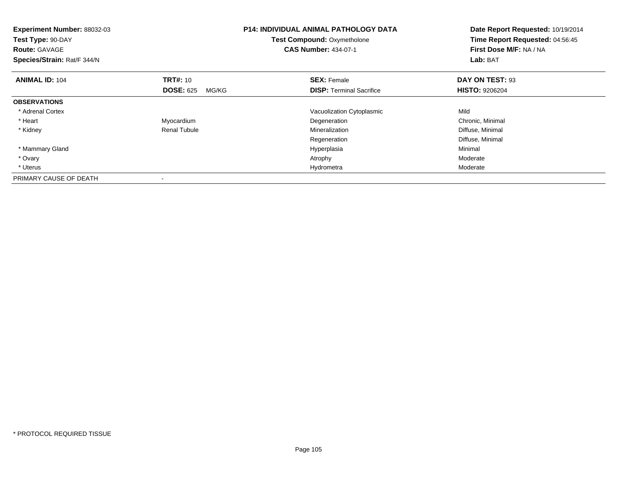| Experiment Number: 88032-03<br>Test Type: 90-DAY<br><b>Route: GAVAGE</b><br>Species/Strain: Rat/F 344/N |                           | <b>P14: INDIVIDUAL ANIMAL PATHOLOGY DATA</b><br><b>Test Compound: Oxymetholone</b><br><b>CAS Number: 434-07-1</b> | Date Report Requested: 10/19/2014<br>Time Report Requested: 04:56:45<br>First Dose M/F: NA / NA<br>Lab: BAT |
|---------------------------------------------------------------------------------------------------------|---------------------------|-------------------------------------------------------------------------------------------------------------------|-------------------------------------------------------------------------------------------------------------|
| <b>ANIMAL ID: 104</b>                                                                                   | <b>TRT#: 10</b>           | <b>SEX: Female</b>                                                                                                | DAY ON TEST: 93                                                                                             |
|                                                                                                         | <b>DOSE: 625</b><br>MG/KG | <b>DISP:</b> Terminal Sacrifice                                                                                   | <b>HISTO: 9206204</b>                                                                                       |
| <b>OBSERVATIONS</b>                                                                                     |                           |                                                                                                                   |                                                                                                             |
| * Adrenal Cortex                                                                                        |                           | Vacuolization Cytoplasmic                                                                                         | Mild                                                                                                        |
| * Heart                                                                                                 | Myocardium                | Degeneration                                                                                                      | Chronic, Minimal                                                                                            |
| * Kidney                                                                                                | Renal Tubule              | Mineralization                                                                                                    | Diffuse, Minimal                                                                                            |
|                                                                                                         |                           | Regeneration                                                                                                      | Diffuse, Minimal                                                                                            |
| * Mammary Gland                                                                                         |                           | Hyperplasia                                                                                                       | Minimal                                                                                                     |
| * Ovary                                                                                                 |                           | Atrophy                                                                                                           | Moderate                                                                                                    |
| * Uterus                                                                                                |                           | Hydrometra                                                                                                        | Moderate                                                                                                    |
| PRIMARY CAUSE OF DEATH                                                                                  |                           |                                                                                                                   |                                                                                                             |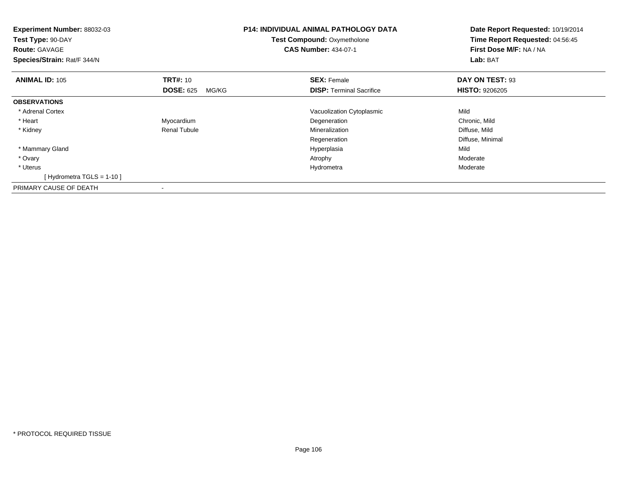| <b>Experiment Number: 88032-03</b><br>Test Type: 90-DAY<br><b>Route: GAVAGE</b><br>Species/Strain: Rat/F 344/N |                           | <b>P14: INDIVIDUAL ANIMAL PATHOLOGY DATA</b><br><b>Test Compound: Oxymetholone</b><br><b>CAS Number: 434-07-1</b> | Date Report Requested: 10/19/2014<br>Time Report Requested: 04:56:45<br>First Dose M/F: NA / NA<br>Lab: BAT |
|----------------------------------------------------------------------------------------------------------------|---------------------------|-------------------------------------------------------------------------------------------------------------------|-------------------------------------------------------------------------------------------------------------|
| <b>ANIMAL ID: 105</b>                                                                                          | <b>TRT#: 10</b>           | <b>SEX: Female</b>                                                                                                | DAY ON TEST: 93                                                                                             |
|                                                                                                                | <b>DOSE: 625</b><br>MG/KG | <b>DISP:</b> Terminal Sacrifice                                                                                   | <b>HISTO: 9206205</b>                                                                                       |
| <b>OBSERVATIONS</b>                                                                                            |                           |                                                                                                                   |                                                                                                             |
| * Adrenal Cortex                                                                                               |                           | Vacuolization Cytoplasmic                                                                                         | Mild                                                                                                        |
| * Heart                                                                                                        | Myocardium                | Degeneration                                                                                                      | Chronic, Mild                                                                                               |
| * Kidney                                                                                                       | <b>Renal Tubule</b>       | Mineralization                                                                                                    | Diffuse, Mild                                                                                               |
|                                                                                                                |                           | Regeneration                                                                                                      | Diffuse, Minimal                                                                                            |
| * Mammary Gland                                                                                                |                           | Hyperplasia                                                                                                       | Mild                                                                                                        |
| * Ovary                                                                                                        |                           | Atrophy                                                                                                           | Moderate                                                                                                    |
| * Uterus                                                                                                       |                           | Hydrometra                                                                                                        | Moderate                                                                                                    |
| [Hydrometra TGLS = 1-10]                                                                                       |                           |                                                                                                                   |                                                                                                             |
| PRIMARY CAUSE OF DEATH                                                                                         |                           |                                                                                                                   |                                                                                                             |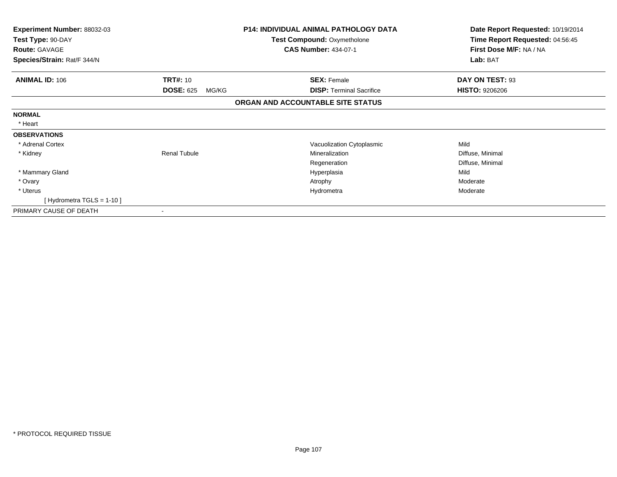| <b>Experiment Number: 88032-03</b> |                           | <b>P14: INDIVIDUAL ANIMAL PATHOLOGY DATA</b> | Date Report Requested: 10/19/2014 |
|------------------------------------|---------------------------|----------------------------------------------|-----------------------------------|
| Test Type: 90-DAY                  |                           | <b>Test Compound: Oxymetholone</b>           | Time Report Requested: 04:56:45   |
| <b>Route: GAVAGE</b>               |                           | <b>CAS Number: 434-07-1</b>                  | First Dose M/F: NA / NA           |
| Species/Strain: Rat/F 344/N        |                           |                                              | Lab: BAT                          |
| <b>ANIMAL ID: 106</b>              | <b>TRT#: 10</b>           | <b>SEX: Female</b>                           | DAY ON TEST: 93                   |
|                                    | <b>DOSE: 625</b><br>MG/KG | <b>DISP: Terminal Sacrifice</b>              | <b>HISTO: 9206206</b>             |
|                                    |                           | ORGAN AND ACCOUNTABLE SITE STATUS            |                                   |
| <b>NORMAL</b>                      |                           |                                              |                                   |
| * Heart                            |                           |                                              |                                   |
| <b>OBSERVATIONS</b>                |                           |                                              |                                   |
| * Adrenal Cortex                   |                           | Vacuolization Cytoplasmic                    | Mild                              |
| * Kidney                           | <b>Renal Tubule</b>       | Mineralization                               | Diffuse, Minimal                  |
|                                    |                           | Regeneration                                 | Diffuse, Minimal                  |
| * Mammary Gland                    |                           | Hyperplasia                                  | Mild                              |
| * Ovary                            |                           | Atrophy                                      | Moderate                          |
| * Uterus                           |                           | Hydrometra                                   | Moderate                          |
| [Hydrometra TGLS = 1-10]           |                           |                                              |                                   |
| PRIMARY CAUSE OF DEATH             |                           |                                              |                                   |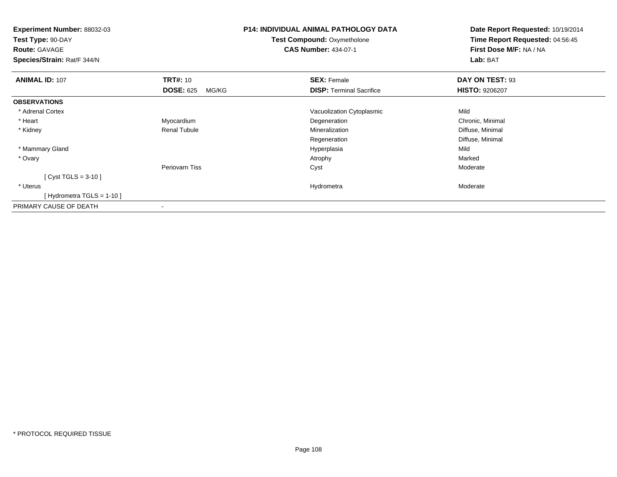| Experiment Number: 88032-03<br>Test Type: 90-DAY<br><b>Route: GAVAGE</b><br>Species/Strain: Rat/F 344/N |                           | <b>P14: INDIVIDUAL ANIMAL PATHOLOGY DATA</b><br><b>Test Compound: Oxymetholone</b><br><b>CAS Number: 434-07-1</b> | Date Report Requested: 10/19/2014<br>Time Report Requested: 04:56:45<br>First Dose M/F: NA / NA<br>Lab: BAT |
|---------------------------------------------------------------------------------------------------------|---------------------------|-------------------------------------------------------------------------------------------------------------------|-------------------------------------------------------------------------------------------------------------|
| <b>ANIMAL ID: 107</b>                                                                                   | <b>TRT#: 10</b>           | <b>SEX: Female</b>                                                                                                | DAY ON TEST: 93                                                                                             |
|                                                                                                         | <b>DOSE: 625</b><br>MG/KG | <b>DISP: Terminal Sacrifice</b>                                                                                   | <b>HISTO: 9206207</b>                                                                                       |
| <b>OBSERVATIONS</b>                                                                                     |                           |                                                                                                                   |                                                                                                             |
| * Adrenal Cortex                                                                                        |                           | Vacuolization Cytoplasmic                                                                                         | Mild                                                                                                        |
| * Heart                                                                                                 | Myocardium                | Degeneration                                                                                                      | Chronic, Minimal                                                                                            |
| * Kidney                                                                                                | <b>Renal Tubule</b>       | Mineralization                                                                                                    | Diffuse, Minimal                                                                                            |
|                                                                                                         |                           | Regeneration                                                                                                      | Diffuse, Minimal                                                                                            |
| * Mammary Gland                                                                                         |                           | Hyperplasia                                                                                                       | Mild                                                                                                        |
| * Ovary                                                                                                 |                           | Atrophy                                                                                                           | Marked                                                                                                      |
|                                                                                                         | Periovarn Tiss            | Cyst                                                                                                              | Moderate                                                                                                    |
| [ Cyst TGLS = $3-10$ ]                                                                                  |                           |                                                                                                                   |                                                                                                             |
| * Uterus                                                                                                |                           | Hydrometra                                                                                                        | Moderate                                                                                                    |
| [Hydrometra TGLS = 1-10]                                                                                |                           |                                                                                                                   |                                                                                                             |
| PRIMARY CAUSE OF DEATH                                                                                  |                           |                                                                                                                   |                                                                                                             |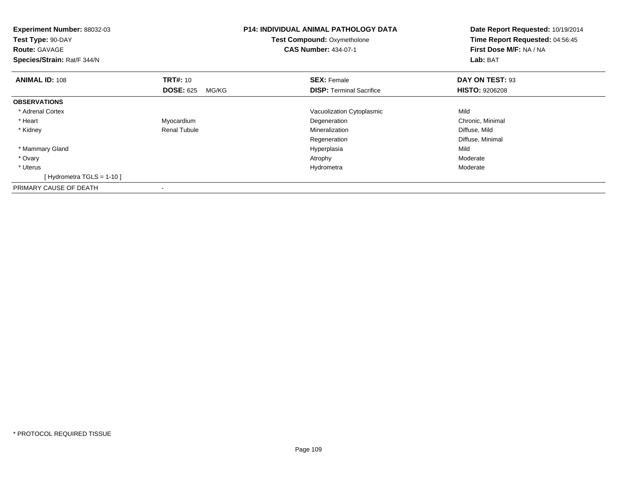| <b>Experiment Number: 88032-03</b><br>Test Type: 90-DAY<br><b>Route: GAVAGE</b><br>Species/Strain: Rat/F 344/N |                           | <b>P14: INDIVIDUAL ANIMAL PATHOLOGY DATA</b><br>Test Compound: Oxymetholone<br><b>CAS Number: 434-07-1</b> | Date Report Requested: 10/19/2014<br>Time Report Requested: 04:56:45<br>First Dose M/F: NA / NA<br>Lab: BAT |
|----------------------------------------------------------------------------------------------------------------|---------------------------|------------------------------------------------------------------------------------------------------------|-------------------------------------------------------------------------------------------------------------|
| <b>ANIMAL ID: 108</b>                                                                                          | <b>TRT#: 10</b>           | <b>SEX: Female</b>                                                                                         | DAY ON TEST: 93                                                                                             |
|                                                                                                                | <b>DOSE: 625</b><br>MG/KG | <b>DISP:</b> Terminal Sacrifice                                                                            | <b>HISTO: 9206208</b>                                                                                       |
| <b>OBSERVATIONS</b>                                                                                            |                           |                                                                                                            |                                                                                                             |
| * Adrenal Cortex                                                                                               |                           | Vacuolization Cytoplasmic                                                                                  | Mild                                                                                                        |
| * Heart                                                                                                        | Myocardium                | Degeneration                                                                                               | Chronic, Minimal                                                                                            |
| * Kidney                                                                                                       | <b>Renal Tubule</b>       | Mineralization                                                                                             | Diffuse, Mild                                                                                               |
|                                                                                                                |                           | Regeneration                                                                                               | Diffuse, Minimal                                                                                            |
| * Mammary Gland                                                                                                |                           | Hyperplasia                                                                                                | Mild                                                                                                        |
| * Ovary                                                                                                        |                           | Atrophy                                                                                                    | Moderate                                                                                                    |
| * Uterus                                                                                                       |                           | Hydrometra                                                                                                 | Moderate                                                                                                    |
| [Hydrometra TGLS = $1-10$ ]                                                                                    |                           |                                                                                                            |                                                                                                             |
| PRIMARY CAUSE OF DEATH                                                                                         | $\overline{\phantom{a}}$  |                                                                                                            |                                                                                                             |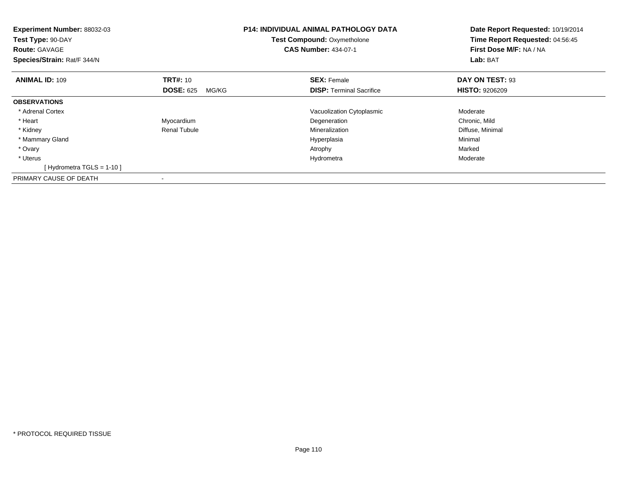| Experiment Number: 88032-03<br>Test Type: 90-DAY<br><b>Route: GAVAGE</b><br>Species/Strain: Rat/F 344/N |                           | <b>P14: INDIVIDUAL ANIMAL PATHOLOGY DATA</b><br><b>Test Compound: Oxymetholone</b><br><b>CAS Number: 434-07-1</b> | Date Report Requested: 10/19/2014<br>Time Report Requested: 04:56:45<br>First Dose M/F: NA / NA<br>Lab: BAT |
|---------------------------------------------------------------------------------------------------------|---------------------------|-------------------------------------------------------------------------------------------------------------------|-------------------------------------------------------------------------------------------------------------|
| <b>ANIMAL ID: 109</b>                                                                                   | <b>TRT#: 10</b>           | <b>SEX: Female</b>                                                                                                | DAY ON TEST: 93                                                                                             |
|                                                                                                         | <b>DOSE: 625</b><br>MG/KG | <b>DISP:</b> Terminal Sacrifice                                                                                   | <b>HISTO: 9206209</b>                                                                                       |
| <b>OBSERVATIONS</b>                                                                                     |                           |                                                                                                                   |                                                                                                             |
| * Adrenal Cortex                                                                                        |                           | Vacuolization Cytoplasmic                                                                                         | Moderate                                                                                                    |
| * Heart                                                                                                 | Myocardium                | Degeneration                                                                                                      | Chronic, Mild                                                                                               |
| * Kidney                                                                                                | <b>Renal Tubule</b>       | Mineralization                                                                                                    | Diffuse, Minimal                                                                                            |
| * Mammary Gland                                                                                         |                           | Hyperplasia                                                                                                       | Minimal                                                                                                     |
| * Ovary                                                                                                 |                           | Atrophy                                                                                                           | Marked                                                                                                      |
| * Uterus                                                                                                |                           | Hydrometra                                                                                                        | Moderate                                                                                                    |
| [Hydrometra TGLS = 1-10]                                                                                |                           |                                                                                                                   |                                                                                                             |
| PRIMARY CAUSE OF DEATH                                                                                  |                           |                                                                                                                   |                                                                                                             |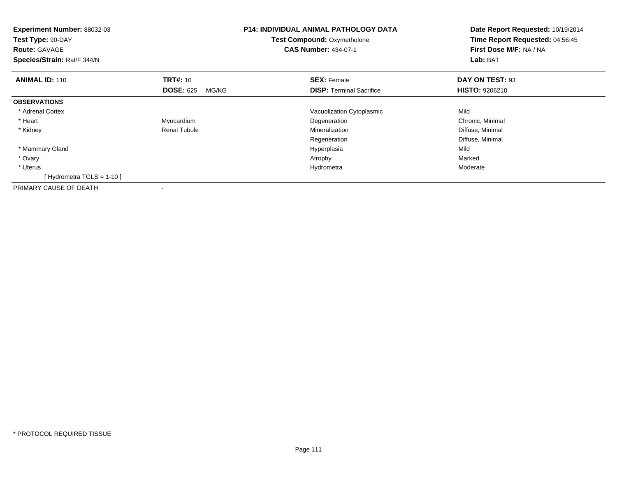| <b>Experiment Number: 88032-03</b><br>Test Type: 90-DAY<br><b>Route: GAVAGE</b><br>Species/Strain: Rat/F 344/N |                           | <b>P14: INDIVIDUAL ANIMAL PATHOLOGY DATA</b><br>Test Compound: Oxymetholone<br><b>CAS Number: 434-07-1</b> | Date Report Requested: 10/19/2014<br>Time Report Requested: 04:56:45<br>First Dose M/F: NA / NA<br>Lab: BAT |
|----------------------------------------------------------------------------------------------------------------|---------------------------|------------------------------------------------------------------------------------------------------------|-------------------------------------------------------------------------------------------------------------|
| <b>ANIMAL ID: 110</b>                                                                                          | <b>TRT#: 10</b>           | <b>SEX: Female</b>                                                                                         | DAY ON TEST: 93                                                                                             |
|                                                                                                                | <b>DOSE: 625</b><br>MG/KG | <b>DISP:</b> Terminal Sacrifice                                                                            | <b>HISTO: 9206210</b>                                                                                       |
| <b>OBSERVATIONS</b>                                                                                            |                           |                                                                                                            |                                                                                                             |
| * Adrenal Cortex                                                                                               |                           | Vacuolization Cytoplasmic                                                                                  | Mild                                                                                                        |
| * Heart                                                                                                        | Myocardium                | Degeneration                                                                                               | Chronic, Minimal                                                                                            |
| * Kidney                                                                                                       | <b>Renal Tubule</b>       | Mineralization                                                                                             | Diffuse, Minimal                                                                                            |
|                                                                                                                |                           | Regeneration                                                                                               | Diffuse, Minimal                                                                                            |
| * Mammary Gland                                                                                                |                           | Hyperplasia                                                                                                | Mild                                                                                                        |
| * Ovary                                                                                                        |                           | Atrophy                                                                                                    | Marked                                                                                                      |
| * Uterus                                                                                                       |                           | Hydrometra                                                                                                 | Moderate                                                                                                    |
| [Hydrometra TGLS = $1-10$ ]                                                                                    |                           |                                                                                                            |                                                                                                             |
| PRIMARY CAUSE OF DEATH                                                                                         | $\overline{\phantom{a}}$  |                                                                                                            |                                                                                                             |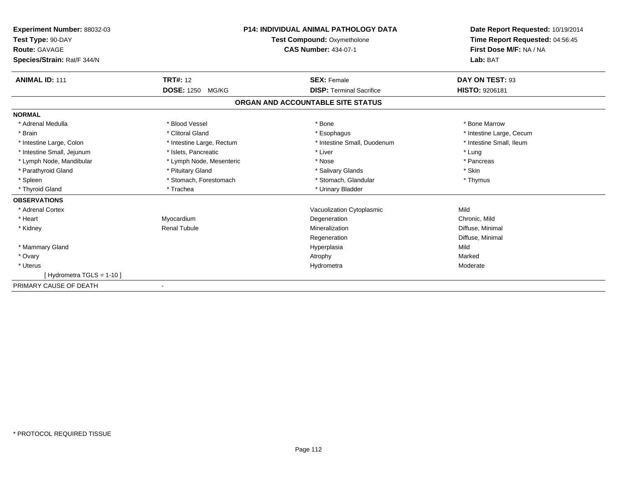| Experiment Number: 88032-03<br>Test Type: 90-DAY<br><b>Route: GAVAGE</b><br>Species/Strain: Rat/F 344/N |                           | <b>P14: INDIVIDUAL ANIMAL PATHOLOGY DATA</b><br><b>Test Compound: Oxymetholone</b><br><b>CAS Number: 434-07-1</b> | Date Report Requested: 10/19/2014<br>Time Report Requested: 04:56:45<br>First Dose M/F: NA / NA<br>Lab: BAT |
|---------------------------------------------------------------------------------------------------------|---------------------------|-------------------------------------------------------------------------------------------------------------------|-------------------------------------------------------------------------------------------------------------|
| <b>ANIMAL ID: 111</b>                                                                                   | <b>TRT#: 12</b>           | <b>SEX: Female</b>                                                                                                | DAY ON TEST: 93                                                                                             |
|                                                                                                         | DOSE: 1250 MG/KG          | <b>DISP: Terminal Sacrifice</b>                                                                                   | <b>HISTO: 9206181</b>                                                                                       |
|                                                                                                         |                           | ORGAN AND ACCOUNTABLE SITE STATUS                                                                                 |                                                                                                             |
| <b>NORMAL</b>                                                                                           |                           |                                                                                                                   |                                                                                                             |
| * Adrenal Medulla                                                                                       | * Blood Vessel            | * Bone                                                                                                            | * Bone Marrow                                                                                               |
| * Brain                                                                                                 | * Clitoral Gland          | * Esophagus                                                                                                       | * Intestine Large, Cecum                                                                                    |
| * Intestine Large, Colon                                                                                | * Intestine Large, Rectum | * Intestine Small, Duodenum                                                                                       | * Intestine Small, Ileum                                                                                    |
| * Intestine Small, Jejunum                                                                              | * Islets, Pancreatic      | * Liver                                                                                                           | * Lung                                                                                                      |
| * Lymph Node, Mandibular                                                                                | * Lymph Node, Mesenteric  | * Nose                                                                                                            | * Pancreas                                                                                                  |
| * Parathyroid Gland                                                                                     | * Pituitary Gland         | * Salivary Glands                                                                                                 | * Skin                                                                                                      |
| * Spleen                                                                                                | * Stomach, Forestomach    | * Stomach, Glandular                                                                                              | * Thymus                                                                                                    |
| * Thyroid Gland                                                                                         | * Trachea                 | * Urinary Bladder                                                                                                 |                                                                                                             |
| <b>OBSERVATIONS</b>                                                                                     |                           |                                                                                                                   |                                                                                                             |
| * Adrenal Cortex                                                                                        |                           | Vacuolization Cytoplasmic                                                                                         | Mild                                                                                                        |
| * Heart                                                                                                 | Myocardium                | Degeneration                                                                                                      | Chronic, Mild                                                                                               |
| * Kidney                                                                                                | <b>Renal Tubule</b>       | Mineralization                                                                                                    | Diffuse, Minimal                                                                                            |
|                                                                                                         |                           | Regeneration                                                                                                      | Diffuse, Minimal                                                                                            |
| * Mammary Gland                                                                                         |                           | Hyperplasia                                                                                                       | Mild                                                                                                        |
| * Ovary                                                                                                 |                           | Atrophy                                                                                                           | Marked                                                                                                      |
| * Uterus                                                                                                |                           | Hydrometra                                                                                                        | Moderate                                                                                                    |
| [Hydrometra TGLS = 1-10]                                                                                |                           |                                                                                                                   |                                                                                                             |
| PRIMARY CAUSE OF DEATH                                                                                  |                           |                                                                                                                   |                                                                                                             |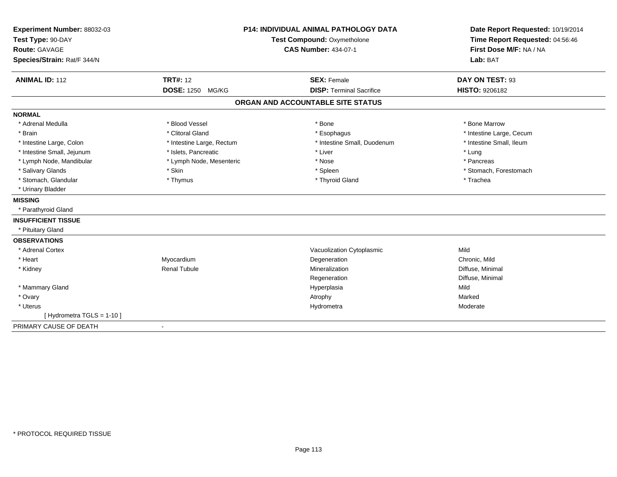| Experiment Number: 88032-03<br>Test Type: 90-DAY<br>Route: GAVAGE<br>Species/Strain: Rat/F 344/N |                           | <b>P14: INDIVIDUAL ANIMAL PATHOLOGY DATA</b><br>Test Compound: Oxymetholone<br><b>CAS Number: 434-07-1</b> | Date Report Requested: 10/19/2014<br>Time Report Requested: 04:56:46<br>First Dose M/F: NA / NA<br>Lab: BAT |
|--------------------------------------------------------------------------------------------------|---------------------------|------------------------------------------------------------------------------------------------------------|-------------------------------------------------------------------------------------------------------------|
| <b>ANIMAL ID: 112</b>                                                                            | <b>TRT#: 12</b>           | <b>SEX: Female</b>                                                                                         | DAY ON TEST: 93                                                                                             |
|                                                                                                  | DOSE: 1250 MG/KG          | <b>DISP: Terminal Sacrifice</b>                                                                            | <b>HISTO: 9206182</b>                                                                                       |
|                                                                                                  |                           | ORGAN AND ACCOUNTABLE SITE STATUS                                                                          |                                                                                                             |
| <b>NORMAL</b>                                                                                    |                           |                                                                                                            |                                                                                                             |
| * Adrenal Medulla                                                                                | * Blood Vessel            | * Bone                                                                                                     | * Bone Marrow                                                                                               |
| * Brain                                                                                          | * Clitoral Gland          | * Esophagus                                                                                                | * Intestine Large, Cecum                                                                                    |
| * Intestine Large, Colon                                                                         | * Intestine Large, Rectum | * Intestine Small, Duodenum                                                                                | * Intestine Small, Ileum                                                                                    |
| * Intestine Small, Jejunum                                                                       | * Islets, Pancreatic      | * Liver                                                                                                    | * Lung                                                                                                      |
| * Lymph Node, Mandibular                                                                         | * Lymph Node, Mesenteric  | * Nose                                                                                                     | * Pancreas                                                                                                  |
| * Salivary Glands                                                                                | * Skin                    | * Spleen                                                                                                   | * Stomach, Forestomach                                                                                      |
| * Stomach, Glandular                                                                             | * Thymus                  | * Thyroid Gland                                                                                            | * Trachea                                                                                                   |
| * Urinary Bladder                                                                                |                           |                                                                                                            |                                                                                                             |
| <b>MISSING</b>                                                                                   |                           |                                                                                                            |                                                                                                             |
| * Parathyroid Gland                                                                              |                           |                                                                                                            |                                                                                                             |
| <b>INSUFFICIENT TISSUE</b>                                                                       |                           |                                                                                                            |                                                                                                             |
| * Pituitary Gland                                                                                |                           |                                                                                                            |                                                                                                             |
| <b>OBSERVATIONS</b>                                                                              |                           |                                                                                                            |                                                                                                             |
| * Adrenal Cortex                                                                                 |                           | Vacuolization Cytoplasmic                                                                                  | Mild                                                                                                        |
| * Heart                                                                                          | Myocardium                | Degeneration                                                                                               | Chronic, Mild                                                                                               |
| * Kidney                                                                                         | <b>Renal Tubule</b>       | Mineralization                                                                                             | Diffuse, Minimal                                                                                            |
|                                                                                                  |                           | Regeneration                                                                                               | Diffuse, Minimal                                                                                            |
| * Mammary Gland                                                                                  |                           | Hyperplasia                                                                                                | Mild                                                                                                        |
| * Ovary                                                                                          |                           | Atrophy                                                                                                    | Marked                                                                                                      |
| * Uterus                                                                                         |                           | Hydrometra                                                                                                 | Moderate                                                                                                    |
| [ Hydrometra TGLS = 1-10 ]                                                                       |                           |                                                                                                            |                                                                                                             |
| PRIMARY CAUSE OF DEATH                                                                           | $\blacksquare$            |                                                                                                            |                                                                                                             |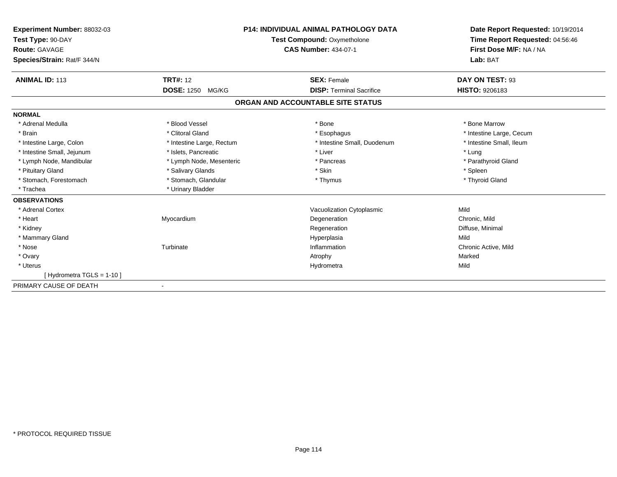| Experiment Number: 88032-03<br>Test Type: 90-DAY<br>Route: GAVAGE<br>Species/Strain: Rat/F 344/N |                           | <b>P14: INDIVIDUAL ANIMAL PATHOLOGY DATA</b><br><b>Test Compound: Oxymetholone</b><br><b>CAS Number: 434-07-1</b> | Date Report Requested: 10/19/2014<br>Time Report Requested: 04:56:46<br>First Dose M/F: NA / NA<br>Lab: BAT |
|--------------------------------------------------------------------------------------------------|---------------------------|-------------------------------------------------------------------------------------------------------------------|-------------------------------------------------------------------------------------------------------------|
| <b>ANIMAL ID: 113</b>                                                                            | <b>TRT#: 12</b>           | <b>SEX: Female</b>                                                                                                | DAY ON TEST: 93                                                                                             |
|                                                                                                  | <b>DOSE: 1250 MG/KG</b>   | <b>DISP: Terminal Sacrifice</b>                                                                                   | <b>HISTO: 9206183</b>                                                                                       |
|                                                                                                  |                           | ORGAN AND ACCOUNTABLE SITE STATUS                                                                                 |                                                                                                             |
| <b>NORMAL</b>                                                                                    |                           |                                                                                                                   |                                                                                                             |
| * Adrenal Medulla                                                                                | * Blood Vessel            | * Bone                                                                                                            | * Bone Marrow                                                                                               |
| * Brain                                                                                          | * Clitoral Gland          | * Esophagus                                                                                                       | * Intestine Large, Cecum                                                                                    |
| * Intestine Large, Colon                                                                         | * Intestine Large, Rectum | * Intestine Small, Duodenum                                                                                       | * Intestine Small, Ileum                                                                                    |
| * Intestine Small, Jejunum                                                                       | * Islets, Pancreatic      | * Liver                                                                                                           | * Lung                                                                                                      |
| * Lymph Node, Mandibular                                                                         | * Lymph Node, Mesenteric  | * Pancreas                                                                                                        | * Parathyroid Gland                                                                                         |
| * Pituitary Gland                                                                                | * Salivary Glands         | * Skin                                                                                                            | * Spleen                                                                                                    |
| * Stomach, Forestomach                                                                           | * Stomach, Glandular      | * Thymus                                                                                                          | * Thyroid Gland                                                                                             |
| * Trachea                                                                                        | * Urinary Bladder         |                                                                                                                   |                                                                                                             |
| <b>OBSERVATIONS</b>                                                                              |                           |                                                                                                                   |                                                                                                             |
| * Adrenal Cortex                                                                                 |                           | Vacuolization Cytoplasmic                                                                                         | Mild                                                                                                        |
| * Heart                                                                                          | Myocardium                | Degeneration                                                                                                      | Chronic, Mild                                                                                               |
| * Kidney                                                                                         |                           | Regeneration                                                                                                      | Diffuse, Minimal                                                                                            |
| * Mammary Gland                                                                                  |                           | Hyperplasia                                                                                                       | Mild                                                                                                        |
| * Nose                                                                                           | Turbinate                 | Inflammation                                                                                                      | Chronic Active, Mild                                                                                        |
| * Ovary                                                                                          |                           | Atrophy                                                                                                           | Marked                                                                                                      |
| * Uterus                                                                                         |                           | Hydrometra                                                                                                        | Mild                                                                                                        |
| [Hydrometra TGLS = $1-10$ ]                                                                      |                           |                                                                                                                   |                                                                                                             |
| PRIMARY CAUSE OF DEATH                                                                           |                           |                                                                                                                   |                                                                                                             |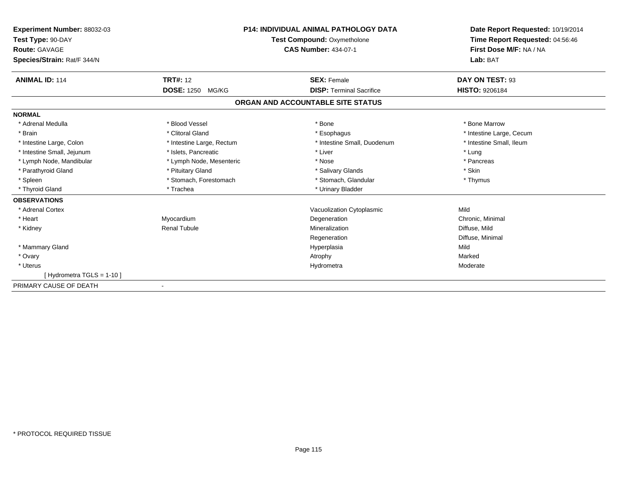| Experiment Number: 88032-03<br>Test Type: 90-DAY<br><b>Route: GAVAGE</b><br>Species/Strain: Rat/F 344/N |                           | <b>P14: INDIVIDUAL ANIMAL PATHOLOGY DATA</b><br><b>Test Compound: Oxymetholone</b><br><b>CAS Number: 434-07-1</b> | Date Report Requested: 10/19/2014<br>Time Report Requested: 04:56:46<br>First Dose M/F: NA / NA<br>Lab: BAT |
|---------------------------------------------------------------------------------------------------------|---------------------------|-------------------------------------------------------------------------------------------------------------------|-------------------------------------------------------------------------------------------------------------|
| <b>ANIMAL ID: 114</b>                                                                                   | <b>TRT#: 12</b>           | <b>SEX: Female</b>                                                                                                | DAY ON TEST: 93                                                                                             |
|                                                                                                         | DOSE: 1250 MG/KG          | <b>DISP: Terminal Sacrifice</b>                                                                                   | <b>HISTO: 9206184</b>                                                                                       |
|                                                                                                         |                           | ORGAN AND ACCOUNTABLE SITE STATUS                                                                                 |                                                                                                             |
| <b>NORMAL</b>                                                                                           |                           |                                                                                                                   |                                                                                                             |
| * Adrenal Medulla                                                                                       | * Blood Vessel            | * Bone                                                                                                            | * Bone Marrow                                                                                               |
| * Brain                                                                                                 | * Clitoral Gland          | * Esophagus                                                                                                       | * Intestine Large, Cecum                                                                                    |
| * Intestine Large, Colon                                                                                | * Intestine Large, Rectum | * Intestine Small, Duodenum                                                                                       | * Intestine Small, Ileum                                                                                    |
| * Intestine Small, Jejunum                                                                              | * Islets, Pancreatic      | * Liver                                                                                                           | * Lung                                                                                                      |
| * Lymph Node, Mandibular                                                                                | * Lymph Node, Mesenteric  | * Nose                                                                                                            | * Pancreas                                                                                                  |
| * Parathyroid Gland                                                                                     | * Pituitary Gland         | * Salivary Glands                                                                                                 | * Skin                                                                                                      |
| * Spleen                                                                                                | * Stomach, Forestomach    | * Stomach, Glandular                                                                                              | * Thymus                                                                                                    |
| * Thyroid Gland                                                                                         | * Trachea                 | * Urinary Bladder                                                                                                 |                                                                                                             |
| <b>OBSERVATIONS</b>                                                                                     |                           |                                                                                                                   |                                                                                                             |
| * Adrenal Cortex                                                                                        |                           | Vacuolization Cytoplasmic                                                                                         | Mild                                                                                                        |
| * Heart                                                                                                 | Myocardium                | Degeneration                                                                                                      | Chronic, Minimal                                                                                            |
| * Kidney                                                                                                | <b>Renal Tubule</b>       | Mineralization                                                                                                    | Diffuse, Mild                                                                                               |
|                                                                                                         |                           | Regeneration                                                                                                      | Diffuse, Minimal                                                                                            |
| * Mammary Gland                                                                                         |                           | Hyperplasia                                                                                                       | Mild                                                                                                        |
| * Ovary                                                                                                 |                           | Atrophy                                                                                                           | Marked                                                                                                      |
| * Uterus                                                                                                |                           | Hydrometra                                                                                                        | Moderate                                                                                                    |
| [Hydrometra TGLS = 1-10]                                                                                |                           |                                                                                                                   |                                                                                                             |
| PRIMARY CAUSE OF DEATH                                                                                  |                           |                                                                                                                   |                                                                                                             |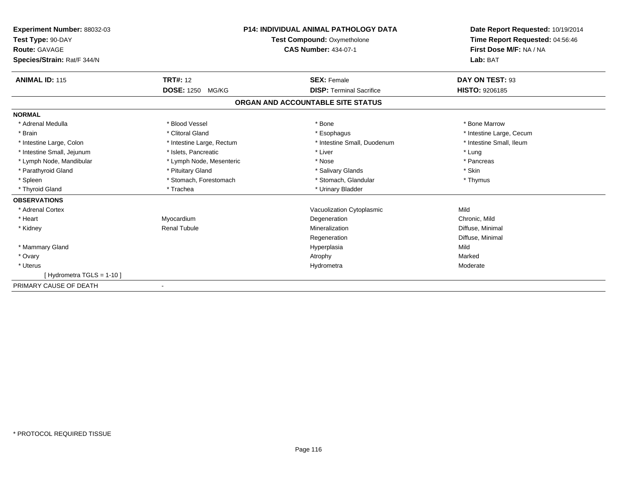| Experiment Number: 88032-03<br>Test Type: 90-DAY<br>Route: GAVAGE | <b>P14: INDIVIDUAL ANIMAL PATHOLOGY DATA</b><br>Test Compound: Oxymetholone<br><b>CAS Number: 434-07-1</b> |                                   | Date Report Requested: 10/19/2014<br>Time Report Requested: 04:56:46<br>First Dose M/F: NA / NA |
|-------------------------------------------------------------------|------------------------------------------------------------------------------------------------------------|-----------------------------------|-------------------------------------------------------------------------------------------------|
| Species/Strain: Rat/F 344/N                                       |                                                                                                            |                                   | Lab: BAT                                                                                        |
| <b>ANIMAL ID: 115</b>                                             | <b>TRT#: 12</b>                                                                                            | <b>SEX: Female</b>                | DAY ON TEST: 93                                                                                 |
|                                                                   | <b>DOSE: 1250</b><br>MG/KG                                                                                 | <b>DISP: Terminal Sacrifice</b>   | <b>HISTO: 9206185</b>                                                                           |
|                                                                   |                                                                                                            | ORGAN AND ACCOUNTABLE SITE STATUS |                                                                                                 |
| <b>NORMAL</b>                                                     |                                                                                                            |                                   |                                                                                                 |
| * Adrenal Medulla                                                 | * Blood Vessel                                                                                             | * Bone                            | * Bone Marrow                                                                                   |
| * Brain                                                           | * Clitoral Gland                                                                                           | * Esophagus                       | * Intestine Large, Cecum                                                                        |
| * Intestine Large, Colon                                          | * Intestine Large, Rectum                                                                                  | * Intestine Small, Duodenum       | * Intestine Small, Ileum                                                                        |
| * Intestine Small, Jejunum                                        | * Islets, Pancreatic                                                                                       | * Liver                           | * Lung                                                                                          |
| * Lymph Node, Mandibular                                          | * Lymph Node, Mesenteric                                                                                   | * Nose                            | * Pancreas                                                                                      |
| * Parathyroid Gland                                               | * Pituitary Gland                                                                                          | * Salivary Glands                 | * Skin                                                                                          |
| * Spleen                                                          | * Stomach, Forestomach                                                                                     | * Stomach, Glandular              | * Thymus                                                                                        |
| * Thyroid Gland                                                   | * Trachea                                                                                                  | * Urinary Bladder                 |                                                                                                 |
| <b>OBSERVATIONS</b>                                               |                                                                                                            |                                   |                                                                                                 |
| * Adrenal Cortex                                                  |                                                                                                            | Vacuolization Cytoplasmic         | Mild                                                                                            |
| * Heart                                                           | Myocardium                                                                                                 | Degeneration                      | Chronic, Mild                                                                                   |
| * Kidney                                                          | <b>Renal Tubule</b>                                                                                        | Mineralization                    | Diffuse, Minimal                                                                                |
|                                                                   |                                                                                                            | Regeneration                      | Diffuse, Minimal                                                                                |
| * Mammary Gland                                                   |                                                                                                            | Hyperplasia                       | Mild                                                                                            |
| * Ovary                                                           |                                                                                                            | Atrophy                           | Marked                                                                                          |
| * Uterus                                                          |                                                                                                            | Hydrometra                        | Moderate                                                                                        |
| [Hydrometra TGLS = 1-10]                                          |                                                                                                            |                                   |                                                                                                 |
| PRIMARY CAUSE OF DEATH                                            |                                                                                                            |                                   |                                                                                                 |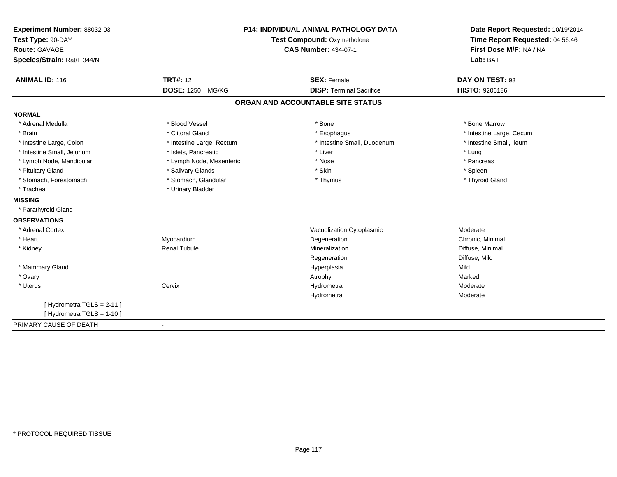| Experiment Number: 88032-03 | <b>P14: INDIVIDUAL ANIMAL PATHOLOGY DATA</b><br>Test Compound: Oxymetholone |                                   | Date Report Requested: 10/19/2014<br>Time Report Requested: 04:56:46 |
|-----------------------------|-----------------------------------------------------------------------------|-----------------------------------|----------------------------------------------------------------------|
| Test Type: 90-DAY           |                                                                             |                                   |                                                                      |
| Route: GAVAGE               |                                                                             | <b>CAS Number: 434-07-1</b>       | First Dose M/F: NA / NA                                              |
| Species/Strain: Rat/F 344/N |                                                                             |                                   | Lab: BAT                                                             |
| <b>ANIMAL ID: 116</b>       | <b>TRT#: 12</b>                                                             | <b>SEX: Female</b>                | DAY ON TEST: 93                                                      |
|                             | <b>DOSE: 1250</b><br>MG/KG                                                  | <b>DISP: Terminal Sacrifice</b>   | HISTO: 9206186                                                       |
|                             |                                                                             | ORGAN AND ACCOUNTABLE SITE STATUS |                                                                      |
| <b>NORMAL</b>               |                                                                             |                                   |                                                                      |
| * Adrenal Medulla           | * Blood Vessel                                                              | * Bone                            | * Bone Marrow                                                        |
| * Brain                     | * Clitoral Gland                                                            | * Esophagus                       | * Intestine Large, Cecum                                             |
| * Intestine Large, Colon    | * Intestine Large, Rectum                                                   | * Intestine Small, Duodenum       | * Intestine Small, Ileum                                             |
| * Intestine Small, Jejunum  | * Islets, Pancreatic                                                        | * Liver                           | * Lung                                                               |
| * Lymph Node, Mandibular    | * Lymph Node, Mesenteric                                                    | * Nose                            | * Pancreas                                                           |
| * Pituitary Gland           | * Salivary Glands                                                           | * Skin                            | $*$ Spleen                                                           |
| * Stomach, Forestomach      | * Stomach, Glandular                                                        | * Thymus                          | * Thyroid Gland                                                      |
| * Trachea                   | * Urinary Bladder                                                           |                                   |                                                                      |
| <b>MISSING</b>              |                                                                             |                                   |                                                                      |
| * Parathyroid Gland         |                                                                             |                                   |                                                                      |
| <b>OBSERVATIONS</b>         |                                                                             |                                   |                                                                      |
| * Adrenal Cortex            |                                                                             | Vacuolization Cytoplasmic         | Moderate                                                             |
| * Heart                     | Myocardium                                                                  | Degeneration                      | Chronic, Minimal                                                     |
| * Kidney                    | <b>Renal Tubule</b>                                                         | Mineralization                    | Diffuse, Minimal                                                     |
|                             |                                                                             | Regeneration                      | Diffuse, Mild                                                        |
| * Mammary Gland             |                                                                             | Hyperplasia                       | Mild                                                                 |
| * Ovary                     |                                                                             | Atrophy                           | Marked                                                               |
| * Uterus                    | Cervix                                                                      | Hydrometra                        | Moderate                                                             |
|                             |                                                                             | Hydrometra                        | Moderate                                                             |
| [Hydrometra TGLS = 2-11]    |                                                                             |                                   |                                                                      |
| [ Hydrometra TGLS = 1-10 ]  |                                                                             |                                   |                                                                      |
| PRIMARY CAUSE OF DEATH      | $\blacksquare$                                                              |                                   |                                                                      |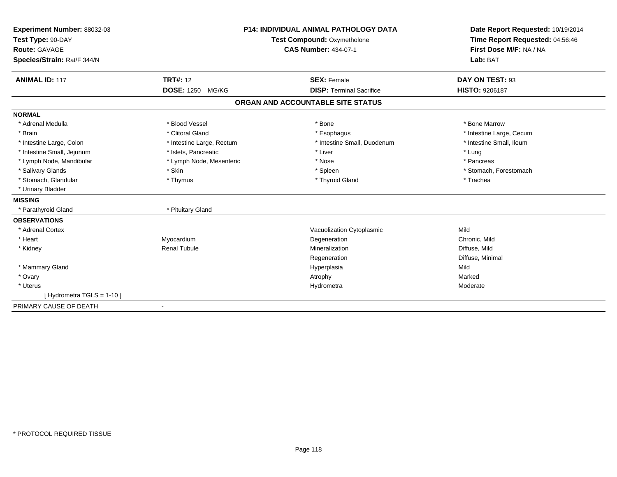| Experiment Number: 88032-03<br>Test Type: 90-DAY<br><b>Route: GAVAGE</b><br>Species/Strain: Rat/F 344/N |                            | <b>P14: INDIVIDUAL ANIMAL PATHOLOGY DATA</b><br>Test Compound: Oxymetholone<br><b>CAS Number: 434-07-1</b> | Date Report Requested: 10/19/2014<br>Time Report Requested: 04:56:46<br>First Dose M/F: NA / NA<br>Lab: BAT |
|---------------------------------------------------------------------------------------------------------|----------------------------|------------------------------------------------------------------------------------------------------------|-------------------------------------------------------------------------------------------------------------|
| <b>ANIMAL ID: 117</b>                                                                                   | <b>TRT#: 12</b>            | <b>SEX: Female</b>                                                                                         | DAY ON TEST: 93                                                                                             |
|                                                                                                         | <b>DOSE: 1250</b><br>MG/KG | <b>DISP: Terminal Sacrifice</b>                                                                            | <b>HISTO: 9206187</b>                                                                                       |
|                                                                                                         |                            | ORGAN AND ACCOUNTABLE SITE STATUS                                                                          |                                                                                                             |
| <b>NORMAL</b>                                                                                           |                            |                                                                                                            |                                                                                                             |
| * Adrenal Medulla                                                                                       | * Blood Vessel             | * Bone                                                                                                     | * Bone Marrow                                                                                               |
| * Brain                                                                                                 | * Clitoral Gland           | * Esophagus                                                                                                | * Intestine Large, Cecum                                                                                    |
| * Intestine Large, Colon                                                                                | * Intestine Large, Rectum  | * Intestine Small, Duodenum                                                                                | * Intestine Small, Ileum                                                                                    |
| * Intestine Small, Jejunum                                                                              | * Islets, Pancreatic       | * Liver                                                                                                    | * Lung                                                                                                      |
| * Lymph Node, Mandibular                                                                                | * Lymph Node, Mesenteric   | * Nose                                                                                                     | * Pancreas                                                                                                  |
| * Salivary Glands                                                                                       | * Skin                     | * Spleen                                                                                                   | * Stomach, Forestomach                                                                                      |
| * Stomach, Glandular                                                                                    | * Thymus                   | * Thyroid Gland                                                                                            | * Trachea                                                                                                   |
| * Urinary Bladder                                                                                       |                            |                                                                                                            |                                                                                                             |
| <b>MISSING</b>                                                                                          |                            |                                                                                                            |                                                                                                             |
| * Parathyroid Gland                                                                                     | * Pituitary Gland          |                                                                                                            |                                                                                                             |
| <b>OBSERVATIONS</b>                                                                                     |                            |                                                                                                            |                                                                                                             |
| * Adrenal Cortex                                                                                        |                            | Vacuolization Cytoplasmic                                                                                  | Mild                                                                                                        |
| * Heart                                                                                                 | Myocardium                 | Degeneration                                                                                               | Chronic, Mild                                                                                               |
| * Kidney                                                                                                | <b>Renal Tubule</b>        | Mineralization                                                                                             | Diffuse, Mild                                                                                               |
|                                                                                                         |                            | Regeneration                                                                                               | Diffuse, Minimal                                                                                            |
| * Mammary Gland                                                                                         |                            | Hyperplasia                                                                                                | Mild                                                                                                        |
| * Ovary                                                                                                 |                            | Atrophy                                                                                                    | Marked                                                                                                      |
| * Uterus                                                                                                |                            | Hydrometra                                                                                                 | Moderate                                                                                                    |
| [Hydrometra TGLS = $1-10$ ]                                                                             |                            |                                                                                                            |                                                                                                             |
| PRIMARY CAUSE OF DEATH                                                                                  | ٠                          |                                                                                                            |                                                                                                             |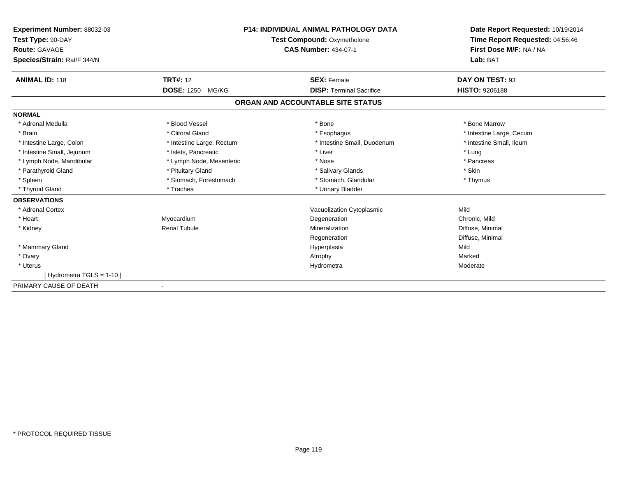| Experiment Number: 88032-03<br>Test Type: 90-DAY<br>Route: GAVAGE | <b>P14: INDIVIDUAL ANIMAL PATHOLOGY DATA</b><br>Test Compound: Oxymetholone<br><b>CAS Number: 434-07-1</b> |                                   | Date Report Requested: 10/19/2014<br>Time Report Requested: 04:56:46<br>First Dose M/F: NA / NA |
|-------------------------------------------------------------------|------------------------------------------------------------------------------------------------------------|-----------------------------------|-------------------------------------------------------------------------------------------------|
| Species/Strain: Rat/F 344/N                                       |                                                                                                            |                                   | Lab: BAT                                                                                        |
| <b>ANIMAL ID: 118</b>                                             | <b>TRT#: 12</b>                                                                                            | <b>SEX: Female</b>                | DAY ON TEST: 93                                                                                 |
|                                                                   | <b>DOSE: 1250</b><br>MG/KG                                                                                 | <b>DISP: Terminal Sacrifice</b>   | <b>HISTO: 9206188</b>                                                                           |
|                                                                   |                                                                                                            | ORGAN AND ACCOUNTABLE SITE STATUS |                                                                                                 |
| <b>NORMAL</b>                                                     |                                                                                                            |                                   |                                                                                                 |
| * Adrenal Medulla                                                 | * Blood Vessel                                                                                             | * Bone                            | * Bone Marrow                                                                                   |
| * Brain                                                           | * Clitoral Gland                                                                                           | * Esophagus                       | * Intestine Large, Cecum                                                                        |
| * Intestine Large, Colon                                          | * Intestine Large, Rectum                                                                                  | * Intestine Small, Duodenum       | * Intestine Small, Ileum                                                                        |
| * Intestine Small, Jejunum                                        | * Islets, Pancreatic                                                                                       | * Liver                           | * Lung                                                                                          |
| * Lymph Node, Mandibular                                          | * Lymph Node, Mesenteric                                                                                   | * Nose                            | * Pancreas                                                                                      |
| * Parathyroid Gland                                               | * Pituitary Gland                                                                                          | * Salivary Glands                 | * Skin                                                                                          |
| * Spleen                                                          | * Stomach, Forestomach                                                                                     | * Stomach, Glandular              | * Thymus                                                                                        |
| * Thyroid Gland                                                   | * Trachea                                                                                                  | * Urinary Bladder                 |                                                                                                 |
| <b>OBSERVATIONS</b>                                               |                                                                                                            |                                   |                                                                                                 |
| * Adrenal Cortex                                                  |                                                                                                            | Vacuolization Cytoplasmic         | Mild                                                                                            |
| * Heart                                                           | Myocardium                                                                                                 | Degeneration                      | Chronic, Mild                                                                                   |
| * Kidney                                                          | <b>Renal Tubule</b>                                                                                        | Mineralization                    | Diffuse, Minimal                                                                                |
|                                                                   |                                                                                                            | Regeneration                      | Diffuse, Minimal                                                                                |
| * Mammary Gland                                                   |                                                                                                            | Hyperplasia                       | Mild                                                                                            |
| * Ovary                                                           |                                                                                                            | Atrophy                           | Marked                                                                                          |
| * Uterus                                                          |                                                                                                            | Hydrometra                        | Moderate                                                                                        |
| [Hydrometra TGLS = 1-10]                                          |                                                                                                            |                                   |                                                                                                 |
| PRIMARY CAUSE OF DEATH                                            |                                                                                                            |                                   |                                                                                                 |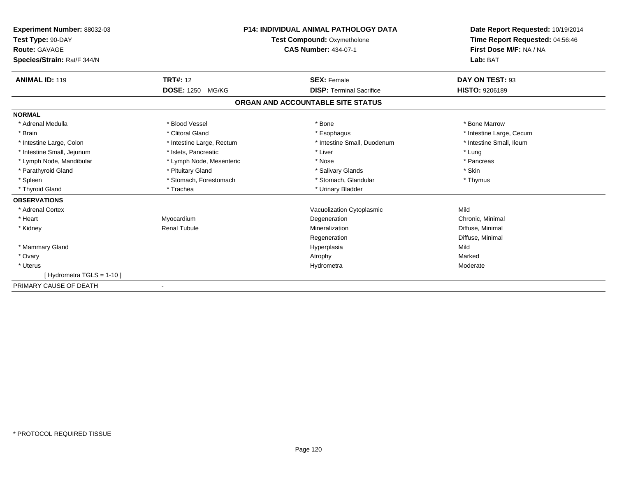| Experiment Number: 88032-03<br>Test Type: 90-DAY<br>Route: GAVAGE | <b>P14: INDIVIDUAL ANIMAL PATHOLOGY DATA</b><br>Test Compound: Oxymetholone<br><b>CAS Number: 434-07-1</b> |                                   | Date Report Requested: 10/19/2014<br>Time Report Requested: 04:56:46<br>First Dose M/F: NA / NA |
|-------------------------------------------------------------------|------------------------------------------------------------------------------------------------------------|-----------------------------------|-------------------------------------------------------------------------------------------------|
| Species/Strain: Rat/F 344/N                                       |                                                                                                            |                                   | Lab: BAT                                                                                        |
| <b>ANIMAL ID: 119</b>                                             | <b>TRT#: 12</b>                                                                                            | <b>SEX: Female</b>                | DAY ON TEST: 93                                                                                 |
|                                                                   | <b>DOSE: 1250</b><br>MG/KG                                                                                 | <b>DISP: Terminal Sacrifice</b>   | <b>HISTO: 9206189</b>                                                                           |
|                                                                   |                                                                                                            | ORGAN AND ACCOUNTABLE SITE STATUS |                                                                                                 |
| <b>NORMAL</b>                                                     |                                                                                                            |                                   |                                                                                                 |
| * Adrenal Medulla                                                 | * Blood Vessel                                                                                             | * Bone                            | * Bone Marrow                                                                                   |
| * Brain                                                           | * Clitoral Gland                                                                                           | * Esophagus                       | * Intestine Large, Cecum                                                                        |
| * Intestine Large, Colon                                          | * Intestine Large, Rectum                                                                                  | * Intestine Small, Duodenum       | * Intestine Small, Ileum                                                                        |
| * Intestine Small, Jejunum                                        | * Islets, Pancreatic                                                                                       | * Liver                           | * Lung                                                                                          |
| * Lymph Node, Mandibular                                          | * Lymph Node, Mesenteric                                                                                   | * Nose                            | * Pancreas                                                                                      |
| * Parathyroid Gland                                               | * Pituitary Gland                                                                                          | * Salivary Glands                 | * Skin                                                                                          |
| * Spleen                                                          | * Stomach, Forestomach                                                                                     | * Stomach, Glandular              | * Thymus                                                                                        |
| * Thyroid Gland                                                   | * Trachea                                                                                                  | * Urinary Bladder                 |                                                                                                 |
| <b>OBSERVATIONS</b>                                               |                                                                                                            |                                   |                                                                                                 |
| * Adrenal Cortex                                                  |                                                                                                            | Vacuolization Cytoplasmic         | Mild                                                                                            |
| * Heart                                                           | Myocardium                                                                                                 | Degeneration                      | Chronic, Minimal                                                                                |
| * Kidney                                                          | <b>Renal Tubule</b>                                                                                        | Mineralization                    | Diffuse, Minimal                                                                                |
|                                                                   |                                                                                                            | Regeneration                      | Diffuse, Minimal                                                                                |
| * Mammary Gland                                                   |                                                                                                            | Hyperplasia                       | Mild                                                                                            |
| * Ovary                                                           |                                                                                                            | Atrophy                           | Marked                                                                                          |
| * Uterus                                                          |                                                                                                            | Hydrometra                        | Moderate                                                                                        |
| [Hydrometra TGLS = 1-10]                                          |                                                                                                            |                                   |                                                                                                 |
| PRIMARY CAUSE OF DEATH                                            |                                                                                                            |                                   |                                                                                                 |